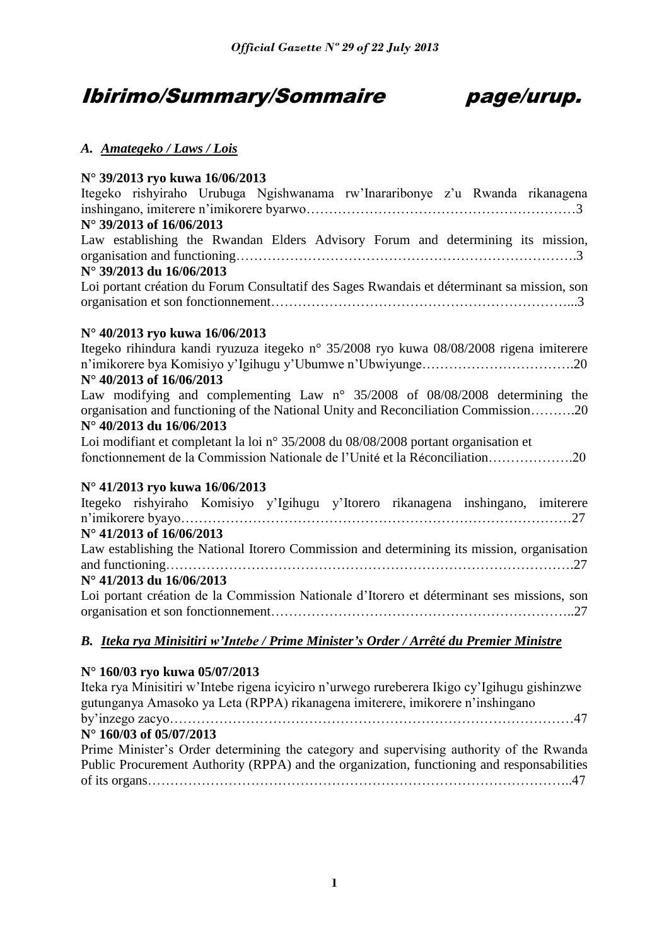# Ibirimo/Summary/Sommaire page/urup.



## *A. Amategeko / Laws / Lois*

## **N° 39/2013 ryo kuwa 16/06/2013**

| $\frac{1}{2}$<br>Itegeko rishyiraho Urubuga Ngishwanama rw'Inararibonye z'u Rwanda rikanagena |
|-----------------------------------------------------------------------------------------------|
|                                                                                               |
| N° 39/2013 of 16/06/2013                                                                      |
| Law establishing the Rwandan Elders Advisory Forum and determining its mission,               |
|                                                                                               |
| N° 39/2013 du 16/06/2013                                                                      |
| Loi portant création du Forum Consultatif des Sages Rwandais et déterminant sa mission, son   |
|                                                                                               |
|                                                                                               |
| N° 40/2013 ryo kuwa 16/06/2013                                                                |
| Itegeko rihindura kandi ryuzuza itegeko n° 35/2008 ryo kuwa 08/08/2008 rigena imiterere       |
|                                                                                               |
| N° 40/2013 of 16/06/2013                                                                      |
| Law modifying and complementing Law $n^{\circ}$ 35/2008 of 08/08/2008 determining the         |
| organisation and functioning of the National Unity and Reconciliation Commission20            |
| N° 40/2013 du 16/06/2013                                                                      |
| Loi modifiant et completant la loi n° 35/2008 du 08/08/2008 portant organisation et           |
| fonctionnement de la Commission Nationale de l'Unité et la Réconciliation20                   |
|                                                                                               |
| N° 41/2013 ryo kuwa 16/06/2013                                                                |
| Itegeko rishyiraho Komisiyo y'Igihugu y'Itorero rikanagena inshingano, imiterere              |
|                                                                                               |
| N° 41/2013 of 16/06/2013                                                                      |
| Law establishing the National Itorero Commission and determining its mission, organisation    |
|                                                                                               |
| N° 41/2013 du 16/06/2013                                                                      |
| Loi portant création de la Commission Nationale d'Itorero et déterminant ses missions, son    |
|                                                                                               |
|                                                                                               |

## *B. Iteka rya Minisitiri w'Intebe / Prime Minister's Order / Arrêté du Premier Ministre*

## **N° 160/03 ryo kuwa 05/07/2013**

| Iteka rya Minisitiri w'Intebe rigena icyiciro n'urwego rureberera Ikigo cy'Igihugu gishinzwe |
|----------------------------------------------------------------------------------------------|
| gutunganya Amasoko ya Leta (RPPA) rikanagena imiterere, imikorere n'inshingano               |
|                                                                                              |
| N° 160/03 of 05/07/2013                                                                      |
| Prime Minister's Order determining the category and supervising authority of the Rwanda      |
| Public Procurement Authority (RPPA) and the organization, functioning and responsabilities   |
|                                                                                              |
|                                                                                              |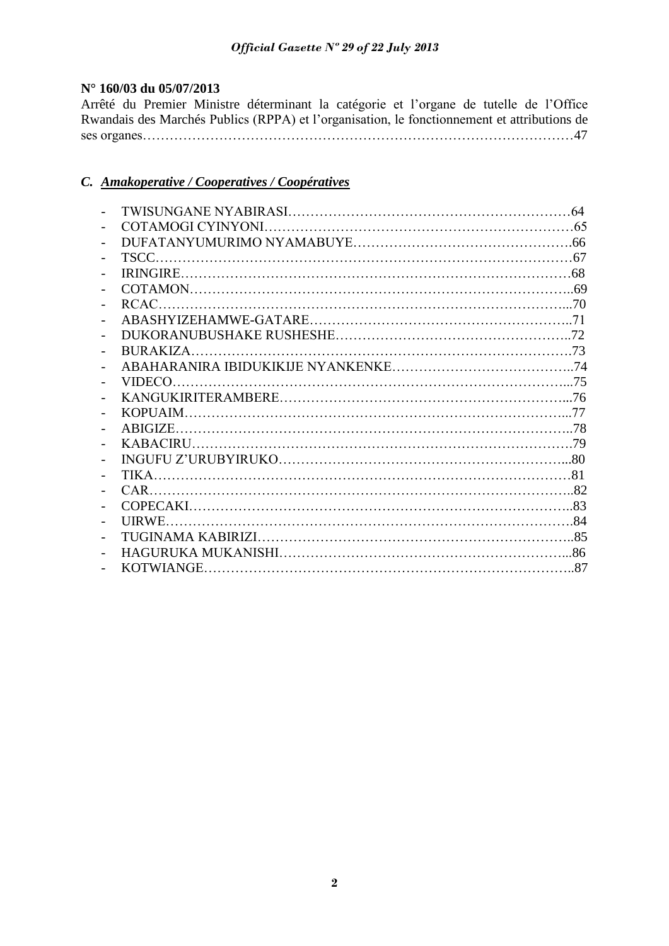## **N° 160/03 du 05/07/2013**

Arrêté du Premier Ministre déterminant la catégorie et l'organe de tutelle de l'Office Rwandais des Marchés Publics (RPPA) et l'organisation, le fonctionnement et attributions de ses organes……………………………………………………………………………………47

## *C. Amakoperative / Cooperatives / Coopératives*

|           | 64 |
|-----------|----|
|           |    |
|           |    |
|           |    |
|           |    |
|           |    |
|           |    |
|           |    |
|           |    |
| BURAKIZA. |    |
|           |    |
| VIDECO.   |    |
|           |    |
|           |    |
|           |    |
|           |    |
|           |    |
|           |    |
|           |    |
|           |    |
|           |    |
|           |    |
|           |    |
|           |    |
|           |    |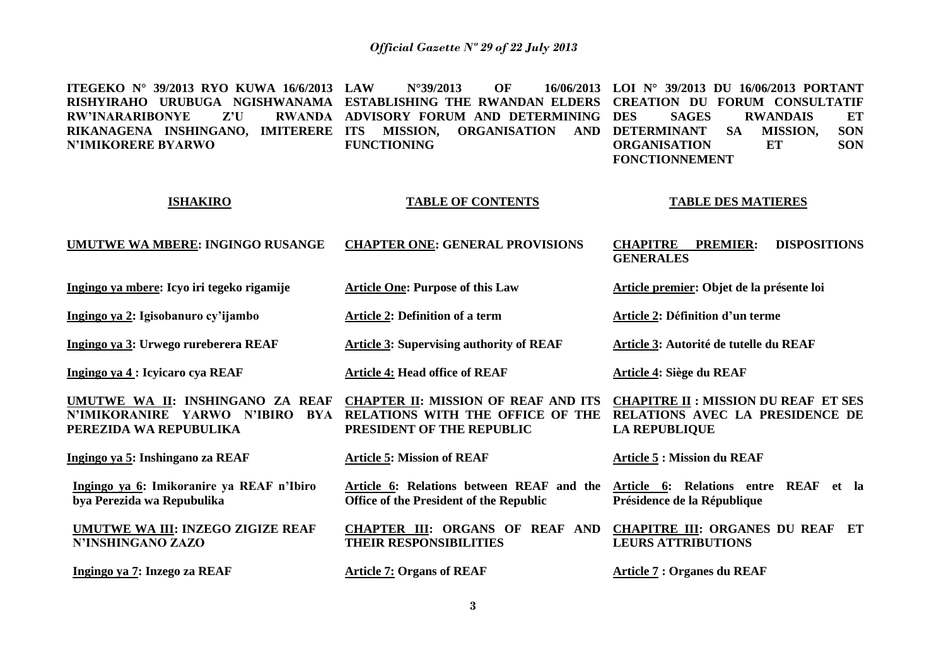**ITEGEKO N° 39/2013 RYO KUWA 16/6/2013 RISHYIRAHO URUBUGA NGISHWANAMA ESTABLISHING THE RWANDAN ELDERS CREATION DU FORUM CONSULTATIF RW'INARARIBONYE Z'U RIKANAGENA INSHINGANO, IMITERERE N'IMIKORERE BYARWO LAU N°39/2013 OF** RWANDA ADVISORY FORUM AND DETERMINING DES **ITS MISSION, ORGANISATION AND DETERMINANT SA MISSION, SON FUNCTIONING LOI N° 39/2013 DU 16/06/2013 PORTANT DES SAGES RWANDAIS ET**<br> **DESCRIPTION**<br> **DESCRIPTION ORGANISATION ET SON FONCTIONNEMENT**

#### **ISHAKIRO**

#### **TABLE OF CONTENTS**

#### **TABLE DES MATIERES**

**Article premier: Objet de la présente loi**

**Article 3: Autorité de tutelle du REAF** 

**Article 2: Définition d'un terme** 

#### **UMUTWE WA MBERE: INGINGO RUSANGE CHAPTER ONE: GENERAL PROVISIONS CHAPITRE PREMIER: DISPOSITIONS GENERALES**

**Article 3: Supervising authority of REAF** 

**Ingingo ya mbere: Icyo iri tegeko rigamije** 

**Ingingo ya 2: Igisobanuro cy'ijambo**

**Ingingo ya 3: Urwego rureberera REAF**

**Ingingo ya 4 : Icyicaro cya REAF**

**Article 4: Head office of REAF** 

**Article One: Purpose of this Law**

**Article 2: Definition of a term** 

**UMUTWE WA II: INSHINGANO ZA REAF CHAPTER II: MISSION OF REAF AND ITS N'IMIKORANIRE YARWO N'IBIRO BYA RELATIONS WITH THE OFFICE OF THE PEREZIDA WA REPUBULIKA PRESIDENT OF THE REPUBLIC**

**Ingingo ya 5: Inshingano za REAF**

**Ingingo ya 6: Imikoranire ya REAF n'Ibiro bya Perezida wa Repubulika** 

**UMUTWE WA III: INZEGO ZIGIZE REAF N'INSHINGANO ZAZO** 

**Ingingo ya 7: Inzego za REAF**

**Article 5: Mission of REAF** 

**Article 6: Relations between REAF and the Office of the President of the Republic**

**THEIR RESPONSIBILITIES** 

**Article 7: Organs of REAF** 

**CHAPITRE II : MISSION DU REAF ET SES** 

**Article 4: Siège du REAF**

**RELATIONS AVEC LA PRESIDENCE DE LA REPUBLIQUE**

**Article 5 : Mission du REAF** 

**Article 6: Relations entre REAF et la Présidence de la République**

**CHAPTER III: ORGANS OF REAF AND CHAPITRE III: ORGANES DU REAF ET LEURS ATTRIBUTIONS**

**Article 7 : Organes du REAF**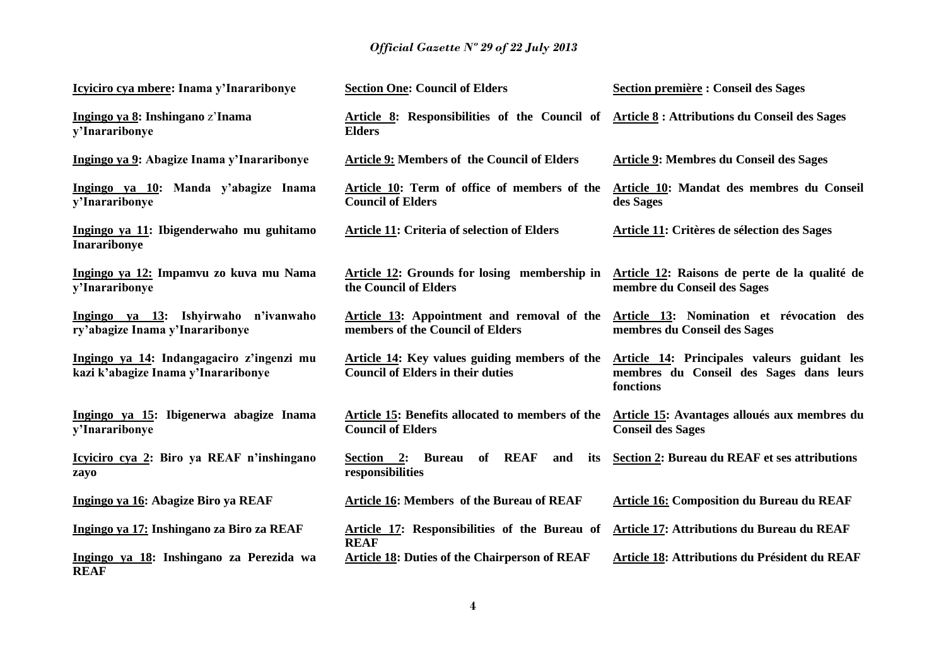| Icyiciro cya mbere: Inama y'Inararibonye                                         | <b>Section One: Council of Elders</b>                                                                       | <b>Section première : Conseil des Sages</b>                                                         |
|----------------------------------------------------------------------------------|-------------------------------------------------------------------------------------------------------------|-----------------------------------------------------------------------------------------------------|
| Ingingo ya 8: Inshingano z'Inama<br>y'Inararibonye                               | Article 8: Responsibilities of the Council of Article 8: Attributions du Conseil des Sages<br><b>Elders</b> |                                                                                                     |
| Ingingo ya 9: Abagize Inama y'Inararibonye                                       | <b>Article 9: Members of the Council of Elders</b>                                                          | <b>Article 9: Membres du Conseil des Sages</b>                                                      |
| Ingingo ya 10: Manda y'abagize Inama<br>y'Inararibonye                           | Article 10: Term of office of members of the<br><b>Council of Elders</b>                                    | Article 10: Mandat des membres du Conseil<br>des Sages                                              |
| Ingingo ya 11: Ibigenderwaho mu guhitamo<br><b>Inararibonye</b>                  | <b>Article 11: Criteria of selection of Elders</b>                                                          | <b>Article 11: Critères de sélection des Sages</b>                                                  |
| Ingingo ya 12: Impamvu zo kuva mu Nama<br>y'Inararibonye                         | <b>Article 12:</b> Grounds for losing membership in<br>the Council of Elders                                | Article 12: Raisons de perte de la qualité de<br>membre du Conseil des Sages                        |
| Ingingo ya 13: Ishyirwaho n'ivanwaho<br>ry'abagize Inama y'Inararibonye          | Article 13: Appointment and removal of the<br>members of the Council of Elders                              | Article 13: Nomination et révocation des<br>membres du Conseil des Sages                            |
| Ingingo ya 14: Indangagaciro z'ingenzi mu<br>kazi k'abagize Inama y'Inararibonye | <b>Article 14:</b> Key values guiding members of the<br><b>Council of Elders in their duties</b>            | Article 14: Principales valeurs guidant les<br>membres du Conseil des Sages dans leurs<br>fonctions |
| Ingingo ya 15: Ibigenerwa abagize Inama<br>y'Inararibonye                        | Article 15: Benefits allocated to members of the<br><b>Council of Elders</b>                                | Article 15: Avantages alloués aux membres du<br><b>Conseil des Sages</b>                            |
| Icyiciro cya 2: Biro ya REAF n'inshingano<br>zayo                                | of REAF<br>Section 2: Bureau<br>and<br>its<br>responsibilities                                              | Section 2: Bureau du REAF et ses attributions                                                       |
| Ingingo ya 16: Abagize Biro ya REAF                                              | <b>Article 16: Members of the Bureau of REAF</b>                                                            | <b>Article 16: Composition du Bureau du REAF</b>                                                    |
| Ingingo ya 17: Inshingano za Biro za REAF                                        | Article 17: Responsibilities of the Bureau of<br><b>REAF</b>                                                | Article 17: Attributions du Bureau du REAF                                                          |
| Ingingo ya 18: Inshingano za Perezida wa<br><b>REAF</b>                          | <b>Article 18: Duties of the Chairperson of REAF</b>                                                        | Article 18: Attributions du Président du REAF                                                       |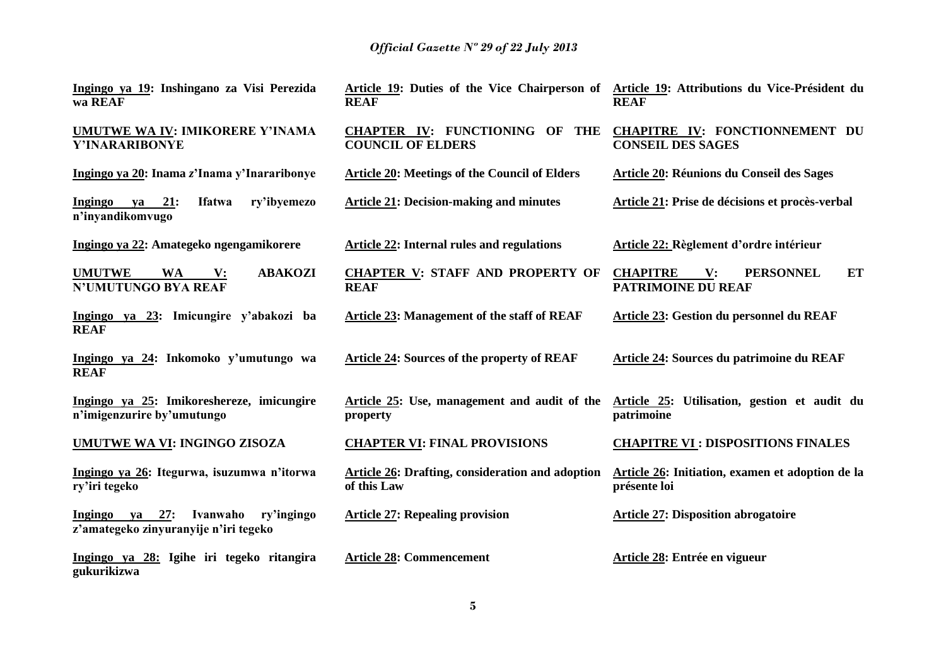| Ingingo ya 19: Inshingano za Visi Perezida<br>wa REAF                                        | Article 19: Duties of the Vice Chairperson of Article 19: Attributions du Vice-Président du<br><b>REAF</b> | <b>REAF</b>                                                                  |
|----------------------------------------------------------------------------------------------|------------------------------------------------------------------------------------------------------------|------------------------------------------------------------------------------|
| <b>UMUTWE WA IV: IMIKORERE Y'INAMA</b><br>Y'INARARIBONYE                                     | <b>CHAPTER IV: FUNCTIONING OF</b><br>THE<br><b>COUNCIL OF ELDERS</b>                                       | CHAPITRE IV: FONCTIONNEMENT DU<br><b>CONSEIL DES SAGES</b>                   |
| Ingingo ya 20: Inama z'Inama y'Inararibonye                                                  | <b>Article 20: Meetings of the Council of Elders</b>                                                       | <b>Article 20: Réunions du Conseil des Sages</b>                             |
| 21:<br><b>Ifatwa</b><br>ry'ibyemezo<br>Ingingo<br>ya<br>n'inyandikomvugo                     | <b>Article 21: Decision-making and minutes</b>                                                             | Article 21: Prise de décisions et procès-verbal                              |
| Ingingo ya 22: Amategeko ngengamikorere                                                      | <b>Article 22: Internal rules and regulations</b>                                                          | Article 22: Règlement d'ordre intérieur                                      |
| <b>UMUTWE</b><br><b>ABAKOZI</b><br><b>WA</b><br>$\mathbf{V}$ :<br><b>N'UMUTUNGO BYA REAF</b> | <b>CHAPTER V: STAFF AND PROPERTY OF</b><br><b>REAF</b>                                                     | ET<br><b>PERSONNEL</b><br><b>CHAPITRE</b><br>V:<br><b>PATRIMOINE DU REAF</b> |
| Ingingo ya 23: Imicungire y'abakozi ba<br><b>REAF</b>                                        | Article 23: Management of the staff of REAF                                                                | Article 23: Gestion du personnel du REAF                                     |
| Ingingo ya 24: Inkomoko y'umutungo wa<br><b>REAF</b>                                         | Article 24: Sources of the property of REAF                                                                | Article 24: Sources du patrimoine du REAF                                    |
| Ingingo ya 25: Imikoreshereze, imicungire<br>n'imigenzurire by'umutungo                      | Article 25: Use, management and audit of the<br>property                                                   | Article 25: Utilisation, gestion et audit du<br>patrimoine                   |
| <b>UMUTWE WA VI: INGINGO ZISOZA</b>                                                          | <b>CHAPTER VI: FINAL PROVISIONS</b>                                                                        | <b>CHAPITRE VI : DISPOSITIONS FINALES</b>                                    |
| Ingingo ya 26: Itegurwa, isuzumwa n'itorwa<br>ry'iri tegeko                                  | Article 26: Drafting, consideration and adoption<br>of this Law                                            | Article 26: Initiation, examen et adoption de la<br>présente loi             |
| 27:<br>Ivanwaho<br>ry'ingingo<br>Ingingo ya<br>z'amategeko zinyuranyije n'iri tegeko         | <b>Article 27: Repealing provision</b>                                                                     | <b>Article 27: Disposition abrogatoire</b>                                   |
| Ingingo ya 28: Igihe iri tegeko ritangira<br>gukurikizwa                                     | <b>Article 28: Commencement</b>                                                                            | Article 28: Entrée en vigueur                                                |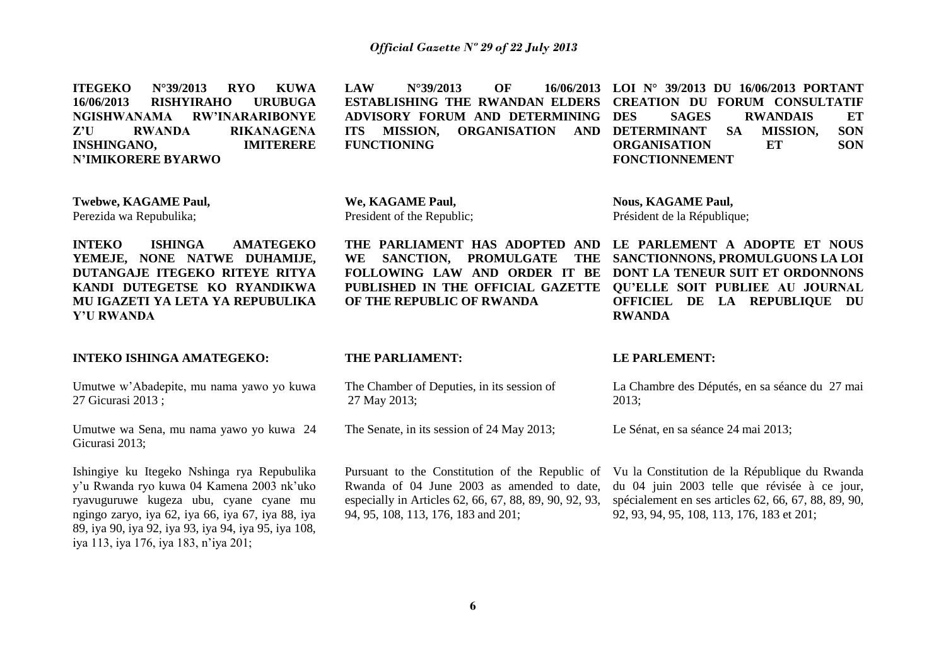**ITEGEKO N°39/2013 RYO KUWA 16/06/2013 RISHYIRAHO URUBUGA NGISHWANAMA RW'INARARIBONYE Z'U RWANDA RIKANAGENA INSHINGANO, IMITERERE N'IMIKORERE BYARWO LAW N°39/2013 OF 16/06/2013 LOI N° 39/2013 DU 16/06/2013 PORTANT ESTABLISHING THE RWANDAN ELDERS CREATION DU FORUM CONSULTATIF ADVISORY FORUM AND DETERMINING ITS MISSION, ORGANISATION AND DETERMINANT SA MISSION, SON FUNCTIONING DES SAGES RWANDAIS ET**<br> **DESCRIPTION**<br> **DESCRIPTION ORGANISATION ET SON FONCTIONNEMENT**

**Twebwe, KAGAME Paul,**  Perezida wa Repubulika;

**INTEKO ISHINGA AMATEGEKO YEMEJE, NONE NATWE DUHAMIJE, DUTANGAJE ITEGEKO RITEYE RITYA KANDI DUTEGETSE KO RYANDIKWA MU IGAZETI YA LETA YA REPUBULIKA Y'U RWANDA** 

### **INTEKO ISHINGA AMATEGEKO:**

Umutwe w'Abadepite, mu nama yawo yo kuwa 27 Gicurasi 2013 ;

Umutwe wa Sena, mu nama yawo yo kuwa 24 Gicurasi 2013;

Ishingiye ku Itegeko Nshinga rya Repubulika y'u Rwanda ryo kuwa 04 Kamena 2003 nk'uko ryavuguruwe kugeza ubu, cyane cyane mu ngingo zaryo, iya 62, iya 66, iya 67, iya 88, iya 89, iya 90, iya 92, iya 93, iya 94, iya 95, iya 108, iya 113, iya 176, iya 183, n'iya 201;

**We, KAGAME Paul,**  President of the Republic;

**THE PARLIAMENT HAS ADOPTED AND LE PARLEMENT A ADOPTE ET NOUS WE SANCTION, PROMULGATE THE OF THE REPUBLIC OF RWANDA** 

**Nous, KAGAME Paul,**  Président de la République;

**FOLLOWING LAW AND ORDER IT BE DONT LA TENEUR SUIT ET ORDONNONS PUBLISHED IN THE OFFICIAL GAZETTE QU'ELLE SOIT PUBLIEE AU JOURNAL SANCTIONNONS, PROMULGUONS LA LOI OFFICIEL DE LA REPUBLIQUE DU RWANDA** 

#### **THE PARLIAMENT:**

The Chamber of Deputies, in its session of 27 May 2013;

The Senate, in its session of 24 May 2013;

Pursuant to the Constitution of the Republic of Rwanda of 04 June 2003 as amended to date, especially in Articles 62, 66, 67, 88, 89, 90, 92, 93, 94, 95, 108, 113, 176, 183 and 201;

#### **LE PARLEMENT:**

La Chambre des Députés, en sa séance du 27 mai 2013;

Le Sénat, en sa séance 24 mai 2013;

Vu la Constitution de la République du Rwanda du 04 juin 2003 telle que révisée à ce jour, spécialement en ses articles 62, 66, 67, 88, 89, 90, 92, 93, 94, 95, 108, 113, 176, 183 et 201;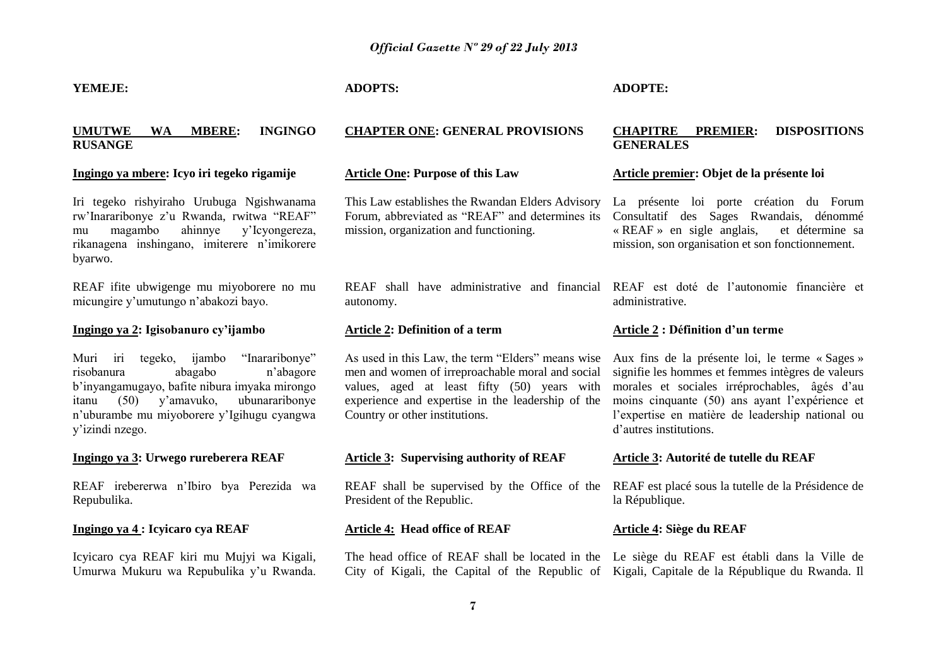#### **YEMEJE:**

## **UMUTWE WA MBERE: INGINGO RUSANGE**

#### **Ingingo ya mbere: Icyo iri tegeko rigamije**

Iri tegeko rishyiraho Urubuga Ngishwanama rw'Inararibonye z'u Rwanda, rwitwa "REAF" mu magambo ahinnye y'Icyongereza, rikanagena inshingano, imiterere n'imikorere byarwo.

REAF ifite ubwigenge mu miyoborere no mu micungire y'umutungo n'abakozi bayo.

### **Ingingo ya 2: Igisobanuro cy'ijambo**

Muri iri tegeko, ijambo "Inararibonye" risobanura abagabo n'abagore b'inyangamugayo, bafite nibura imyaka mirongo itanu (50) y'amavuko, ubunararibonye n'uburambe mu miyoborere y'Igihugu cyangwa y'izindi nzego.

#### **Ingingo ya 3: Urwego rureberera REAF**

REAF irebererwa n'Ibiro bya Perezida wa Repubulika.

## **Ingingo ya 4 : Icyicaro cya REAF**

Icyicaro cya REAF kiri mu Mujyi wa Kigali, Umurwa Mukuru wa Repubulika y'u Rwanda.

## **ADOPTS:**

## **CHAPTER ONE: GENERAL PROVISIONS**

#### **Article One: Purpose of this Law**

This Law establishes the Rwandan Elders Advisory Forum, abbreviated as "REAF" and determines its mission, organization and functioning.

REAF shall have administrative and financial autonomy.

### **Article 2: Definition of a term**

As used in this Law, the term "Elders" means wise Aux fins de la présente loi, le terme « Sages » men and women of irreproachable moral and social values, aged at least fifty (50) years with experience and expertise in the leadership of the Country or other institutions.

#### **Article 3: Supervising authority of REAF**

REAF shall be supervised by the Office of the President of the Republic.

#### **Article 4: Head office of REAF**

## **ADOPTE:**

## **CHAPITRE PREMIER: DISPOSITIONS GENERALES**

#### **Article premier: Objet de la présente loi**

La présente loi porte création du Forum Consultatif des Sages Rwandais, dénommé « REAF » en sigle anglais, et détermine sa mission, son organisation et son fonctionnement.

REAF est doté de l'autonomie financière et administrative.

### **Article 2 : Définition d'un terme**

signifie les hommes et femmes intègres de valeurs morales et sociales irréprochables, âgés d'au moins cinquante (50) ans ayant l'expérience et l'expertise en matière de leadership national ou d'autres institutions.

#### **Article 3: Autorité de tutelle du REAF**

REAF est placé sous la tutelle de la Présidence de la République.

### **Article 4: Siège du REAF**

The head office of REAF shall be located in the Le siège du REAF est établi dans la Ville de City of Kigali, the Capital of the Republic of Kigali, Capitale de la République du Rwanda. Il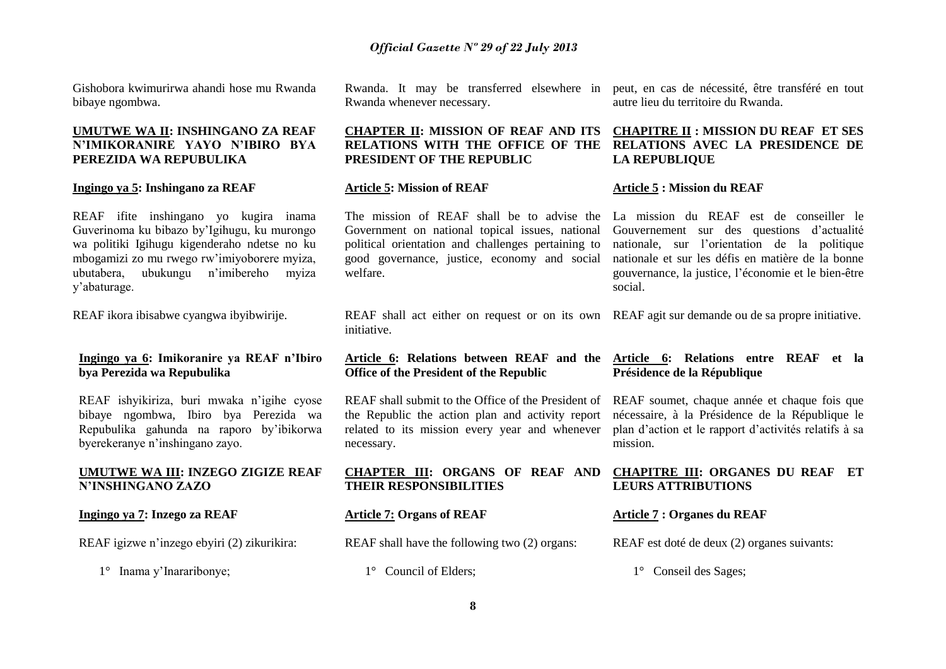Gishobora kwimurirwa ahandi hose mu Rwanda bibaye ngombwa.

## **UMUTWE WA II: INSHINGANO ZA REAF N'IMIKORANIRE YAYO N'IBIRO BYA PEREZIDA WA REPUBULIKA**

#### **Ingingo ya 5: Inshingano za REAF**

REAF ifite inshingano yo kugira inama Guverinoma ku bibazo by'Igihugu, ku murongo wa politiki Igihugu kigenderaho ndetse no ku mbogamizi zo mu rwego rw'imiyoborere myiza, ubutabera, ubukungu n'imibereho myiza y'abaturage.

REAF ikora ibisabwe cyangwa ibyibwirije.

## **Ingingo ya 6: Imikoranire ya REAF n'Ibiro bya Perezida wa Repubulika**

REAF ishyikiriza, buri mwaka n'igihe cyose bibaye ngombwa, Ibiro bya Perezida wa Repubulika gahunda na raporo by'ibikorwa byerekeranye n'inshingano zayo.

### **UMUTWE WA III: INZEGO ZIGIZE REAF N'INSHINGANO ZAZO**

**Ingingo ya 7: Inzego za REAF**

REAF igizwe n'inzego ebyiri (2) zikurikira:

1° Inama y'Inararibonye;

Rwanda whenever necessary.

## **CHAPTER II: MISSION OF REAF AND ITS PRESIDENT OF THE REPUBLIC**

#### **Article 5: Mission of REAF**

initiative.

necessary.

Government on national topical issues, national Gouvernement sur des questions d'actualité political orientation and challenges pertaining to good governance, justice, economy and social nationale et sur les défis en matière de la bonne welfare.

Rwanda. It may be transferred elsewhere in peut, en cas de nécessité, être transféré en tout autre lieu du territoire du Rwanda.

## **RELATIONS WITH THE OFFICE OF THE RELATIONS AVEC LA PRESIDENCE DE CHAPITRE II : MISSION DU REAF ET SES LA REPUBLIQUE**

#### **Article 5 : Mission du REAF**

The mission of REAF shall be to advise the La mission du REAF est de conseiller le nationale, sur l'orientation de la politique gouvernance, la justice, l'économie et le bien-être social.

REAF shall act either on request or on its own REAF agit sur demande ou de sa propre initiative.

#### **Article 6: Relations between REAF and the Article 6: Relations entre REAF et la Office of the President of the Republic Présidence de la République**

REAF shall submit to the Office of the President of the Republic the action plan and activity report related to its mission every year and whenever mission.

| CHAPTER III: ORGANS OF REAF AND |  |  |  |
|---------------------------------|--|--|--|
| <b>THEIR RESPONSIBILITIES</b>   |  |  |  |

## **Article 7: Organs of REAF**

REAF shall have the following two (2) organs:

1° Council of Elders;

## REAF soumet, chaque année et chaque fois que nécessaire, à la Présidence de la République le plan d'action et le rapport d'activités relatifs à sa

### **CHAPITRE III: ORGANES DU REAF ET LEURS ATTRIBUTIONS**

## **Article 7 : Organes du REAF**

REAF est doté de deux (2) organes suivants:

1° Conseil des Sages;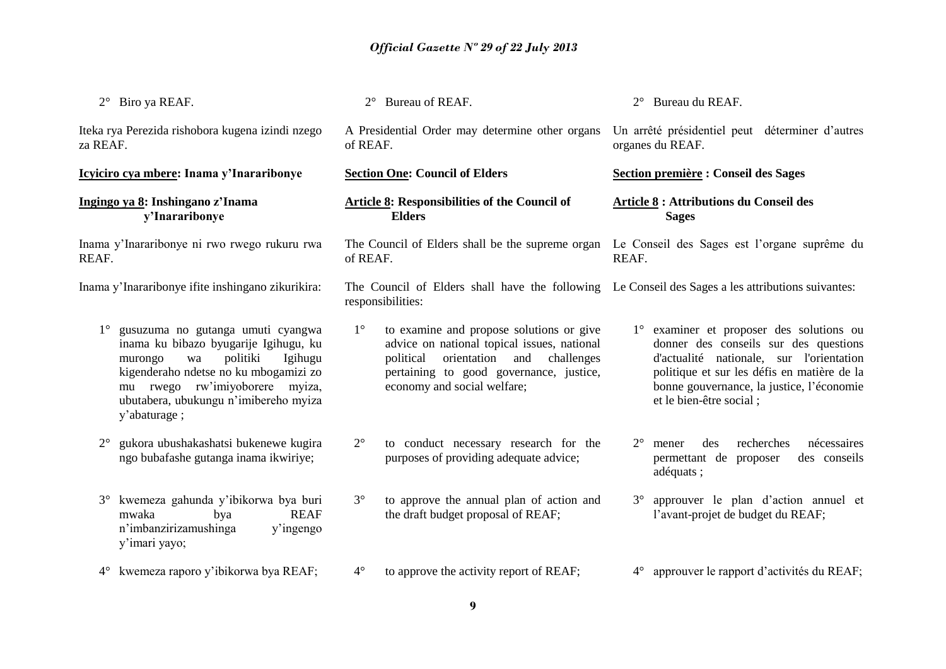| 2° Biro ya REAF.                                                                                                                                                                                                                                                      | 2° Bureau of REAF.                                                                                                                                                                                                       | 2° Bureau du REAF.                                                                                                                                                                                                                                   |
|-----------------------------------------------------------------------------------------------------------------------------------------------------------------------------------------------------------------------------------------------------------------------|--------------------------------------------------------------------------------------------------------------------------------------------------------------------------------------------------------------------------|------------------------------------------------------------------------------------------------------------------------------------------------------------------------------------------------------------------------------------------------------|
| Iteka rya Perezida rishobora kugena izindi nzego<br>za REAF.                                                                                                                                                                                                          | A Presidential Order may determine other organs<br>of REAF.                                                                                                                                                              | Un arrêté présidentiel peut déterminer d'autres<br>organes du REAF.                                                                                                                                                                                  |
| Icyiciro cya mbere: Inama y'Inararibonye                                                                                                                                                                                                                              | <b>Section One: Council of Elders</b>                                                                                                                                                                                    | <b>Section première : Conseil des Sages</b>                                                                                                                                                                                                          |
| Ingingo ya 8: Inshingano z'Inama<br>y'Inararibonye                                                                                                                                                                                                                    | <b>Article 8: Responsibilities of the Council of</b><br><b>Elders</b>                                                                                                                                                    | <b>Article 8 : Attributions du Conseil des</b><br><b>Sages</b>                                                                                                                                                                                       |
| Inama y'Inararibonye ni rwo rwego rukuru rwa<br>REAF.                                                                                                                                                                                                                 | The Council of Elders shall be the supreme organ Le Conseil des Sages est l'organe suprême du<br>of REAF.                                                                                                                | REAF.                                                                                                                                                                                                                                                |
| Inama y'Inararibonye ifite inshingano zikurikira:                                                                                                                                                                                                                     | The Council of Elders shall have the following Le Conseil des Sages a les attributions suivantes:<br>responsibilities:                                                                                                   |                                                                                                                                                                                                                                                      |
| gusuzuma no gutanga umuti cyangwa<br>$1^{\circ}$<br>inama ku bibazo byugarije Igihugu, ku<br>politiki<br>Igihugu<br>murongo<br>wa<br>kigenderaho ndetse no ku mbogamizi zo<br>mu rwego rw'imiyoborere myiza,<br>ubutabera, ubukungu n'imibereho myiza<br>y'abaturage; | $1^{\circ}$<br>to examine and propose solutions or give<br>advice on national topical issues, national<br>political orientation and challenges<br>pertaining to good governance, justice,<br>economy and social welfare; | 1° examiner et proposer des solutions ou<br>donner des conseils sur des questions<br>d'actualité nationale, sur l'orientation<br>politique et sur les défis en matière de la<br>bonne gouvernance, la justice, l'économie<br>et le bien-être social; |
| gukora ubushakashatsi bukenewe kugira<br>$2^{\circ}$<br>ngo bubafashe gutanga inama ikwiriye;                                                                                                                                                                         | $2^{\circ}$<br>to conduct necessary research for the<br>purposes of providing adequate advice;                                                                                                                           | $2^{\circ}$<br>mener<br>des<br>recherches<br>nécessaires<br>permettant de<br>proposer<br>des conseils<br>adéquats;                                                                                                                                   |
| kwemeza gahunda y'ibikorwa bya buri<br>$3^\circ$<br><b>REAF</b><br>mwaka<br>bya<br>n'imbanzirizamushinga<br>y'ingengo<br>y'imari yayo;                                                                                                                                | $3^\circ$<br>to approve the annual plan of action and<br>the draft budget proposal of REAF;                                                                                                                              | 3° approuver le plan d'action annuel et<br>l'avant-projet de budget du REAF;                                                                                                                                                                         |
| kwemeza raporo y'ibikorwa bya REAF;<br>$4^{\circ}$                                                                                                                                                                                                                    | $4^\circ$<br>to approve the activity report of REAF;                                                                                                                                                                     | 4° approuver le rapport d'activités du REAF;                                                                                                                                                                                                         |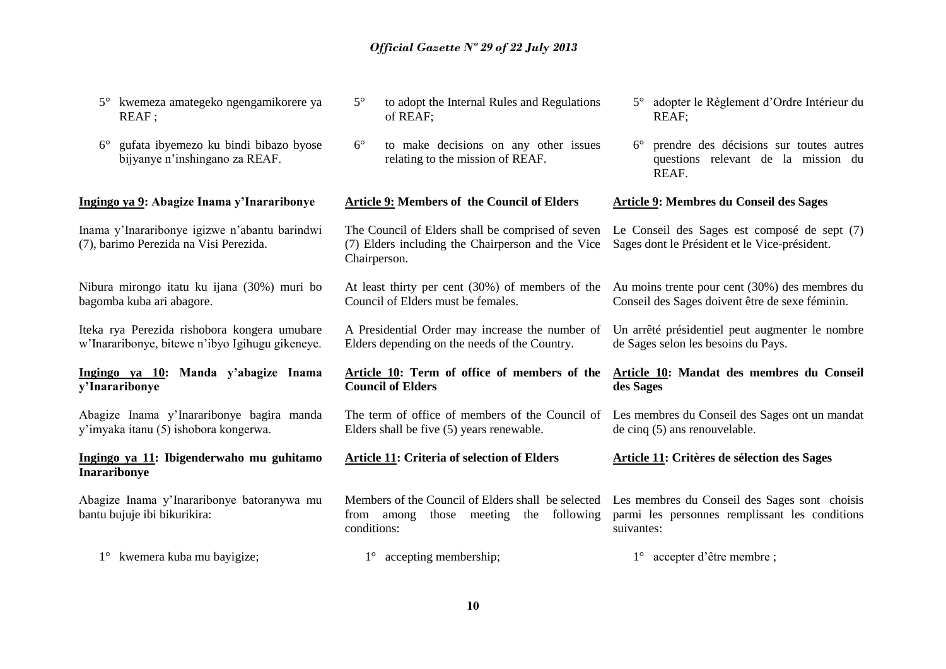| kwemeza amategeko ngengamikorere ya<br>$5^{\circ}$<br>REAF;                                     | $5^\circ$<br>to adopt the Internal Rules and Regulations<br>of REAF;                                                                                                  | 5° adopter le Règlement d'Ordre Intérieur du<br>REAF;                                                  |
|-------------------------------------------------------------------------------------------------|-----------------------------------------------------------------------------------------------------------------------------------------------------------------------|--------------------------------------------------------------------------------------------------------|
| gufata ibyemezo ku bindi bibazo byose<br>$6^{\circ}$<br>bijyanye n'inshingano za REAF.          | $6^{\circ}$<br>to make decisions on any other issues<br>relating to the mission of REAF.                                                                              | prendre des décisions sur toutes autres<br>$6^{\circ}$<br>questions relevant de la mission du<br>REAF. |
| Ingingo ya 9: Abagize Inama y'Inararibonye                                                      | <b>Article 9: Members of the Council of Elders</b>                                                                                                                    | <b>Article 9: Membres du Conseil des Sages</b>                                                         |
| Inama y'Inararibonye igizwe n'abantu barindwi<br>(7), barimo Perezida na Visi Perezida.         | The Council of Elders shall be comprised of seven<br>(7) Elders including the Chairperson and the Vice<br>Chairperson.                                                | Le Conseil des Sages est composé de sept (7)<br>Sages dont le Président et le Vice-président.          |
| Nibura mirongo itatu ku ijana (30%) muri bo<br>bagomba kuba ari abagore.                        | At least thirty per cent $(30%)$ of members of the<br>Council of Elders must be females.                                                                              | Au moins trente pour cent (30%) des membres du<br>Conseil des Sages doivent être de sexe féminin.      |
| Iteka rya Perezida rishobora kongera umubare<br>w'Inararibonye, bitewe n'ibyo Igihugu gikeneye. | A Presidential Order may increase the number of<br>Elders depending on the needs of the Country.                                                                      | Un arrêté présidentiel peut augmenter le nombre<br>de Sages selon les besoins du Pays.                 |
| Ingingo ya 10: Manda y'abagize Inama<br>y'Inararibonye                                          | Article 10: Term of office of members of the<br><b>Council of Elders</b>                                                                                              | Article 10: Mandat des membres du Conseil<br>des Sages                                                 |
| Abagize Inama y'Inararibonye bagira manda<br>y'imyaka itanu (5) ishobora kongerwa.              | The term of office of members of the Council of<br>Elders shall be five (5) years renewable.                                                                          | Les membres du Conseil des Sages ont un mandat<br>de cinq $(5)$ ans renouvelable.                      |
| Ingingo ya 11: Ibigenderwaho mu guhitamo<br><b>Inararibonye</b>                                 | Article 11: Criteria of selection of Elders                                                                                                                           | Article 11: Critères de sélection des Sages                                                            |
| Abagize Inama y'Inararibonye batoranywa mu<br>bantu bujuje ibi bikurikira:                      | Members of the Council of Elders shall be selected Les membres du Conseil des Sages sont choisis<br>following<br>from among<br>those<br>meeting<br>the<br>conditions: | parmi les personnes remplissant les conditions<br>suivantes:                                           |
| 1° kwemera kuba mu bayigize;                                                                    | $1^{\circ}$ accepting membership;                                                                                                                                     | $1^{\circ}$ accepter d'être membre ;                                                                   |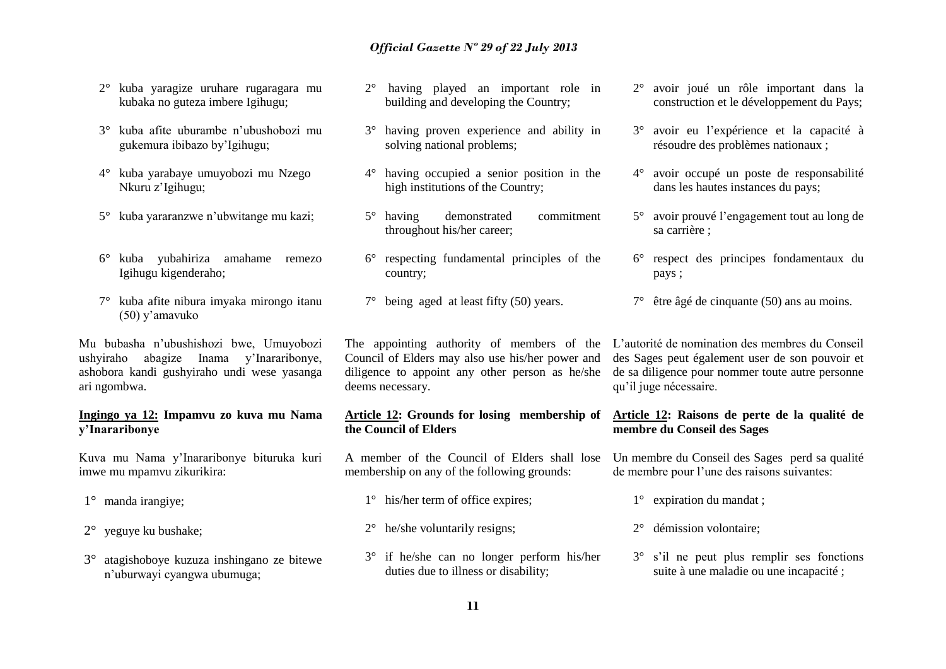- 2° kuba yaragize uruhare rugaragara mu kubaka no guteza imbere Igihugu;
- 3° kuba afite uburambe n'ubushobozi mu gukemura ibibazo by'Igihugu;
- 4° kuba yarabaye umuyobozi mu Nzego Nkuru z'Igihugu;
- 5° kuba yararanzwe n'ubwitange mu kazi;
- 6° kuba yubahiriza amahame remezo Igihugu kigenderaho;
- 7° kuba afite nibura imyaka mirongo itanu (50) y'amavuko

Mu bubasha n'ubushishozi bwe, Umuyobozi ushyiraho abagize Inama y'Inararibonye, ashobora kandi gushyiraho undi wese yasanga ari ngombwa.

## **Ingingo ya 12: Impamvu zo kuva mu Nama y'Inararibonye**

Kuva mu Nama y'Inararibonye bituruka kuri imwe mu mpamvu zikurikira:

- 1° manda irangiye;
- 2° yeguye ku bushake;
- 3° atagishoboye kuzuza inshingano ze bitewe n'uburwayi cyangwa ubumuga;
- 2° having played an important role in building and developing the Country;
- 3° having proven experience and ability in solving national problems;
- 4° having occupied a senior position in the high institutions of the Country:
- 5° having demonstrated commitment throughout his/her career;
- 6° respecting fundamental principles of the country;
- 7° being aged at least fifty (50) years.

Council of Elders may also use his/her power and diligence to appoint any other person as he/she deems necessary.

## **Article 12: Grounds for losing membership of the Council of Elders**

A member of the Council of Elders shall lose membership on any of the following grounds:

- 1° his/her term of office expires;
- 2° he/she voluntarily resigns;
- 3° if he/she can no longer perform his/her duties due to illness or disability;
- 2° avoir joué un rôle important dans la construction et le développement du Pays;
- 3° avoir eu l'expérience et la capacité à résoudre des problèmes nationaux ;
- 4° avoir occupé un poste de responsabilité dans les hautes instances du pays;
- 5° avoir prouvé l'engagement tout au long de sa carrière ;
- 6° respect des principes fondamentaux du pays ;
- 7° être âgé de cinquante (50) ans au moins.

The appointing authority of members of the L'autorité de nomination des membres du Conseil des Sages peut également user de son pouvoir et de sa diligence pour nommer toute autre personne qu'il juge nécessaire.

## **Article 12: Raisons de perte de la qualité de membre du Conseil des Sages**

Un membre du Conseil des Sages perd sa qualité de membre pour l'une des raisons suivantes:

- 1° expiration du mandat ;
- 2° démission volontaire;
- 3° s'il ne peut plus remplir ses fonctions suite à une maladie ou une incapacité ;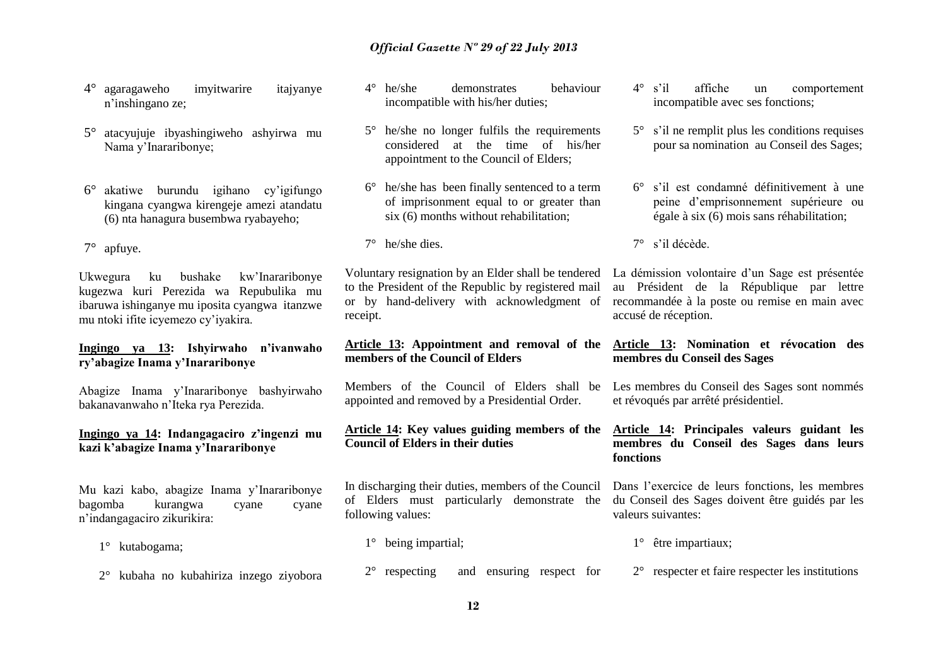- 4° agaragaweho imyitwarire itajyanye n'inshingano ze;
- 5° atacyujuje ibyashingiweho ashyirwa mu Nama y'Inararibonye;
- 6° akatiwe burundu igihano cy'igifungo kingana cyangwa kirengeje amezi atandatu (6) nta hanagura busembwa ryabayeho;

7° apfuye.

Ukwegura ku bushake kw'Inararibonye kugezwa kuri Perezida wa Repubulika mu ibaruwa ishinganye mu iposita cyangwa itanzwe mu ntoki ifite icyemezo cy'iyakira.

## **Ingingo ya 13: Ishyirwaho n'ivanwaho ry'abagize Inama y'Inararibonye**

Abagize Inama y'Inararibonye bashyirwaho bakanavanwaho n'Iteka rya Perezida.

## **Ingingo ya 14: Indangagaciro z'ingenzi mu kazi k'abagize Inama y'Inararibonye**

Mu kazi kabo, abagize Inama y'Inararibonye bagomba kurangwa cyane cyane n'indangagaciro zikurikira:

1° kutabogama;

2° kubaha no kubahiriza inzego ziyobora

- 4° he/she demonstrates behaviour incompatible with his/her duties;
- 5° he/she no longer fulfils the requirements considered at the time of his/her appointment to the Council of Elders;
- 6° he/she has been finally sentenced to a term of imprisonment equal to or greater than six (6) months without rehabilitation:
- 7° he/she dies.

Voluntary resignation by an Elder shall be tendered to the President of the Republic by registered mail or by hand-delivery with acknowledgment of receipt.

## **Article 13: Appointment and removal of the members of the Council of Elders**

appointed and removed by a Presidential Order.

## **Article 14: Key values guiding members of the Council of Elders in their duties**

In discharging their duties, members of the Council of Elders must particularly demonstrate the following values:

- 1° being impartial;
- 2° respecting and ensuring respect for
- 4° s'il affiche un comportement incompatible avec ses fonctions;
- 5° s'il ne remplit plus les conditions requises pour sa nomination au Conseil des Sages;
- 6° s'il est condamné définitivement à une peine d'emprisonnement supérieure ou égale à six (6) mois sans réhabilitation;
- 7° s'il décède.

La démission volontaire d'un Sage est présentée au Président de la République par lettre recommandée à la poste ou remise en main avec accusé de réception.

## **Article 13: Nomination et révocation des membres du Conseil des Sages**

Members of the Council of Elders shall be Les membres du Conseil des Sages sont nommés et révoqués par arrêté présidentiel.

## **Article 14: Principales valeurs guidant les membres du Conseil des Sages dans leurs fonctions**

Dans l'exercice de leurs fonctions, les membres du Conseil des Sages doivent être guidés par les valeurs suivantes:

- 1° être impartiaux;
- 2° respecter et faire respecter les institutions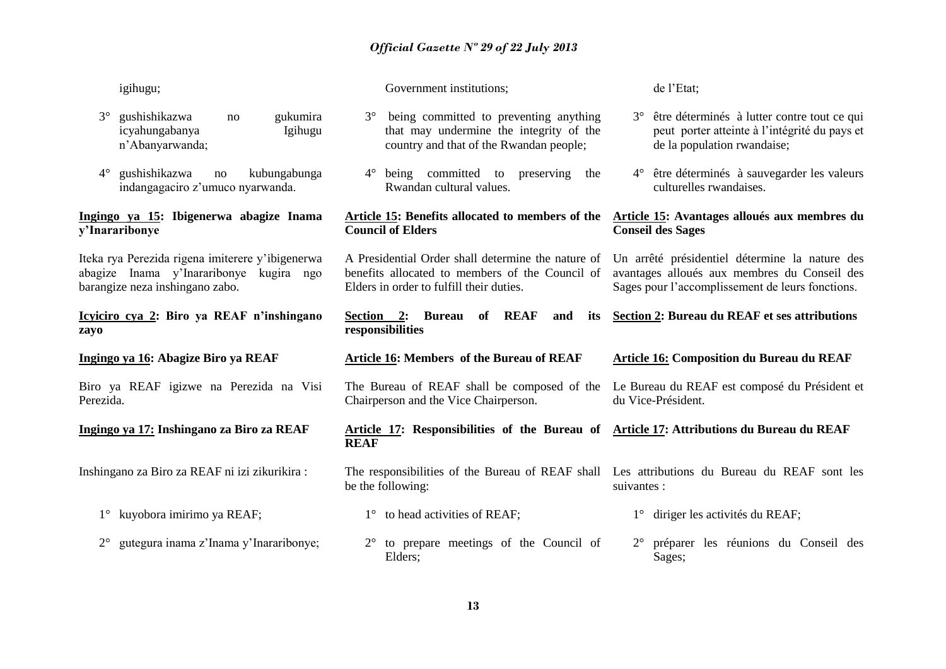| igihugu;                                                                                                                       | Government institutions;                                                                                                                          | de l'Etat;                                                                                                                                         |
|--------------------------------------------------------------------------------------------------------------------------------|---------------------------------------------------------------------------------------------------------------------------------------------------|----------------------------------------------------------------------------------------------------------------------------------------------------|
| $3^\circ$<br>gushishikazwa<br>gukumira<br>no<br>icyahungabanya<br>Igihugu<br>n'Abanyarwanda;                                   | being committed to preventing anything<br>$3^\circ$<br>that may undermine the integrity of the<br>country and that of the Rwandan people;         | être déterminés à lutter contre tout ce qui<br>$3^\circ$<br>peut porter atteinte à l'intégrité du pays et<br>de la population rwandaise;           |
| $4^\circ$<br>gushishikazwa<br>kubungabunga<br>no<br>indangagaciro z'umuco nyarwanda.                                           | 4° being committed to preserving the<br>Rwandan cultural values.                                                                                  | 4° être déterminés à sauvegarder les valeurs<br>culturelles rwandaises.                                                                            |
| Ingingo ya 15: Ibigenerwa abagize Inama<br>y'Inararibonye                                                                      | Article 15: Benefits allocated to members of the<br><b>Council of Elders</b>                                                                      | Article 15: Avantages alloués aux membres du<br><b>Conseil des Sages</b>                                                                           |
| Iteka rya Perezida rigena imiterere y'ibigenerwa<br>abagize Inama y'Inararibonye kugira ngo<br>barangize neza inshingano zabo. | A Presidential Order shall determine the nature of<br>benefits allocated to members of the Council of<br>Elders in order to fulfill their duties. | Un arrêté présidentiel détermine la nature des<br>avantages alloués aux membres du Conseil des<br>Sages pour l'accomplissement de leurs fonctions. |
| Icyiciro cya 2: Biro ya REAF n'inshingano<br>zayo                                                                              | Section 2: Bureau<br>of REAF<br>and<br>its<br>responsibilities                                                                                    | Section 2: Bureau du REAF et ses attributions                                                                                                      |
|                                                                                                                                |                                                                                                                                                   |                                                                                                                                                    |
| Ingingo ya 16: Abagize Biro ya REAF                                                                                            | <b>Article 16: Members of the Bureau of REAF</b>                                                                                                  | <b>Article 16: Composition du Bureau du REAF</b>                                                                                                   |
| Biro ya REAF igizwe na Perezida na Visi<br>Perezida.                                                                           | The Bureau of REAF shall be composed of the<br>Chairperson and the Vice Chairperson.                                                              | Le Bureau du REAF est composé du Président et<br>du Vice-Président.                                                                                |
| Ingingo ya 17: Inshingano za Biro za REAF                                                                                      | Article 17: Responsibilities of the Bureau of Article 17: Attributions du Bureau du REAF<br><b>REAF</b>                                           |                                                                                                                                                    |
| Inshingano za Biro za REAF ni izi zikurikira :                                                                                 | The responsibilities of the Bureau of REAF shall Les attributions du Bureau du REAF sont les<br>be the following:                                 | suivantes :                                                                                                                                        |
| kuyobora imirimo ya REAF;<br>$1^{\circ}$                                                                                       | to head activities of REAF;<br>$1^{\circ}$                                                                                                        | 1° diriger les activités du REAF;                                                                                                                  |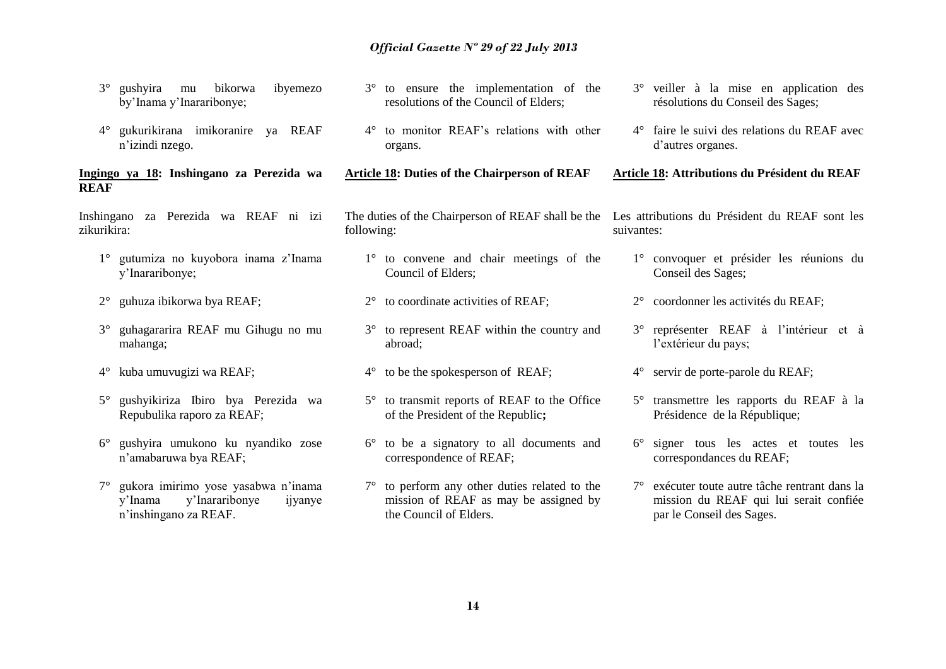- 3° gushyira mu bikorwa ibyemezo by'Inama y'Inararibonye;
- 4° gukurikirana imikoranire ya REAF n'izindi nzego.

## **Ingingo ya 18: Inshingano za Perezida wa REAF**

Inshingano za Perezida wa REAF ni izi zikurikira:

- 1° gutumiza no kuyobora inama z'Inama y'Inararibonye;
- 2° guhuza ibikorwa bya REAF;
- 3° guhagararira REAF mu Gihugu no mu mahanga;
- 4° kuba umuvugizi wa REAF;
- 5° gushyikiriza Ibiro bya Perezida wa Repubulika raporo za REAF;
- 6° gushyira umukono ku nyandiko zose n'amabaruwa bya REAF;
- 7° gukora imirimo yose yasabwa n'inama y'Inama y'Inararibonye ijyanye n'inshingano za REAF.
- 3° to ensure the implementation of the resolutions of the Council of Elders;
- 4° to monitor REAF's relations with other organs.

**Article 18: Duties of the Chairperson of REAF**

following:

- 1° to convene and chair meetings of the Council of Elders;
- 2° to coordinate activities of REAF;
- 3° to represent REAF within the country and abroad;
- 4° to be the spokesperson of REAF;
- 5° to transmit reports of REAF to the Office of the President of the Republic**;**
- 6° to be a signatory to all documents and correspondence of REAF;
- 7° to perform any other duties related to the mission of REAF as may be assigned by the Council of Elders.
- 3° veiller à la mise en application des résolutions du Conseil des Sages;
- 4° faire le suivi des relations du REAF avec d'autres organes.

**Article 18: Attributions du Président du REAF** 

The duties of the Chairperson of REAF shall be the Les attributions du Président du REAF sont les suivantes:

- 1° convoquer et présider les réunions du Conseil des Sages;
- 2° coordonner les activités du REAF;
- 3° représenter REAF à l'intérieur et à l'extérieur du pays;
- 4° servir de porte-parole du REAF;
- 5° transmettre les rapports du REAF à la Présidence de la République;
- 6° signer tous les actes et toutes les correspondances du REAF;
- 7° exécuter toute autre tâche rentrant dans la mission du REAF qui lui serait confiée par le Conseil des Sages.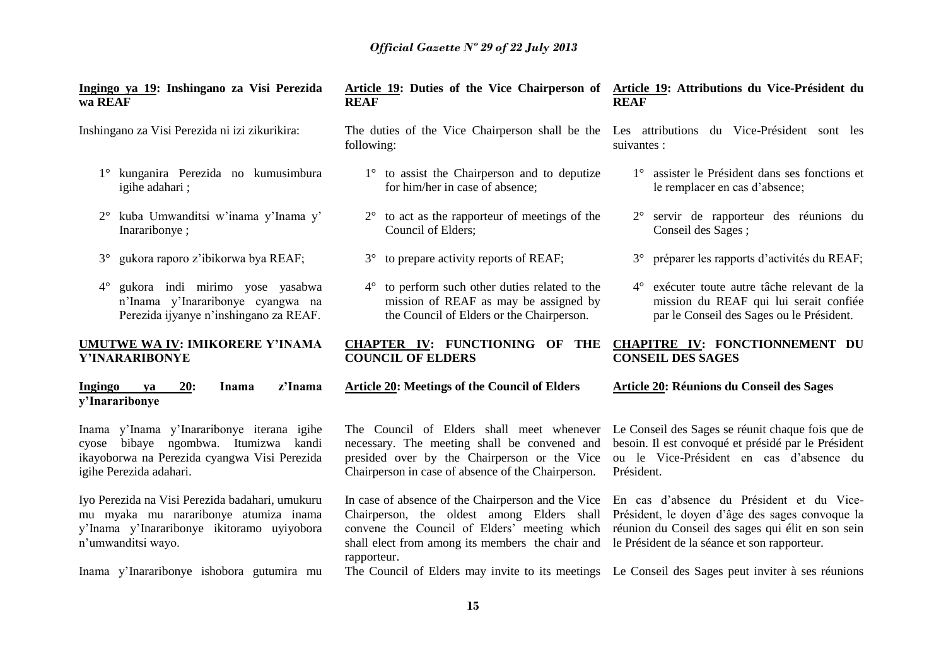**REAF**

**Ingingo ya 19: Inshingano za Visi Perezida wa REAF**

Inshingano za Visi Perezida ni izi zikurikira:

- 1° kunganira Perezida no kumusimbura igihe adahari ;
- 2° kuba Umwanditsi w'inama y'Inama y' Inararibonye ;
- 3° gukora raporo z'ibikorwa bya REAF;
- 4° gukora indi mirimo yose yasabwa n'Inama y'Inararibonye cyangwa na Perezida ijyanye n'inshingano za REAF.

## **UMUTWE WA IV: IMIKORERE Y'INAMA Y'INARARIBONYE**

**Ingingo ya 20: Inama z'Inama y'Inararibonye** 

Inama y'Inama y'Inararibonye iterana igihe cyose bibaye ngombwa. Itumizwa kandi ikayoborwa na Perezida cyangwa Visi Perezida igihe Perezida adahari.

Iyo Perezida na Visi Perezida badahari, umukuru mu myaka mu nararibonye atumiza inama y'Inama y'Inararibonye ikitoramo uyiyobora n'umwanditsi wayo.

Inama y'Inararibonye ishobora gutumira mu

## **Article 19: Duties of the Vice Chairperson of Article 19: Attributions du Vice-Président du REAF**

following:

- 1° to assist the Chairperson and to deputize for him/her in case of absence;
- 2° to act as the rapporteur of meetings of the Council of Elders;
- 3° to prepare activity reports of REAF;
- 4° to perform such other duties related to the mission of REAF as may be assigned by the Council of Elders or the Chairperson.

## **CHAPTER IV: FUNCTIONING OF THE COUNCIL OF ELDERS**

**Article 20: Meetings of the Council of Elders**

necessary. The meeting shall be convened and presided over by the Chairperson or the Vice Chairperson in case of absence of the Chairperson.

Chairperson, the oldest among Elders shall convene the Council of Elders' meeting which shall elect from among its members the chair and le Président de la séance et son rapporteur. rapporteur.

The Council of Elders may invite to its meetings Le Conseil des Sages peut inviter à ses réunions

- The duties of the Vice Chairperson shall be the Les attributions du Vice-Président sont les suivantes :
	- 1° assister le Président dans ses fonctions et le remplacer en cas d'absence;
	- 2° servir de rapporteur des réunions du Conseil des Sages ;
	- 3° préparer les rapports d'activités du REAF;
	- 4° exécuter toute autre tâche relevant de la mission du REAF qui lui serait confiée par le Conseil des Sages ou le Président.

## **CHAPITRE IV: FONCTIONNEMENT DU CONSEIL DES SAGES**

**Article 20: Réunions du Conseil des Sages**

The Council of Elders shall meet whenever Le Conseil des Sages se réunit chaque fois que de besoin. Il est convoqué et présidé par le Président ou le Vice-Président en cas d'absence du Président.

In case of absence of the Chairperson and the Vice En cas d'absence du Président et du Vice-Président, le doyen d'âge des sages convoque la réunion du Conseil des sages qui élit en son sein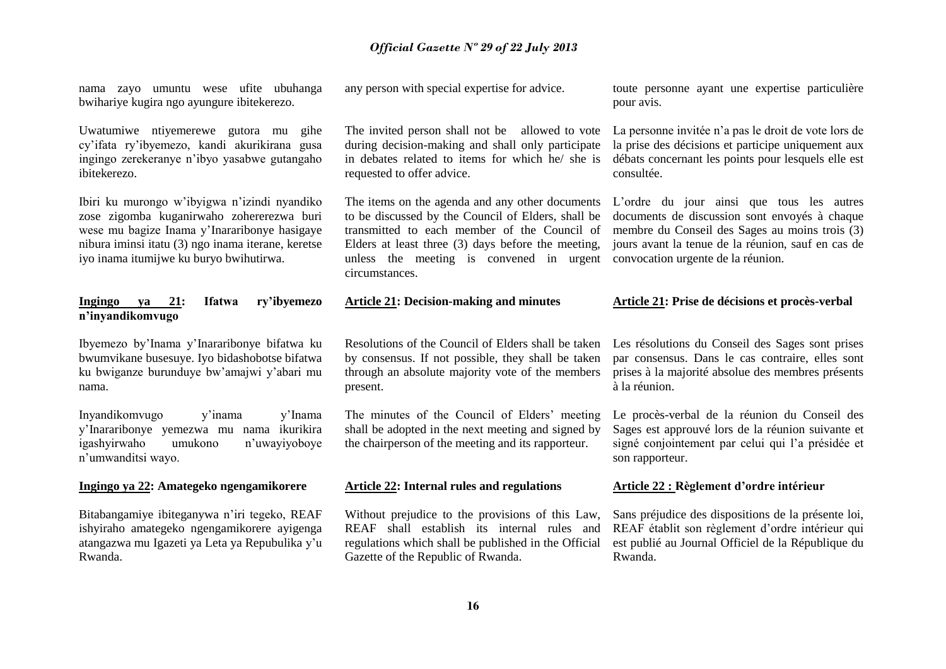nama zayo umuntu wese ufite ubuhanga bwihariye kugira ngo ayungure ibitekerezo.

Uwatumiwe ntiyemerewe gutora mu gihe cy'ifata ry'ibyemezo, kandi akurikirana gusa ingingo zerekeranye n'ibyo yasabwe gutangaho ibitekerezo.

Ibiri ku murongo w'ibyigwa n'izindi nyandiko zose zigomba kuganirwaho zohererezwa buri wese mu bagize Inama y'Inararibonye hasigaye nibura iminsi itatu (3) ngo inama iterane, keretse iyo inama itumijwe ku buryo bwihutirwa.

## **Ingingo ya 21: Ifatwa ry'ibyemezo n'inyandikomvugo**

Ibyemezo by'Inama y'Inararibonye bifatwa ku bwumvikane busesuye. Iyo bidashobotse bifatwa ku bwiganze burunduye bw'amajwi y'abari mu nama.

Inyandikomvugo y'inama y'Inama y'Inararibonye yemezwa mu nama ikurikira igashyirwaho umukono n'uwayiyoboye n'umwanditsi wayo.

### **Ingingo ya 22: Amategeko ngengamikorere**

Bitabangamiye ibiteganywa n'iri tegeko, REAF ishyiraho amategeko ngengamikorere ayigenga atangazwa mu Igazeti ya Leta ya Repubulika y'u Rwanda.

any person with special expertise for advice.

The invited person shall not be allowed to vote during decision-making and shall only participate in debates related to items for which he/ she is requested to offer advice.

The items on the agenda and any other documents to be discussed by the Council of Elders, shall be transmitted to each member of the Council of Elders at least three (3) days before the meeting, unless the meeting is convened in urgent convocation urgente de la réunion. circumstances.

### **Article 21: Decision-making and minutes**

Resolutions of the Council of Elders shall be taken by consensus. If not possible, they shall be taken through an absolute majority vote of the members present.

The minutes of the Council of Elders' meeting shall be adopted in the next meeting and signed by the chairperson of the meeting and its rapporteur.

#### **Article 22: Internal rules and regulations**

Without prejudice to the provisions of this Law, REAF shall establish its internal rules and regulations which shall be published in the Official Gazette of the Republic of Rwanda.

toute personne ayant une expertise particulière pour avis.

La personne invitée n'a pas le droit de vote lors de la prise des décisions et participe uniquement aux débats concernant les points pour lesquels elle est consultée.

L'ordre du jour ainsi que tous les autres documents de discussion sont envoyés à chaque membre du Conseil des Sages au moins trois (3) jours avant la tenue de la réunion, sauf en cas de

#### **Article 21: Prise de décisions et procès-verbal**

Les résolutions du Conseil des Sages sont prises par consensus. Dans le cas contraire, elles sont prises à la majorité absolue des membres présents à la réunion.

Le procès-verbal de la réunion du Conseil des Sages est approuvé lors de la réunion suivante et signé conjointement par celui qui l'a présidée et son rapporteur.

### **Article 22 : Règlement d'ordre intérieur**

Sans préjudice des dispositions de la présente loi, REAF établit son règlement d'ordre intérieur qui est publié au Journal Officiel de la République du Rwanda.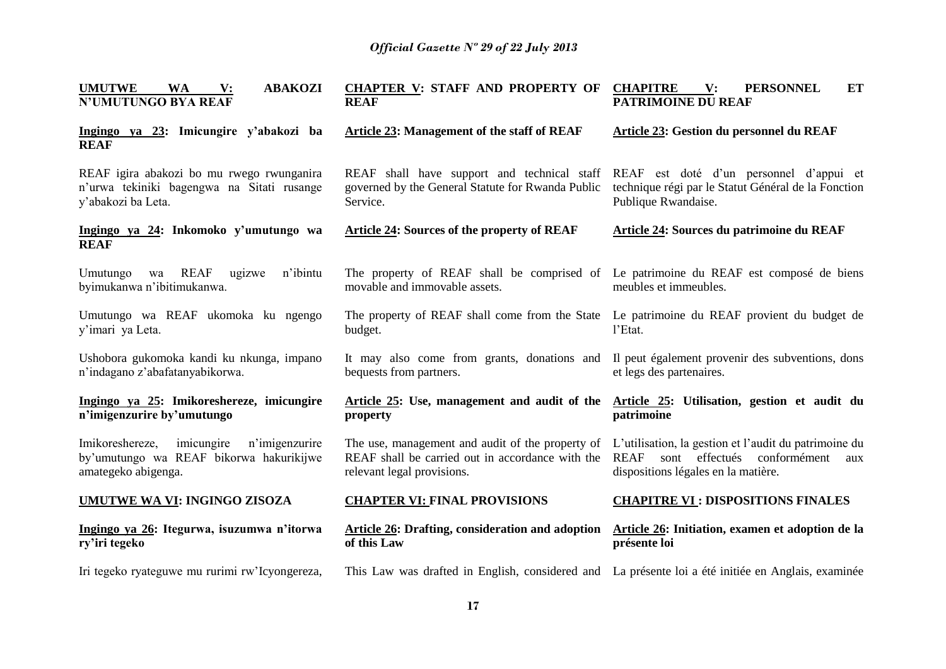| <b>ABAKOZI</b><br><b>UMUTWE</b><br><b>WA</b><br>$\mathbf{V}$ :<br><b>N'UMUTUNGO BYA REAF</b>                      | <b>CHAPTER V: STAFF AND PROPERTY OF</b><br><b>REAF</b>                                                                                               | <b>CHAPITRE</b><br>V:<br><b>PERSONNEL</b><br><b>ET</b><br><b>PATRIMOINE DU REAF</b>                                                               |
|-------------------------------------------------------------------------------------------------------------------|------------------------------------------------------------------------------------------------------------------------------------------------------|---------------------------------------------------------------------------------------------------------------------------------------------------|
| Ingingo ya 23: Imicungire y'abakozi ba<br><b>REAF</b>                                                             | Article 23: Management of the staff of REAF                                                                                                          | Article 23: Gestion du personnel du REAF                                                                                                          |
| REAF igira abakozi bo mu rwego rwunganira<br>n'urwa tekiniki bagengwa na Sitati rusange<br>y'abakozi ba Leta.     | REAF shall have support and technical staff REAF est doté d'un personnel d'appui et<br>governed by the General Statute for Rwanda Public<br>Service. | technique régi par le Statut Général de la Fonction<br>Publique Rwandaise.                                                                        |
| Ingingo ya 24: Inkomoko y'umutungo wa<br><b>REAF</b>                                                              | <b>Article 24: Sources of the property of REAF</b>                                                                                                   | <b>Article 24: Sources du patrimoine du REAF</b>                                                                                                  |
| <b>REAF</b><br>n'ibintu<br>Umutungo<br>ugizwe<br>wa<br>byimukanwa n'ibitimukanwa.                                 | The property of REAF shall be comprised of Le patrimoine du REAF est composé de biens<br>movable and immovable assets.                               | meubles et immeubles.                                                                                                                             |
| Umutungo wa REAF ukomoka ku ngengo<br>y'imari ya Leta.                                                            | The property of REAF shall come from the State<br>budget.                                                                                            | Le patrimoine du REAF provient du budget de<br>l'Etat.                                                                                            |
| Ushobora gukomoka kandi ku nkunga, impano<br>n'indagano z'abafatanyabikorwa.                                      | It may also come from grants, donations and<br>bequests from partners.                                                                               | Il peut également provenir des subventions, dons<br>et legs des partenaires.                                                                      |
| Ingingo ya 25: Imikoreshereze, imicungire<br>n'imigenzurire by'umutungo                                           | Article 25: Use, management and audit of the<br>property                                                                                             | Article 25: Utilisation, gestion et audit du<br>patrimoine                                                                                        |
| imicungire<br>n'imigenzurire<br>Imikoreshereze,<br>by'umutungo wa REAF bikorwa hakurikijwe<br>amategeko abigenga. | The use, management and audit of the property of<br>REAF shall be carried out in accordance with the<br>relevant legal provisions.                   | L'utilisation, la gestion et l'audit du patrimoine du<br>sont effectués conformément<br><b>REAF</b><br>aux<br>dispositions légales en la matière. |
| <b>UMUTWE WA VI: INGINGO ZISOZA</b>                                                                               | <b>CHAPTER VI: FINAL PROVISIONS</b>                                                                                                                  | <b>CHAPITRE VI: DISPOSITIONS FINALES</b>                                                                                                          |
| Ingingo ya 26: Itegurwa, isuzumwa n'itorwa<br>ry'iri tegeko                                                       | Article 26: Drafting, consideration and adoption<br>of this Law                                                                                      | Article 26: Initiation, examen et adoption de la<br>présente loi                                                                                  |
| Iri tegeko ryateguwe mu rurimi rw'Icyongereza,                                                                    | This Law was drafted in English, considered and La présente loi a été initiée en Anglais, examinée                                                   |                                                                                                                                                   |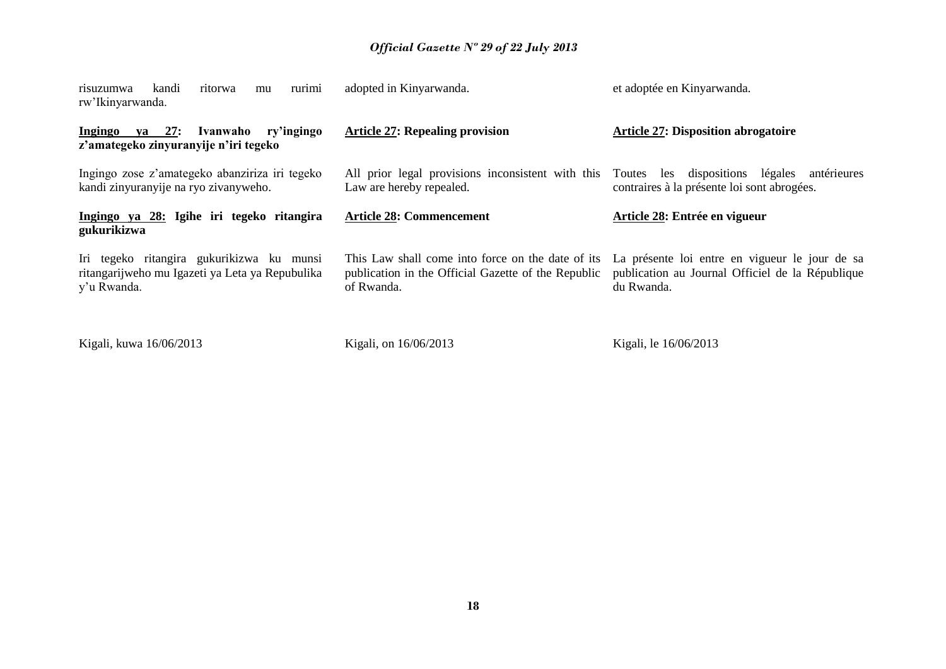| rurimi<br>kandi<br>ritorwa<br>risuzumwa<br>mu<br>rw'Ikinyarwanda.                                           | adopted in Kinyarwanda.                                                                                                | et adoptée en Kinyarwanda.                                                                                       |
|-------------------------------------------------------------------------------------------------------------|------------------------------------------------------------------------------------------------------------------------|------------------------------------------------------------------------------------------------------------------|
| $ya$ 27:<br><b>Ingingo</b><br>Ivanwaho<br>ry'ingingo<br>z'amategeko zinyuranyije n'iri tegeko               | <b>Article 27: Repealing provision</b>                                                                                 | <b>Article 27: Disposition abrogatoire</b>                                                                       |
| Ingingo zose z'amategeko abanziriza iri tegeko<br>kandi zinyuranyije na ryo zivanyweho.                     | All prior legal provisions inconsistent with this<br>Law are hereby repealed.                                          | légales<br>les dispositions<br>Toutes<br>antérieures<br>contraires à la présente loi sont abrogées.              |
| Ingingo ya 28: Igihe iri tegeko ritangira<br>gukurikizwa                                                    | <b>Article 28: Commencement</b>                                                                                        | Article 28: Entrée en vigueur                                                                                    |
| Iri tegeko ritangira gukurikizwa ku munsi<br>ritangarijweho mu Igazeti ya Leta ya Repubulika<br>y'u Rwanda. | This Law shall come into force on the date of its<br>publication in the Official Gazette of the Republic<br>of Rwanda. | La présente loi entre en vigueur le jour de sa<br>publication au Journal Officiel de la République<br>du Rwanda. |
| Kigali, kuwa 16/06/2013                                                                                     | Kigali, on 16/06/2013                                                                                                  | Kigali, le 16/06/2013                                                                                            |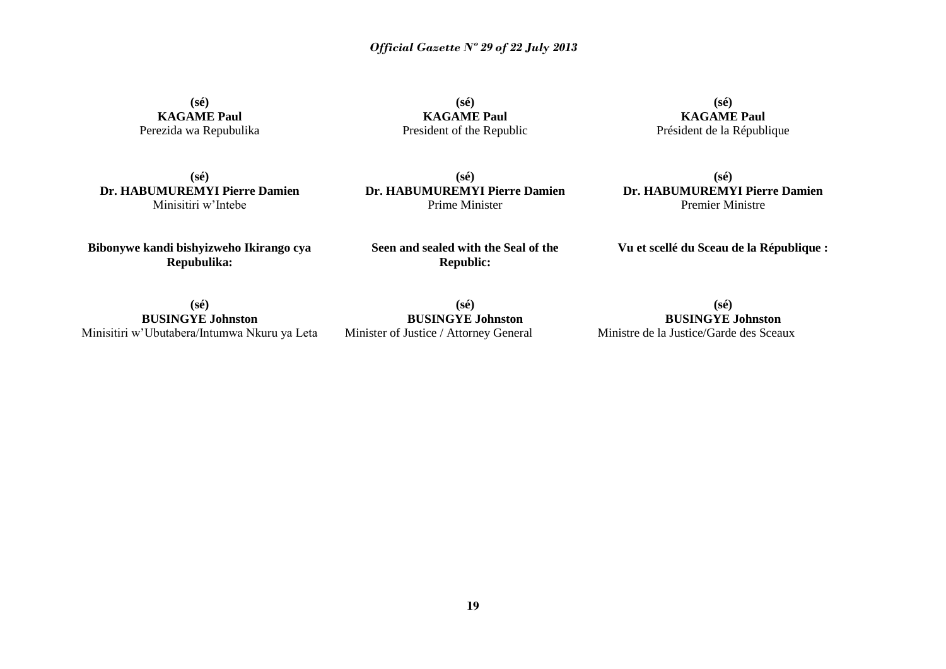**(sé) KAGAME Paul** Perezida wa Repubulika

**(sé) KAGAME Paul** President of the Republic

**(sé) KAGAME Paul** Président de la République

**(sé) Dr. HABUMUREMYI Pierre Damien** Minisitiri w'Intebe

**(sé) Dr. HABUMUREMYI Pierre Damien** Prime Minister

**(sé) Dr. HABUMUREMYI Pierre Damien** Premier Ministre

**Bibonywe kandi bishyizweho Ikirango cya Repubulika:**

**Seen and sealed with the Seal of the Republic:**

**Vu et scellé du Sceau de la République :**

**(sé) BUSINGYE Johnston** Minisitiri w'Ubutabera/Intumwa Nkuru ya Leta

**(sé) BUSINGYE Johnston** Minister of Justice / Attorney General

**(sé) BUSINGYE Johnston** Ministre de la Justice/Garde des Sceaux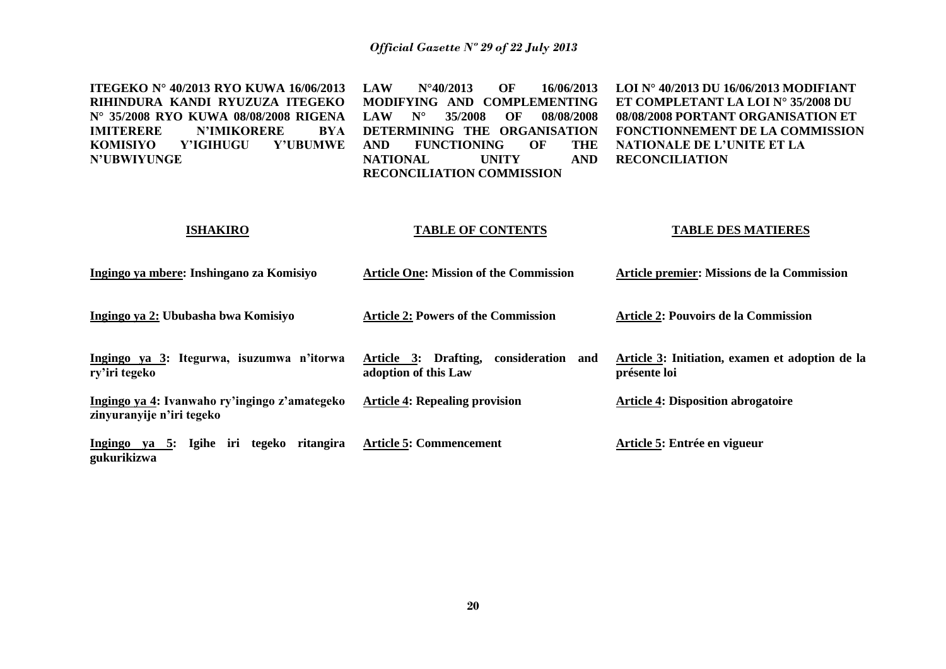| <b>ITEGEKO Nº 40/2013 RYO KUWA 16/06/2013</b><br>RIHINDURA KANDI RYUZUZA ITEGEKO<br>N° 35/2008 RYO KUWA 08/08/2008 RIGENA<br><b>IMITERERE</b><br><b>N'IMIKORERE</b><br><b>BYA</b><br><b>KOMISIYO</b><br>Y'IGIHUGU<br><b>Y'UBUMWE</b><br><b>N'UBWIYUNGE</b> | OF<br>16/06/2013<br><b>LAW</b><br>$N^{\circ}40/2013$<br>MODIFYING AND COMPLEMENTING<br><b>LAW</b><br>$N^{\circ}$<br>35/2008<br>OF<br>08/08/2008<br>DETERMINING THE ORGANISATION<br><b>FUNCTIONING</b><br><b>THE</b><br><b>AND</b><br>OF<br><b>NATIONAL</b><br><b>UNITY</b><br><b>AND</b><br>RECONCILIATION COMMISSION | <b>LOI N° 40/2013 DU 16/06/2013 MODIFIANT</b><br>ET COMPLETANT LA LOI Nº 35/2008 DU<br>08/08/2008 PORTANT ORGANISATION ET<br>FONCTIONNEMENT DE LA COMMISSION<br>NATIONALE DE L'UNITE ET LA<br><b>RECONCILIATION</b> |
|------------------------------------------------------------------------------------------------------------------------------------------------------------------------------------------------------------------------------------------------------------|-----------------------------------------------------------------------------------------------------------------------------------------------------------------------------------------------------------------------------------------------------------------------------------------------------------------------|---------------------------------------------------------------------------------------------------------------------------------------------------------------------------------------------------------------------|
| <b>ISHAKIRO</b>                                                                                                                                                                                                                                            | <b>TABLE OF CONTENTS</b>                                                                                                                                                                                                                                                                                              | <b>TABLE DES MATIERES</b>                                                                                                                                                                                           |
| Ingingo ya mbere: Inshingano za Komisiyo                                                                                                                                                                                                                   | <b>Article One: Mission of the Commission</b>                                                                                                                                                                                                                                                                         | <b>Article premier: Missions de la Commission</b>                                                                                                                                                                   |
| Ingingo ya 2: Ububasha bwa Komisiyo                                                                                                                                                                                                                        | <b>Article 2: Powers of the Commission</b>                                                                                                                                                                                                                                                                            | <b>Article 2: Pouvoirs de la Commission</b>                                                                                                                                                                         |
| Ingingo ya 3: Itegurwa, isuzumwa n'itorwa<br>ry'iri tegeko                                                                                                                                                                                                 | Article 3: Drafting,<br>consideration and<br>adoption of this Law                                                                                                                                                                                                                                                     | Article 3: Initiation, examen et adoption de la<br>présente loi                                                                                                                                                     |
| Ingingo ya 4: Ivanwaho ry'ingingo z'amategeko<br>zinyuranyije n'iri tegeko                                                                                                                                                                                 | <b>Article 4: Repealing provision</b>                                                                                                                                                                                                                                                                                 | <b>Article 4: Disposition abrogatoire</b>                                                                                                                                                                           |
| Ingingo ya 5: Igihe iri tegeko ritangira<br>gukurikizwa                                                                                                                                                                                                    | <b>Article 5: Commencement</b>                                                                                                                                                                                                                                                                                        | Article 5: Entrée en vigueur                                                                                                                                                                                        |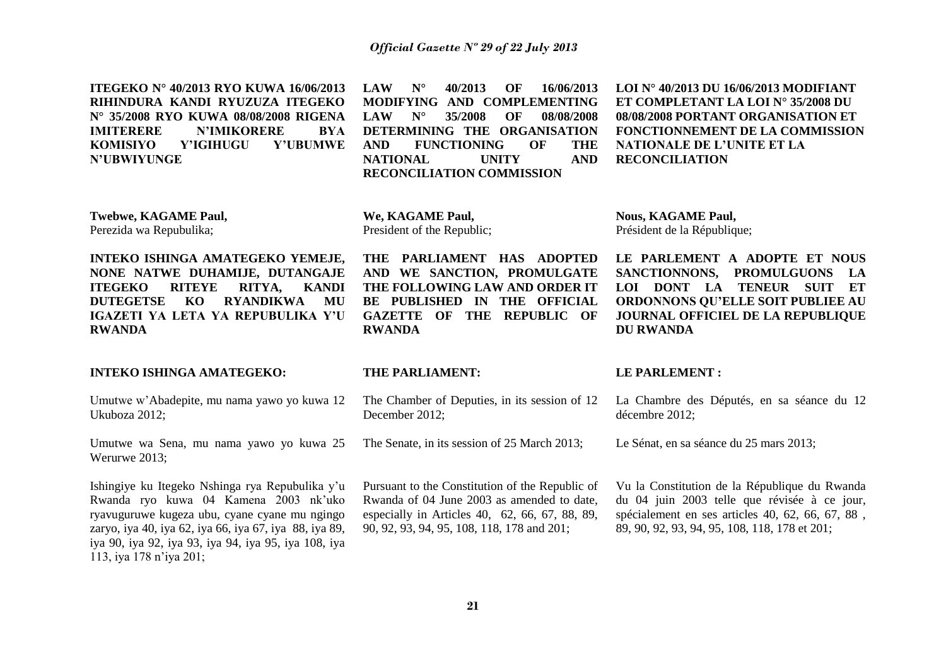**ITEGEKO N° 40/2013 RYO KUWA 16/06/2013 RIHINDURA KANDI RYUZUZA ITEGEKO N° 35/2008 RYO KUWA 08/08/2008 RIGENA IMITERERE N'IMIKORERE BYA KOMISIYO Y'IGIHUGU Y'UBUMWE N'UBWIYUNGE** 

**LAW N° 40/2013 OF 16/06/2013 MODIFYING AND COMPLEMENTING LAW N° 35/2008 OF 08/08/2008 DETERMINING THE ORGANISATION AND FUNCTIONING OF THE NATIONAL UNITY AND RECONCILIATION COMMISSION**

**LOI N° 40/2013 DU 16/06/2013 MODIFIANT ET COMPLETANT LA LOI N° 35/2008 DU 08/08/2008 PORTANT ORGANISATION ET FONCTIONNEMENT DE LA COMMISSION NATIONALE DE L'UNITE ET LA RECONCILIATION**

**Twebwe, KAGAME Paul,** Perezida wa Repubulika;

**RWANDA**

**INTEKO ISHINGA AMATEGEKO YEMEJE, NONE NATWE DUHAMIJE, DUTANGAJE ITEGEKO RITEYE RITYA, KANDI DUTEGETSE KO RYANDIKWA MU IGAZETI YA LETA YA REPUBULIKA Y'U** 

**We, KAGAME Paul,** President of the Republic;

**THE PARLIAMENT HAS ADOPTED AND WE SANCTION, PROMULGATE THE FOLLOWING LAW AND ORDER IT BE PUBLISHED IN THE OFFICIAL GAZETTE OF THE REPUBLIC OF RWANDA**

**Nous, KAGAME Paul,**  Président de la République;

**LE PARLEMENT A ADOPTE ET NOUS SANCTIONNONS, PROMULGUONS LA LOI DONT LA TENEUR SUIT ET ORDONNONS QU'ELLE SOIT PUBLIEE AU JOURNAL OFFICIEL DE LA REPUBLIQUE DU RWANDA**

### **INTEKO ISHINGA AMATEGEKO:**

Umutwe w'Abadepite, mu nama yawo yo kuwa 12 Ukuboza 2012;

Umutwe wa Sena, mu nama yawo yo kuwa 25 Werurwe 2013;

Ishingiye ku Itegeko Nshinga rya Repubulika y'u Rwanda ryo kuwa 04 Kamena 2003 nk'uko ryavuguruwe kugeza ubu, cyane cyane mu ngingo zaryo, iya 40, iya 62, iya 66, iya 67, iya 88, iya 89, iya 90, iya 92, iya 93, iya 94, iya 95, iya 108, iya 113, iya 178 n'iya 201;

#### **THE PARLIAMENT:**

The Chamber of Deputies, in its session of 12 December 2012;

The Senate, in its session of 25 March 2013;

Pursuant to the Constitution of the Republic of Rwanda of 04 June 2003 as amended to date, especially in Articles 40, 62, 66, 67, 88, 89, 90, 92, 93, 94, 95, 108, 118, 178 and 201;

#### **LE PARLEMENT :**

La Chambre des Députés, en sa séance du 12 décembre 2012;

Le Sénat, en sa séance du 25 mars 2013;

Vu la Constitution de la République du Rwanda du 04 juin 2003 telle que révisée à ce jour, spécialement en ses articles 40, 62, 66, 67, 88 , 89, 90, 92, 93, 94, 95, 108, 118, 178 et 201;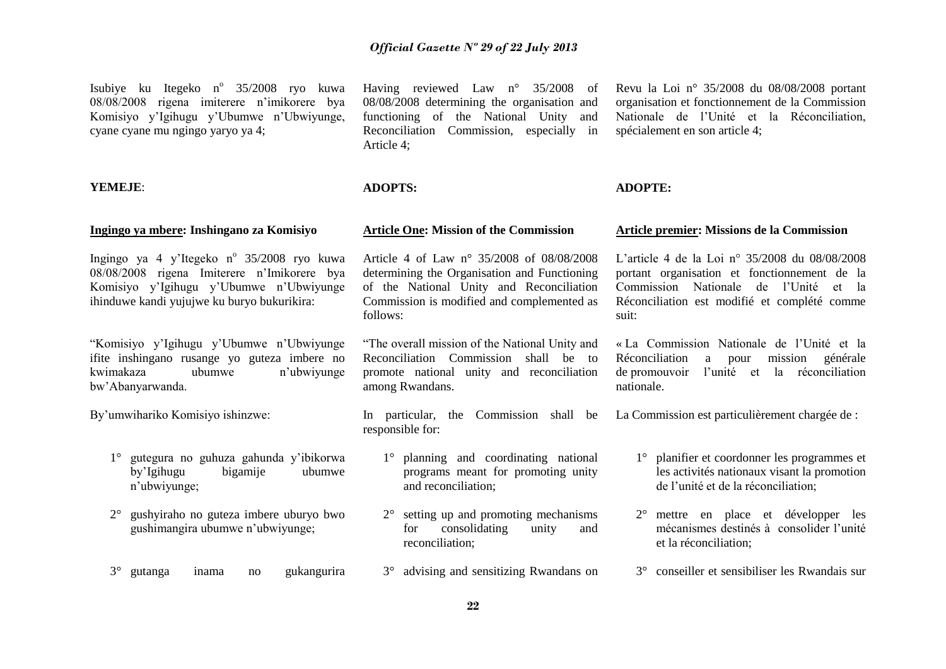Isubiye ku Itegeko n<sup>o</sup> 35/2008 ryo kuwa 08/08/2008 rigena imiterere n'imikorere bya Komisiyo y'Igihugu y'Ubumwe n'Ubwiyunge, cyane cyane mu ngingo yaryo ya 4;

#### **YEMEJE**:

#### **Ingingo ya mbere: Inshingano za Komisiyo**

Ingingo ya 4 y'Itegeko nº 35/2008 ryo kuwa 08/08/2008 rigena Imiterere n'Imikorere bya Komisiyo y'Igihugu y'Ubumwe n'Ubwiyunge ihinduwe kandi yujujwe ku buryo bukurikira:

"Komisiyo y'Igihugu y'Ubumwe n'Ubwiyunge ifite inshingano rusange yo guteza imbere no kwimakaza ubumwe n'ubwiyunge bw'Abanyarwanda.

By'umwihariko Komisiyo ishinzwe:

- 1° gutegura no guhuza gahunda y'ibikorwa by'Igihugu bigamije ubumwe n'ubwiyunge;
- 2° gushyiraho no guteza imbere uburyo bwo gushimangira ubumwe n'ubwiyunge;
- 3° gutanga inama no gukangurira

Having reviewed Law n° 35/2008 of 08/08/2008 determining the organisation and functioning of the National Unity and Reconciliation Commission, especially in Article 4;

### **ADOPTS:**

## **Article One: Mission of the Commission**

Article 4 of Law n° 35/2008 of 08/08/2008 determining the Organisation and Functioning of the National Unity and Reconciliation Commission is modified and complemented as follows:

"The overall mission of the National Unity and Reconciliation Commission shall be to promote national unity and reconciliation among Rwandans.

In particular, the Commission shall be responsible for:

- 1° planning and coordinating national programs meant for promoting unity and reconciliation;
- 2° setting up and promoting mechanisms for consolidating unity and reconciliation;
- 3° advising and sensitizing Rwandans on

Revu la Loi n° 35/2008 du 08/08/2008 portant organisation et fonctionnement de la Commission Nationale de l'Unité et la Réconciliation, spécialement en son article 4;

#### **ADOPTE:**

#### **Article premier: Missions de la Commission**

L'article 4 de la Loi n° 35/2008 du 08/08/2008 portant organisation et fonctionnement de la Commission Nationale de l'Unité et la Réconciliation est modifié et complété comme suit:

« La Commission Nationale de l'Unité et la Réconciliation a pour mission générale de promouvoir l'unité et la réconciliation nationale.

La Commission est particulièrement chargée de :

- 1° planifier et coordonner les programmes et les activités nationaux visant la promotion de l'unité et de la réconciliation;
- 2° mettre en place et développer les mécanismes destinés à consolider l'unité et la réconciliation;
- 3° conseiller et sensibiliser les Rwandais sur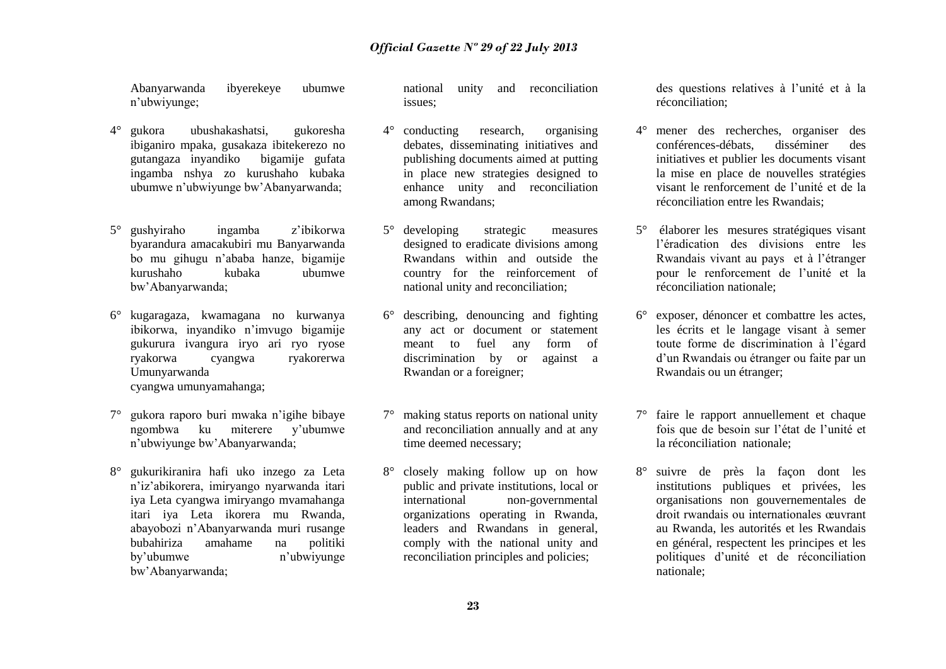Abanyarwanda ibyerekeye ubumwe n'ubwiyunge;

- 4° gukora ubushakashatsi, gukoresha ibiganiro mpaka, gusakaza ibitekerezo no gutangaza inyandiko bigamije gufata ingamba nshya zo kurushaho kubaka ubumwe n'ubwiyunge bw'Abanyarwanda;
- 5° gushyiraho ingamba z'ibikorwa byarandura amacakubiri mu Banyarwanda bo mu gihugu n'ababa hanze, bigamije kurushaho kubaka ubumwe bw'Abanyarwanda;
- 6° kugaragaza, kwamagana no kurwanya ibikorwa, inyandiko n'imvugo bigamije gukurura ivangura iryo ari ryo ryose ryakorwa cyangwa ryakorerwa Umunyarwanda cyangwa umunyamahanga;
- 7° gukora raporo buri mwaka n'igihe bibaye ngombwa ku miterere y'ubumwe n'ubwiyunge bw'Abanyarwanda;
- 8° gukurikiranira hafi uko inzego za Leta n'iz'abikorera, imiryango nyarwanda itari iya Leta cyangwa imiryango mvamahanga itari iya Leta ikorera mu Rwanda, abayobozi n'Abanyarwanda muri rusange bubahiriza amahame na politiki by'ubumwe n'ubwiyunge bw'Abanyarwanda;

national unity and reconciliation issues;

- 4° conducting research, organising debates, disseminating initiatives and publishing documents aimed at putting in place new strategies designed to enhance unity and reconciliation among Rwandans;
- 5° developing strategic measures designed to eradicate divisions among Rwandans within and outside the country for the reinforcement of national unity and reconciliation;
- 6° describing, denouncing and fighting any act or document or statement meant to fuel any form of discrimination by or against a Rwandan or a foreigner;
- 7° making status reports on national unity and reconciliation annually and at any time deemed necessary;
- 8° closely making follow up on how public and private institutions, local or international non-governmental organizations operating in Rwanda, leaders and Rwandans in general, comply with the national unity and reconciliation principles and policies;

des questions relatives à l'unité et à la réconciliation;

- 4° mener des recherches, organiser des conférences-débats, disséminer des initiatives et publier les documents visant la mise en place de nouvelles stratégies visant le renforcement de l'unité et de la réconciliation entre les Rwandais;
- 5° élaborer les mesures stratégiques visant l'éradication des divisions entre les Rwandais vivant au pays et à l'étranger pour le renforcement de l'unité et la réconciliation nationale;
- 6° exposer, dénoncer et combattre les actes, les écrits et le langage visant à semer toute forme de discrimination à l'égard d'un Rwandais ou étranger ou faite par un Rwandais ou un étranger;
- 7° faire le rapport annuellement et chaque fois que de besoin sur l'état de l'unité et la réconciliation nationale;
- 8° suivre de près la façon dont les institutions publiques et privées, les organisations non gouvernementales de droit rwandais ou internationales œuvrant au Rwanda, les autorités et les Rwandais en général, respectent les principes et les politiques d'unité et de réconciliation nationale;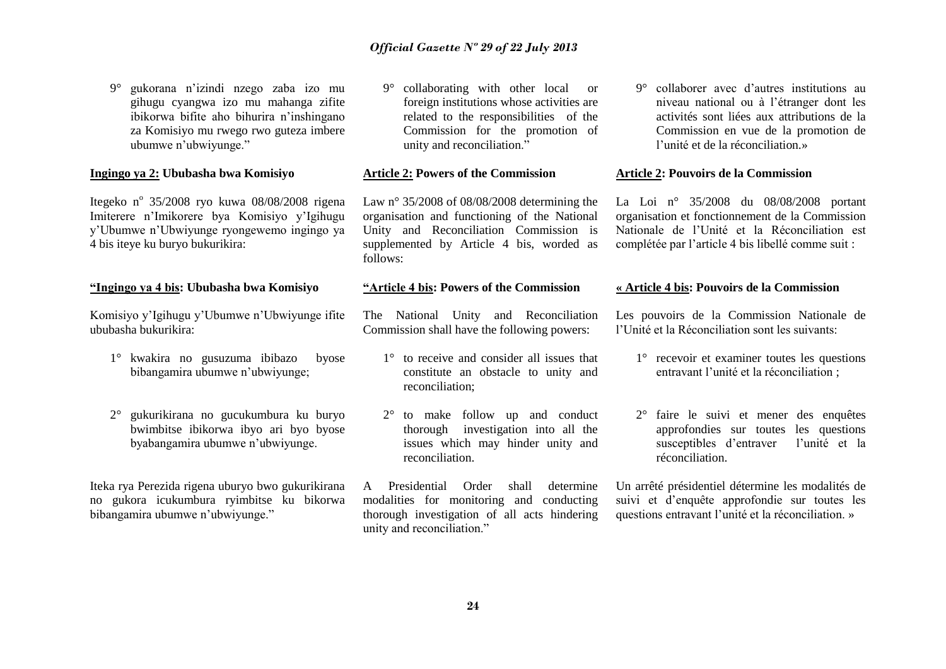9° gukorana n'izindi nzego zaba izo mu gihugu cyangwa izo mu mahanga zifite ibikorwa bifite aho bihurira n'inshingano za Komisiyo mu rwego rwo guteza imbere ubumwe n'ubwiyunge."

### **Ingingo ya 2: Ububasha bwa Komisiyo**

Itegeko nº 35/2008 ryo kuwa 08/08/2008 rigena Imiterere n'Imikorere bya Komisiyo y'Igihugu y'Ubumwe n'Ubwiyunge ryongewemo ingingo ya 4 bis iteye ku buryo bukurikira:

### **"Ingingo ya 4 bis: Ububasha bwa Komisiyo**

Komisiyo y'Igihugu y'Ubumwe n'Ubwiyunge ifite ububasha bukurikira:

- 1° kwakira no gusuzuma ibibazo byose bibangamira ubumwe n'ubwiyunge;
- 2° gukurikirana no gucukumbura ku buryo bwimbitse ibikorwa ibyo ari byo byose byabangamira ubumwe n'ubwiyunge.

Iteka rya Perezida rigena uburyo bwo gukurikirana no gukora icukumbura ryimbitse ku bikorwa bibangamira ubumwe n'ubwiyunge."

9° collaborating with other local or foreign institutions whose activities are related to the responsibilities of the Commission for the promotion of unity and reconciliation."

## **Article 2: Powers of the Commission**

Law n° 35/2008 of 08/08/2008 determining the organisation and functioning of the National Unity and Reconciliation Commission is supplemented by Article 4 bis, worded as follows:

## **"Article 4 bis: Powers of the Commission**

The National Unity and Reconciliation Commission shall have the following powers:

- 1° to receive and consider all issues that constitute an obstacle to unity and reconciliation;
- 2° to make follow up and conduct thorough investigation into all the issues which may hinder unity and reconciliation.

A Presidential Order shall determine modalities for monitoring and conducting thorough investigation of all acts hindering unity and reconciliation."

9° collaborer avec d'autres institutions au niveau national ou à l'étranger dont les activités sont liées aux attributions de la Commission en vue de la promotion de l'unité et de la réconciliation.»

#### **Article 2: Pouvoirs de la Commission**

La Loi n° 35/2008 du 08/08/2008 portant organisation et fonctionnement de la Commission Nationale de l'Unité et la Réconciliation est complétée par l'article 4 bis libellé comme suit :

#### **« Article 4 bis: Pouvoirs de la Commission**

Les pouvoirs de la Commission Nationale de l'Unité et la Réconciliation sont les suivants:

- 1° recevoir et examiner toutes les questions entravant l'unité et la réconciliation ;
- 2° faire le suivi et mener des enquêtes approfondies sur toutes les questions susceptibles d'entraver l'unité et la réconciliation.

Un arrêté présidentiel détermine les modalités de suivi et d'enquête approfondie sur toutes les questions entravant l'unité et la réconciliation. »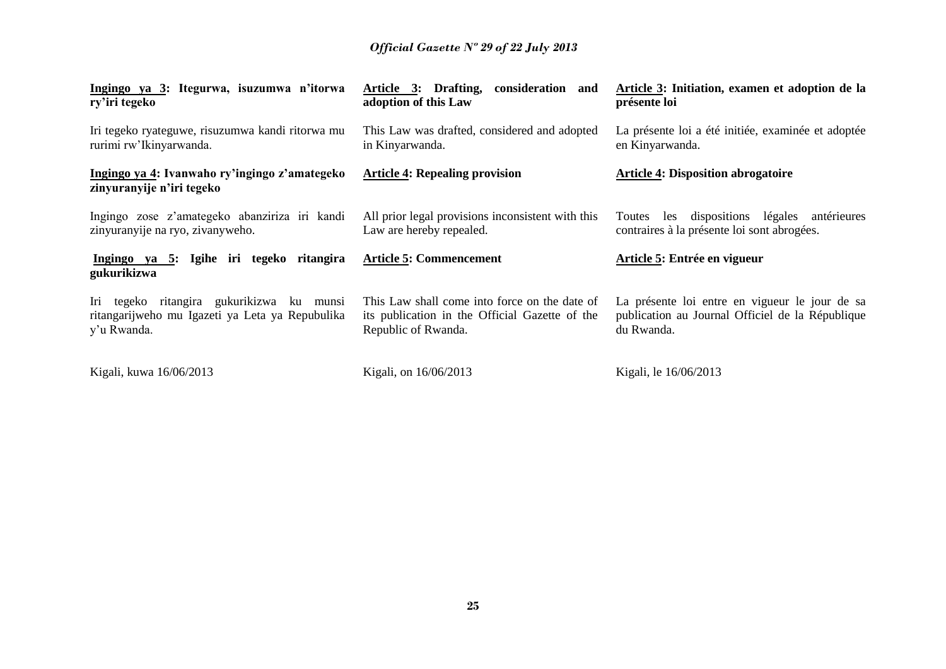| Ingingo ya 3: Itegurwa, isuzumwa n'itorwa<br>ry'iri tegeko                                                  | Article 3: Drafting,<br>consideration and<br>adoption of this Law                                                      | Article 3: Initiation, examen et adoption de la<br>présente loi                                                  |
|-------------------------------------------------------------------------------------------------------------|------------------------------------------------------------------------------------------------------------------------|------------------------------------------------------------------------------------------------------------------|
| Iri tegeko ryateguwe, risuzumwa kandi ritorwa mu<br>rurimi rw'Ikinyarwanda.                                 | This Law was drafted, considered and adopted<br>in Kinyarwanda.                                                        | La présente loi a été initiée, examinée et adoptée<br>en Kinyarwanda.                                            |
| Ingingo ya 4: Ivanwaho ry'ingingo z'amategeko<br>zinyuranyije n'iri tegeko                                  | <b>Article 4: Repealing provision</b>                                                                                  | <b>Article 4: Disposition abrogatoire</b>                                                                        |
| Ingingo zose z'amategeko abanziriza iri kandi<br>zinyuranyije na ryo, zivanyweho.                           | All prior legal provisions inconsistent with this<br>Law are hereby repealed.                                          | dispositions légales<br>antérieures<br>Toutes<br>les<br>contraires à la présente loi sont abrogées.              |
| Ingingo ya 5: Igihe iri tegeko ritangira<br>gukurikizwa                                                     | <b>Article 5: Commencement</b>                                                                                         | Article 5: Entrée en vigueur                                                                                     |
| Iri tegeko ritangira gukurikizwa ku munsi<br>ritangarijweho mu Igazeti ya Leta ya Repubulika<br>y'u Rwanda. | This Law shall come into force on the date of<br>its publication in the Official Gazette of the<br>Republic of Rwanda. | La présente loi entre en vigueur le jour de sa<br>publication au Journal Officiel de la République<br>du Rwanda. |
| Kigali, kuwa 16/06/2013                                                                                     | Kigali, on 16/06/2013                                                                                                  | Kigali, le 16/06/2013                                                                                            |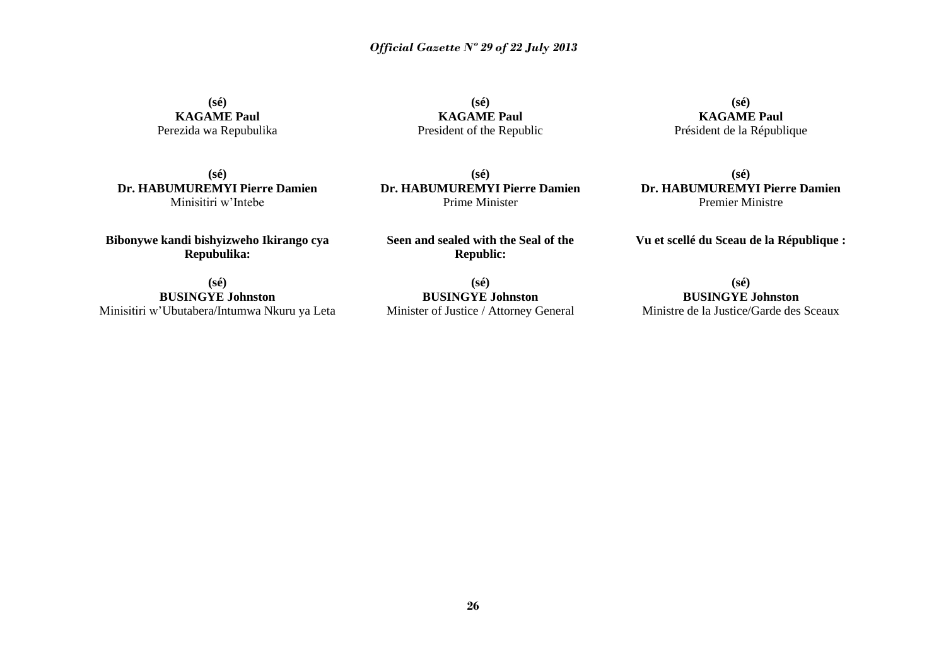**(sé) KAGAME Paul** Perezida wa Repubulika

**(sé) KAGAME Paul** President of the Republic

**(sé) KAGAME Paul** Président de la République

**(sé) Dr. HABUMUREMYI Pierre Damien** Minisitiri w'Intebe

**Bibonywe kandi bishyizweho Ikirango cya Repubulika:**

**(sé) BUSINGYE Johnston**  Minisitiri w'Ubutabera/Intumwa Nkuru ya Leta

**(sé) Dr. HABUMUREMYI Pierre Damien** Prime Minister

**Seen and sealed with the Seal of the Republic:**

**(sé) BUSINGYE Johnston**  Minister of Justice / Attorney General

**(sé) Dr. HABUMUREMYI Pierre Damien** Premier Ministre

**Vu et scellé du Sceau de la République :**

**(sé) BUSINGYE Johnston** Ministre de la Justice/Garde des Sceaux

**26**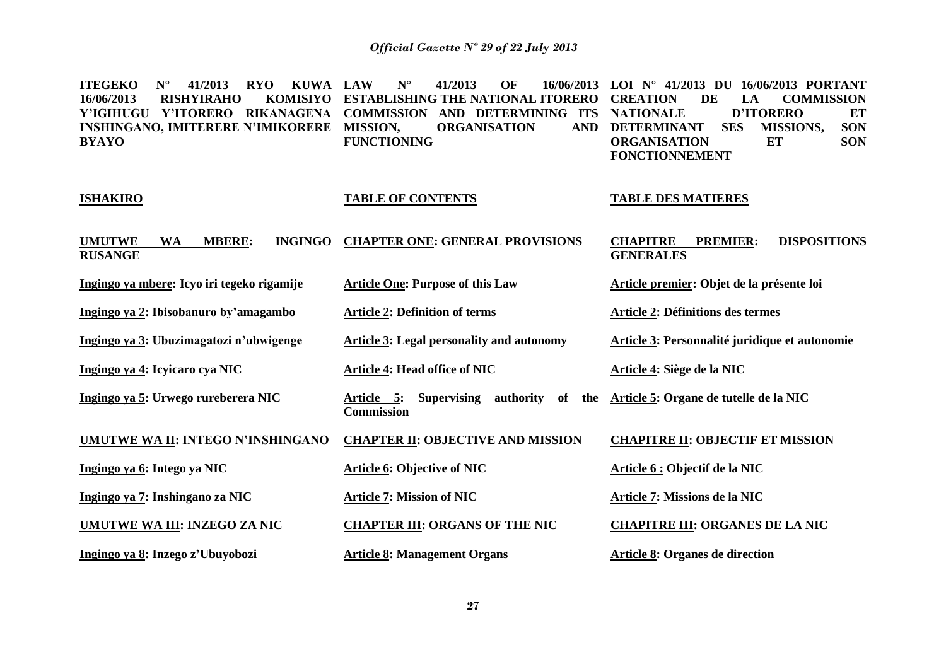| <b>RYO</b><br><b>ITEGEKO</b><br>$N^{\circ}$<br>41/2013<br><b>KUWA LAW</b><br>16/06/2013<br><b>KOMISIYO</b><br><b>RISHYIRAHO</b><br>Y'IGIHUGU Y'ITORERO RIKANAGENA<br><b>INSHINGANO, IMITERERE N'IMIKORERE</b><br><b>BYAYO</b> | $N^{\circ}$<br>41/2013<br>OF<br>16/06/2013<br><b>ESTABLISHING THE NATIONAL ITORERO</b><br><b>COMMISSION</b><br>AND DETERMINING ITS<br><b>ORGANISATION</b><br><b>MISSION.</b><br><b>AND</b><br><b>FUNCTIONING</b> | LOI $N^{\circ}$ 41/2013 DU 16/06/2013 PORTANT<br><b>DE</b><br><b>COMMISSION</b><br><b>CREATION</b><br>LA<br><b>D'ITORERO</b><br><b>NATIONALE</b><br>ET<br><b>SON</b><br><b>DETERMINANT</b><br><b>SES</b><br>MISSIONS,<br><b>SON</b><br><b>ORGANISATION</b><br>ET<br><b>FONCTIONNEMENT</b> |
|-------------------------------------------------------------------------------------------------------------------------------------------------------------------------------------------------------------------------------|------------------------------------------------------------------------------------------------------------------------------------------------------------------------------------------------------------------|-------------------------------------------------------------------------------------------------------------------------------------------------------------------------------------------------------------------------------------------------------------------------------------------|
| <b>ISHAKIRO</b>                                                                                                                                                                                                               | <b>TABLE OF CONTENTS</b>                                                                                                                                                                                         | <b>TABLE DES MATIERES</b>                                                                                                                                                                                                                                                                 |
| <b>UMUTWE</b><br><b>MBERE:</b><br><b>INGINGO</b><br><b>WA</b><br><b>RUSANGE</b>                                                                                                                                               | <b>CHAPTER ONE: GENERAL PROVISIONS</b>                                                                                                                                                                           | <b>CHAPITRE</b><br><b>PREMIER:</b><br><b>DISPOSITIONS</b><br><b>GENERALES</b>                                                                                                                                                                                                             |
| Ingingo ya mbere: Icyo iri tegeko rigamije                                                                                                                                                                                    | <b>Article One: Purpose of this Law</b>                                                                                                                                                                          | Article premier: Objet de la présente loi                                                                                                                                                                                                                                                 |
| Ingingo ya 2: Ibisobanuro by'amagambo                                                                                                                                                                                         | <b>Article 2: Definition of terms</b>                                                                                                                                                                            | <b>Article 2: Définitions des termes</b>                                                                                                                                                                                                                                                  |
| Ingingo ya 3: Ubuzimagatozi n'ubwigenge                                                                                                                                                                                       | <b>Article 3: Legal personality and autonomy</b>                                                                                                                                                                 | Article 3: Personnalité juridique et autonomie                                                                                                                                                                                                                                            |
| Ingingo ya 4: Icyicaro cya NIC                                                                                                                                                                                                | <b>Article 4: Head office of NIC</b>                                                                                                                                                                             | Article 4: Siège de la NIC                                                                                                                                                                                                                                                                |
| Ingingo ya 5: Urwego rureberera NIC                                                                                                                                                                                           | Supervising authority<br>Article 5:<br>of the<br><b>Commission</b>                                                                                                                                               | Article 5: Organe de tutelle de la NIC                                                                                                                                                                                                                                                    |
| UMUTWE WA II: INTEGO N'INSHINGANO                                                                                                                                                                                             | <b>CHAPTER II: OBJECTIVE AND MISSION</b>                                                                                                                                                                         | <b>CHAPITRE II: OBJECTIF ET MISSION</b>                                                                                                                                                                                                                                                   |
| Ingingo ya 6: Intego ya NIC                                                                                                                                                                                                   | <b>Article 6: Objective of NIC</b>                                                                                                                                                                               | Article 6 : Objectif de la NIC                                                                                                                                                                                                                                                            |
| Ingingo ya 7: Inshingano za NIC                                                                                                                                                                                               | <b>Article 7: Mission of NIC</b>                                                                                                                                                                                 | Article 7: Missions de la NIC                                                                                                                                                                                                                                                             |
| UMUTWE WA III: INZEGO ZA NIC                                                                                                                                                                                                  | <b>CHAPTER III: ORGANS OF THE NIC</b>                                                                                                                                                                            | <b>CHAPITRE III: ORGANES DE LA NIC</b>                                                                                                                                                                                                                                                    |
| Ingingo ya 8: Inzego z'Ubuyobozi                                                                                                                                                                                              | <b>Article 8: Management Organs</b>                                                                                                                                                                              | <b>Article 8: Organes de direction</b>                                                                                                                                                                                                                                                    |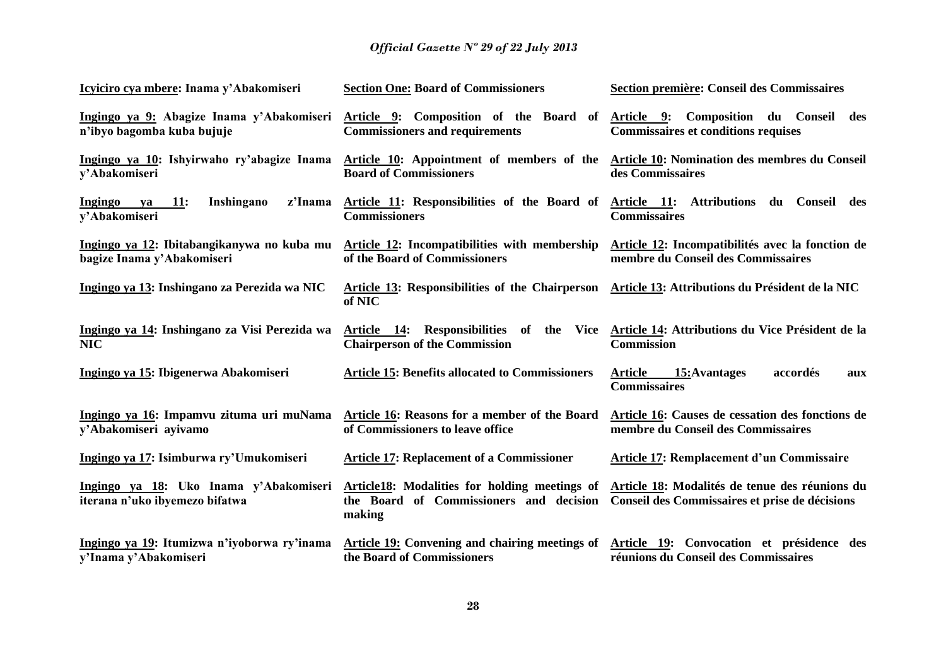| Icyiciro cya mbere: Inama y'Abakomiseri                                  | <b>Section One: Board of Commissioners</b>                                                                            | Section première: Conseil des Commissaires                                                                     |
|--------------------------------------------------------------------------|-----------------------------------------------------------------------------------------------------------------------|----------------------------------------------------------------------------------------------------------------|
| Ingingo ya 9: Abagize Inama y'Abakomiseri<br>n'ibyo bagomba kuba bujuje  | Article 9: Composition of the Board of Article 9: Composition du Conseil des<br><b>Commissioners and requirements</b> | <b>Commissaires et conditions requises</b>                                                                     |
| Ingingo ya 10: Ishyirwaho ry'abagize Inama<br>y'Abakomiseri              | Article 10: Appointment of members of the<br><b>Board of Commissioners</b>                                            | Article 10: Nomination des membres du Conseil<br>des Commissaires                                              |
| <b>11:</b><br>Inshingano<br>z'Inama<br>Ingingo<br>va<br>y'Abakomiseri    | Article 11: Responsibilities of the Board of<br><b>Commissioners</b>                                                  | Article 11: Attributions du Conseil des<br><b>Commissaires</b>                                                 |
| Ingingo ya 12: Ibitabangikanywa no kuba mu<br>bagize Inama y'Abakomiseri | Article 12: Incompatibilities with membership<br>of the Board of Commissioners                                        | Article 12: Incompatibilités avec la fonction de<br>membre du Conseil des Commissaires                         |
| Ingingo ya 13: Inshingano za Perezida wa NIC                             | Article 13: Responsibilities of the Chairperson<br>of NIC                                                             | Article 13: Attributions du Président de la NIC                                                                |
| Ingingo ya 14: Inshingano za Visi Perezida wa<br><b>NIC</b>              | <b>Chairperson of the Commission</b>                                                                                  | Article 14: Responsibilities of the Vice Article 14: Attributions du Vice Président de la<br><b>Commission</b> |
| Ingingo ya 15: Ibigenerwa Abakomiseri                                    | <b>Article 15: Benefits allocated to Commissioners</b>                                                                | <b>Article</b><br>15: Avantages<br>accordés<br>aux<br><b>Commissaires</b>                                      |
| Ingingo ya 16: Impamvu zituma uri muNama<br>y'Abakomiseri ayivamo        | Article 16: Reasons for a member of the Board<br>of Commissioners to leave office                                     | Article 16: Causes de cessation des fonctions de<br>membre du Conseil des Commissaires                         |
| Ingingo ya 17: Isimburwa ry'Umukomiseri                                  | <b>Article 17: Replacement of a Commissioner</b>                                                                      | <b>Article 17: Remplacement d'un Commissaire</b>                                                               |
| Ingingo ya 18: Uko Inama y'Abakomiseri<br>iterana n'uko ibyemezo bifatwa | Article18: Modalities for holding meetings of<br>the Board of Commissioners and decision<br>making                    | Article 18: Modalités de tenue des réunions du<br>Conseil des Commissaires et prise de décisions               |
| Ingingo ya 19: Itumizwa n'iyoborwa ry'inama<br>y'Inama y'Abakomiseri     | Article 19: Convening and chairing meetings of<br>the Board of Commissioners                                          | Article 19: Convocation et présidence des<br>réunions du Conseil des Commissaires                              |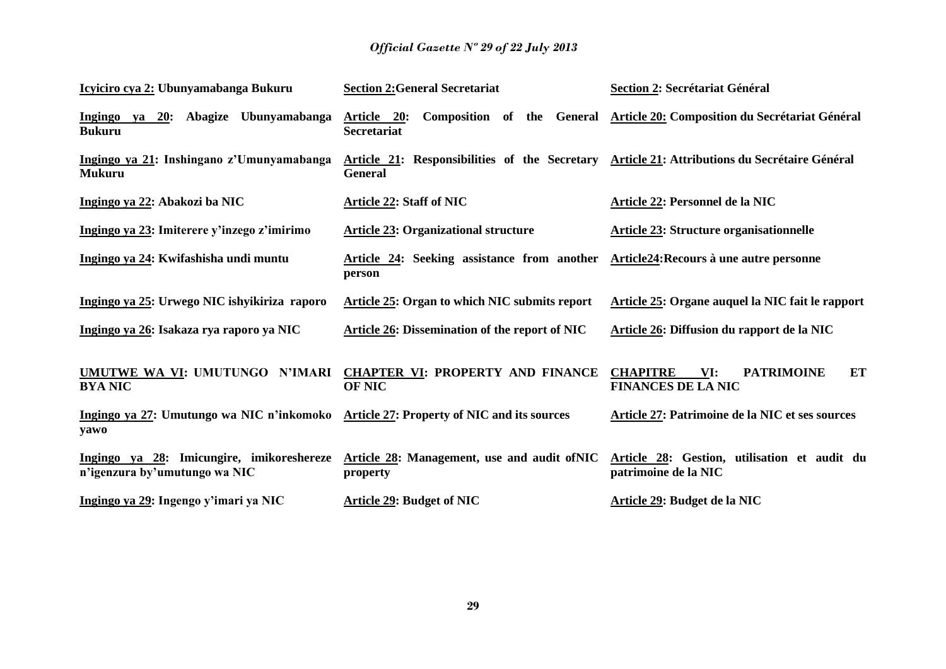| Icyiciro cya 2: Ubunyamabanga Bukuru                                                          | <b>Section 2: General Secretariat</b>                                                                          | <b>Section 2: Secrétariat Général</b>                                                                             |
|-----------------------------------------------------------------------------------------------|----------------------------------------------------------------------------------------------------------------|-------------------------------------------------------------------------------------------------------------------|
| Ingingo ya 20: Abagize Ubunyamabanga<br><b>Bukuru</b>                                         | Article 20:<br><b>Secretariat</b>                                                                              | Composition of the General Article 20: Composition du Secrétariat Général                                         |
| Ingingo ya 21: Inshingano z'Umunyamabanga<br><b>Mukuru</b>                                    | Article 21: Responsibilities of the Secretary Article 21: Attributions du Secrétaire Général<br><b>General</b> |                                                                                                                   |
| Ingingo ya 22: Abakozi ba NIC                                                                 | <b>Article 22: Staff of NIC</b>                                                                                | Article 22: Personnel de la NIC                                                                                   |
| Ingingo ya 23: Imiterere y'inzego z'imirimo                                                   | <b>Article 23: Organizational structure</b>                                                                    | <b>Article 23: Structure organisationnelle</b>                                                                    |
| Ingingo ya 24: Kwifashisha undi muntu                                                         | Article 24: Seeking assistance from another Article24: Recours à une autre personne<br>person                  |                                                                                                                   |
| Ingingo ya 25: Urwego NIC ishyikiriza raporo                                                  | <b>Article 25: Organ to which NIC submits report</b>                                                           | Article 25: Organe auquel la NIC fait le rapport                                                                  |
| Ingingo ya 26: Isakaza rya raporo ya NIC                                                      | <b>Article 26: Dissemination of the report of NIC</b>                                                          | Article 26: Diffusion du rapport de la NIC                                                                        |
| UMUTWE WA VI: UMUTUNGO N'IMARI<br><b>BYA NIC</b>                                              | <b>CHAPTER VI: PROPERTY AND FINANCE</b><br><b>OF NIC</b>                                                       | ET<br><b>CHAPITRE</b><br>VI:<br><b>PATRIMOINE</b><br><b>FINANCES DE LA NIC</b>                                    |
| Ingingo ya 27: Umutungo wa NIC n'inkomoko Article 27: Property of NIC and its sources<br>yawo |                                                                                                                | Article 27: Patrimoine de la NIC et ses sources                                                                   |
| Ingingo ya 28: Imicungire, imikoreshereze<br>n'igenzura by'umutungo wa NIC                    | property                                                                                                       | Article 28: Management, use and audit of NIC Article 28: Gestion, utilisation et audit du<br>patrimoine de la NIC |
| Ingingo ya 29: Ingengo y'imari ya NIC                                                         | <b>Article 29: Budget of NIC</b>                                                                               | Article 29: Budget de la NIC                                                                                      |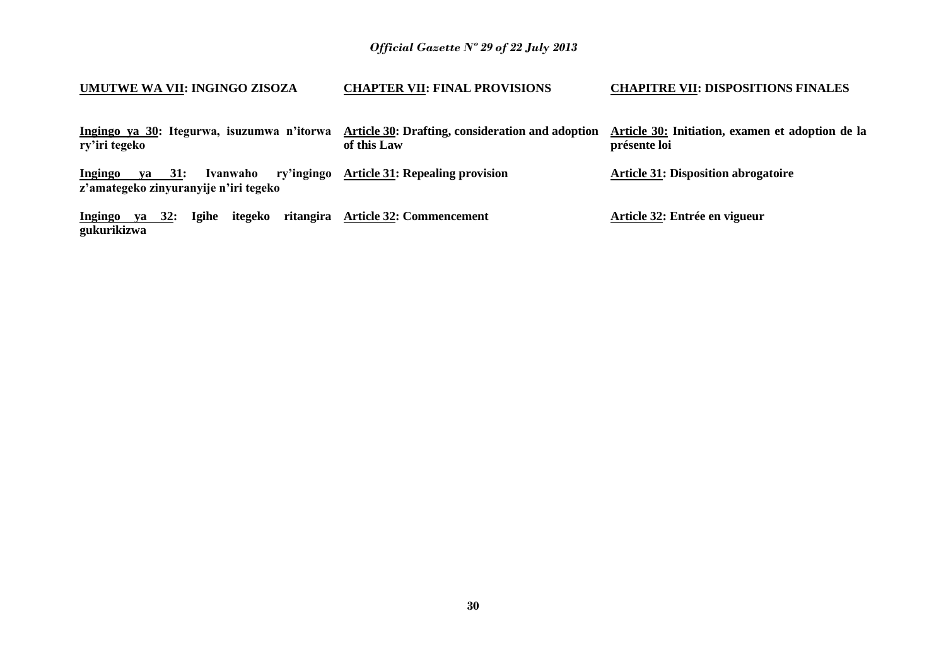| UMUTWE WA VII: INGINGO ZISOZA                                                               | <b>CHAPTER VII: FINAL PROVISIONS</b>                            | <b>CHAPITRE VII: DISPOSITIONS FINALES</b>                        |
|---------------------------------------------------------------------------------------------|-----------------------------------------------------------------|------------------------------------------------------------------|
| Ingingo ya 30: Itegurwa, isuzumwa n'itorwa<br>ry'iri tegeko                                 | Article 30: Drafting, consideration and adoption<br>of this Law | Article 30: Initiation, examen et adoption de la<br>présente loi |
| ry'ingingo<br>ya 31:<br>Ivanwaho<br><b>Ingingo</b><br>z'amategeko zinyuranyije n'iri tegeko | <b>Article 31: Repealing provision</b>                          | <b>Article 31: Disposition abrogatoire</b>                       |
| <b>Ingingo</b><br>itegeko<br>ya 32:<br>Igihe<br>gukurikizwa                                 | ritangira Article 32: Commencement                              | Article 32: Entrée en vigueur                                    |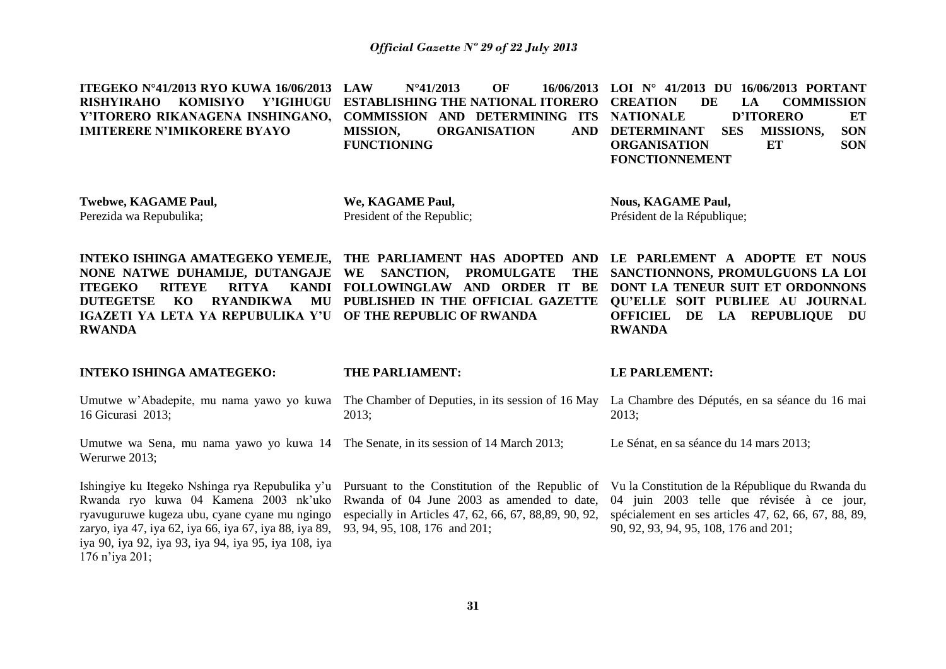| ITEGEKO N°41/2013 RYO KUWA 16/06/2013<br><b>RISHYIRAHO</b><br><b>KOMISIYO</b><br><b>Y'IGIHUGU</b><br>Y'ITORERO RIKANAGENA INSHINGANO,<br><b>IMITERERE N'IMIKORERE BYAYO</b>                                                                                 | <b>LAW</b><br>$N^{\circ}41/2013$<br>OF<br>16/06/2013<br><b>ESTABLISHING THE NATIONAL ITORERO</b><br><b>COMMISSION AND DETERMINING ITS</b><br><b>ORGANISATION</b><br><b>MISSION,</b><br><b>AND</b><br><b>FUNCTIONING</b> | LOI Nº 41/2013 DU 16/06/2013 PORTANT<br><b>DE</b><br><b>COMMISSION</b><br><b>CREATION</b><br>LA<br><b>D'ITORERO</b><br><b>NATIONALE</b><br>ET<br><b>SON</b><br><b>DETERMINANT</b><br><b>SES</b><br><b>MISSIONS,</b><br><b>SON</b><br><b>ORGANISATION</b><br>ET<br><b>FONCTIONNEMENT</b> |
|-------------------------------------------------------------------------------------------------------------------------------------------------------------------------------------------------------------------------------------------------------------|-------------------------------------------------------------------------------------------------------------------------------------------------------------------------------------------------------------------------|-----------------------------------------------------------------------------------------------------------------------------------------------------------------------------------------------------------------------------------------------------------------------------------------|
| <b>Twebwe, KAGAME Paul,</b><br>Perezida wa Repubulika;                                                                                                                                                                                                      | We, KAGAME Paul,<br>President of the Republic;                                                                                                                                                                          | <b>Nous, KAGAME Paul,</b><br>Président de la République;                                                                                                                                                                                                                                |
| NONE NATWE DUHAMIJE, DUTANGAJE<br><b>ITEGEKO</b><br><b>RITEYE</b><br><b>RITYA</b><br><b>KANDI</b><br><b>DUTEGETSE</b><br>KO<br><b>RYANDIKWA</b><br>MU<br>IGAZETI YA LETA YA REPUBULIKA Y'U<br><b>RWANDA</b>                                                 | INTEKO ISHINGA AMATEGEKO YEMEJE, THE PARLIAMENT HAS ADOPTED AND<br>WE<br>SANCTION,<br><b>PROMULGATE</b><br><b>THE</b><br>FOLLOWINGLAW AND ORDER IT BE<br>PUBLISHED IN THE OFFICIAL GAZETTE<br>OF THE REPUBLIC OF RWANDA | LE PARLEMENT A ADOPTE ET NOUS<br>SANCTIONNONS, PROMULGUONS LA LOI<br>DONT LA TENEUR SUIT ET ORDONNONS<br><b>QU'ELLE SOIT PUBLIEE AU JOURNAL</b><br>DE<br><b>LA REPUBLIQUE</b><br><b>OFFICIEL</b><br>DU<br><b>RWANDA</b>                                                                 |
| <b>INTEKO ISHINGA AMATEGEKO:</b>                                                                                                                                                                                                                            | THE PARLIAMENT:                                                                                                                                                                                                         | <b>LE PARLEMENT:</b>                                                                                                                                                                                                                                                                    |
| Umutwe w'Abadepite, mu nama yawo yo kuwa<br>16 Gicurasi 2013;                                                                                                                                                                                               | The Chamber of Deputies, in its session of 16 May<br>2013;                                                                                                                                                              | La Chambre des Députés, en sa séance du 16 mai<br>2013;                                                                                                                                                                                                                                 |
| Umutwe wa Sena, mu nama yawo yo kuwa 14 The Senate, in its session of 14 March 2013;<br>Werurwe 2013:                                                                                                                                                       |                                                                                                                                                                                                                         | Le Sénat, en sa séance du 14 mars 2013;                                                                                                                                                                                                                                                 |
| Ishingiye ku Itegeko Nshinga rya Repubulika y'u<br>Rwanda ryo kuwa 04 Kamena 2003 nk'uko<br>ryavuguruwe kugeza ubu, cyane cyane mu ngingo<br>zaryo, iya 47, iya 62, iya 66, iya 67, iya 88, iya 89,<br>iya 90, iya 92, iya 93, iya 94, iya 95, iya 108, iya | Pursuant to the Constitution of the Republic of<br>Rwanda of 04 June 2003 as amended to date,<br>especially in Articles 47, 62, 66, 67, 88,89, 90, 92,<br>93, 94, 95, 108, 176 and 201;                                 | Vu la Constitution de la République du Rwanda du<br>04 juin 2003 telle que révisée à ce jour,<br>spécialement en ses articles 47, 62, 66, 67, 88, 89,<br>90, 92, 93, 94, 95, 108, 176 and 201;                                                                                          |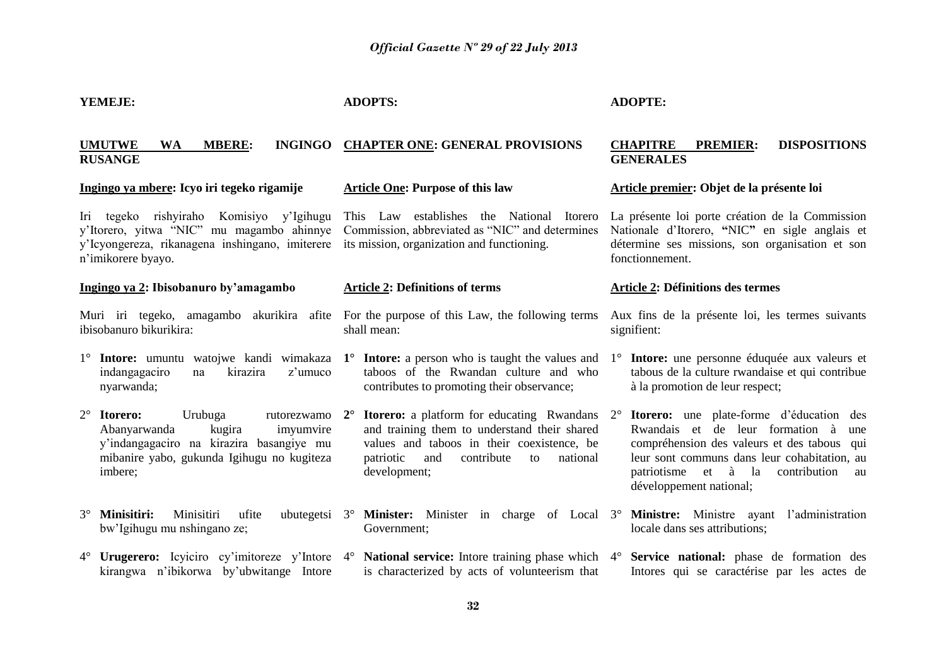| YEMEJE:                                                                                                                                                                                    | <b>ADOPTS:</b>                                                                                                                                                                                                                     | <b>ADOPTE:</b>                                                                                                                                                                                                                                                                     |
|--------------------------------------------------------------------------------------------------------------------------------------------------------------------------------------------|------------------------------------------------------------------------------------------------------------------------------------------------------------------------------------------------------------------------------------|------------------------------------------------------------------------------------------------------------------------------------------------------------------------------------------------------------------------------------------------------------------------------------|
| <b>INGINGO</b><br><b>UMUTWE</b><br><b>WA</b><br><b>MBERE:</b><br><b>RUSANGE</b>                                                                                                            | <b>CHAPTER ONE: GENERAL PROVISIONS</b>                                                                                                                                                                                             | <b>CHAPITRE</b><br><b>DISPOSITIONS</b><br><b>PREMIER:</b><br><b>GENERALES</b>                                                                                                                                                                                                      |
| Ingingo ya mbere: Icyo iri tegeko rigamije                                                                                                                                                 | <b>Article One: Purpose of this law</b>                                                                                                                                                                                            | Article premier: Objet de la présente loi                                                                                                                                                                                                                                          |
| Iri tegeko rishyiraho Komisiyo y'Igihugu<br>y'Itorero, yitwa "NIC" mu magambo ahinnye<br>y'Icyongereza, rikanagena inshingano, imiterere<br>n'imikorere byayo.                             | This Law establishes the National<br>Itorero<br>Commission, abbreviated as "NIC" and determines<br>its mission, organization and functioning.                                                                                      | La présente loi porte création de la Commission<br>Nationale d'Itorero, "NIC" en sigle anglais et<br>détermine ses missions, son organisation et son<br>fonctionnement.                                                                                                            |
| Ingingo ya 2: Ibisobanuro by'amagambo                                                                                                                                                      | <b>Article 2: Definitions of terms</b>                                                                                                                                                                                             | <b>Article 2: Définitions des termes</b>                                                                                                                                                                                                                                           |
| Muri iri tegeko, amagambo akurikira afite<br>ibisobanuro bikurikira:                                                                                                                       | For the purpose of this Law, the following terms<br>shall mean:                                                                                                                                                                    | Aux fins de la présente loi, les termes suivants<br>signifient:                                                                                                                                                                                                                    |
| indangagaciro<br>kirazira<br>z'umuco<br>na<br>nyarwanda;                                                                                                                                   | 1° Intore: umuntu watojwe kandi wimakaza 1° Intore: a person who is taught the values and<br>taboos of the Rwandan culture and who<br>contributes to promoting their observance;                                                   | 1° Intore: une personne éduquée aux valeurs et<br>tabous de la culture rwandaise et qui contribue<br>à la promotion de leur respect;                                                                                                                                               |
| $2^{\circ}$ Itorero:<br>Urubuga<br>rutorezwamo<br>Abanyarwanda<br>kugira<br>imyumvire<br>y'indangagaciro na kirazira basangiye mu<br>mibanire yabo, gukunda Igihugu no kugiteza<br>imbere; | <b>Itorero:</b> a platform for educating Rwandans<br>$2^{\circ}$<br>and training them to understand their shared<br>values and taboos in their coexistence, be<br>contribute<br>patriotic<br>and<br>national<br>to<br>development; | <b>Itorero:</b> une plate-forme d'éducation<br>des<br>$2^{\circ}$<br>Rwandais et de leur formation à<br>une<br>compréhension des valeurs et des tabous qui<br>leur sont communs dans leur cohabitation, au<br>patriotisme et à la<br>contribution<br>au<br>développement national; |
| 3 <sup>°</sup> Minisitiri:<br>Minisitiri<br>ufite<br>ubutegetsi $3^\circ$<br>bw'Igihugu mu nshingano ze;                                                                                   | Minister: Minister in charge of Local 3°<br>Government;                                                                                                                                                                            | Ministre: Ministre ayant l'administration<br>locale dans ses attributions;                                                                                                                                                                                                         |
| kirangwa n'ibikorwa by'ubwitange Intore                                                                                                                                                    | 4° Urugerero: Icyiciro cy'imitoreze y'Intore 4° National service: Intore training phase which 4° Service national: phase de formation des<br>is characterized by acts of volunteerism that                                         | Intores qui se caractérise par les actes de                                                                                                                                                                                                                                        |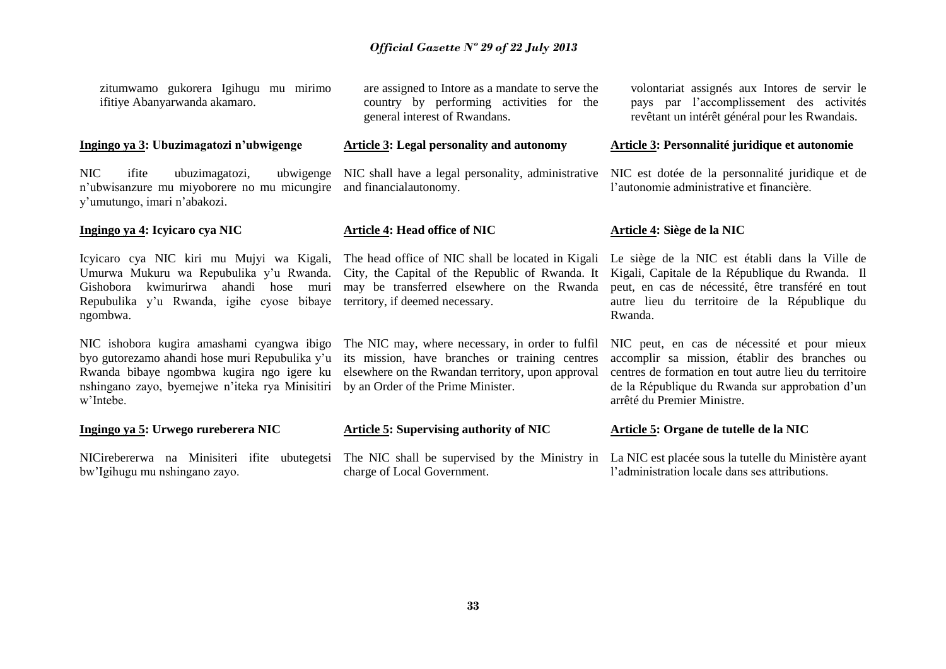zitumwamo gukorera Igihugu mu mirimo ifitiye Abanyarwanda akamaro.

#### **Ingingo ya 3: Ubuzimagatozi n'ubwigenge**

NIC ifite ubuzimagatozi, n'ubwisanzure mu miyoborere no mu micungire and financialautonomy. y'umutungo, imari n'abakozi.

## **Ingingo ya 4: Icyicaro cya NIC**

Umurwa Mukuru wa Repubulika y'u Rwanda. City, the Capital of the Republic of Rwanda. It Gishobora kwimurirwa ahandi hose muri Repubulika y'u Rwanda, igihe cyose bibaye territory, if deemed necessary. ngombwa.

NIC ishobora kugira amashami cyangwa ibigo The NIC may, where necessary, in order to fulfil byo gutorezamo ahandi hose muri Repubulika y'u its mission, have branches or training centres Rwanda bibaye ngombwa kugira ngo igere ku elsewhere on the Rwandan territory, upon approval nshingano zayo, byemejwe n'iteka rya Minisitiri by an Order of the Prime Minister. w'Intebe.

**Ingingo ya 5: Urwego rureberera NIC** 

bw'Igihugu mu nshingano zayo.

are assigned to Intore as a mandate to serve the country by performing activities for the general interest of Rwandans.

### **Article 3: Legal personality and autonomy**

#### **Article 4: Head office of NIC**

may be transferred elsewhere on the Rwanda

**Article 5: Supervising authority of NIC**

NICirebererwa na Minisiteri ifite ubutegetsi The NIC shall be supervised by the Ministry in La NIC est placée sous la tutelle du Ministère ayant charge of Local Government.

volontariat assignés aux Intores de servir le pays par l'accomplissement des activités revêtant un intérêt général pour les Rwandais.

### **Article 3: Personnalité juridique et autonomie**

NIC shall have a legal personality, administrative NIC est dotée de la personnalité juridique et de l'autonomie administrative et financière.

### **Article 4: Siège de la NIC**

Icyicaro cya NIC kiri mu Mujyi wa Kigali, The head office of NIC shall be located in Kigali Le siège de la NIC est établi dans la Ville de Kigali, Capitale de la République du Rwanda. Il peut, en cas de nécessité, être transféré en tout autre lieu du territoire de la République du Rwanda.

> NIC peut, en cas de nécessité et pour mieux accomplir sa mission, établir des branches ou centres de formation en tout autre lieu du territoire de la République du Rwanda sur approbation d'un arrêté du Premier Ministre.

#### **Article 5: Organe de tutelle de la NIC**

l'administration locale dans ses attributions.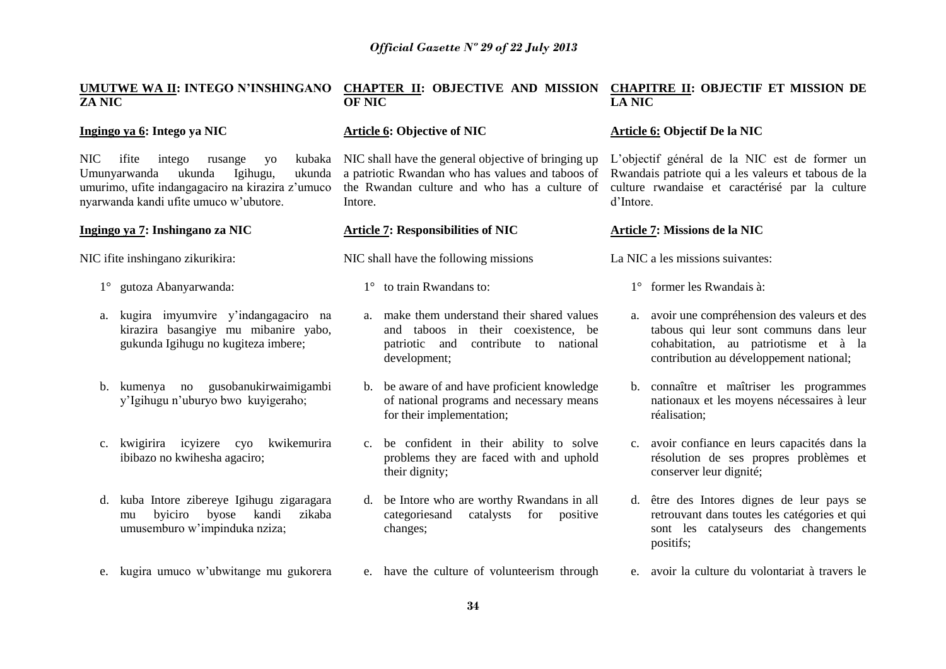# **ZA NIC**

## **Ingingo ya 6: Intego ya NIC**

NIC ifite intego rusange yo<br>Umunyarwanda ukunda Igihugu. Umunyarwanda ukunda Igihugu, ukunda umurimo, ufite indangagaciro na kirazira z'umuco nyarwanda kandi ufite umuco w'ubutore.

## **Ingingo ya 7: Inshingano za NIC**

NIC ifite inshingano zikurikira:

- 1° gutoza Abanyarwanda:
- a. kugira imyumvire y'indangagaciro na kirazira basangiye mu mibanire yabo, gukunda Igihugu no kugiteza imbere;
- b. kumenya no gusobanukirwaimigambi y'Igihugu n'uburyo bwo kuyigeraho;
- c. kwigirira icyizere cyo kwikemurira ibibazo no kwihesha agaciro;
- d. kuba Intore zibereye Igihugu zigaragara mu byiciro byose kandi zikaba umusemburo w'impinduka nziza;
- e. kugira umuco w'ubwitange mu gukorera

#### **UMUTWE WA II: INTEGO N'INSHINGANO CHAPTER II: OBJECTIVE AND MISSION CHAPITRE II: OBJECTIF ET MISSION DE OF NIC LA NIC**

## **Article 6: Objective of NIC**

kubaka NIC shall have the general objective of bringing up a patriotic Rwandan who has values and taboos of the Rwandan culture and who has a culture of Intore.

### **Article 7: Responsibilities of NIC**

- NIC shall have the following missions
	- 1° to train Rwandans to:
	- a. make them understand their shared values and taboos in their coexistence, be patriotic and contribute to national development;
	- b. be aware of and have proficient knowledge of national programs and necessary means for their implementation;
	- c. be confident in their ability to solve problems they are faced with and uphold their dignity;
	- d. be Intore who are worthy Rwandans in all categoriesand catalysts for positive changes;
	- e. have the culture of volunteerism through

## **Article 6: Objectif De la NIC**

L'objectif général de la NIC est de former un Rwandais patriote qui a les valeurs et tabous de la culture rwandaise et caractérisé par la culture d'Intore.

#### **Article 7: Missions de la NIC**

La NIC a les missions suivantes:

- 1° former les Rwandais à:
- a. avoir une compréhension des valeurs et des tabous qui leur sont communs dans leur cohabitation, au patriotisme et à la contribution au développement national;
- b. connaître et maîtriser les programmes nationaux et les moyens nécessaires à leur réalisation;
- c. avoir confiance en leurs capacités dans la résolution de ses propres problèmes et conserver leur dignité;
- d. être des Intores dignes de leur pays se retrouvant dans toutes les catégories et qui sont les catalyseurs des changements positifs;
- e. avoir la culture du volontariat à travers le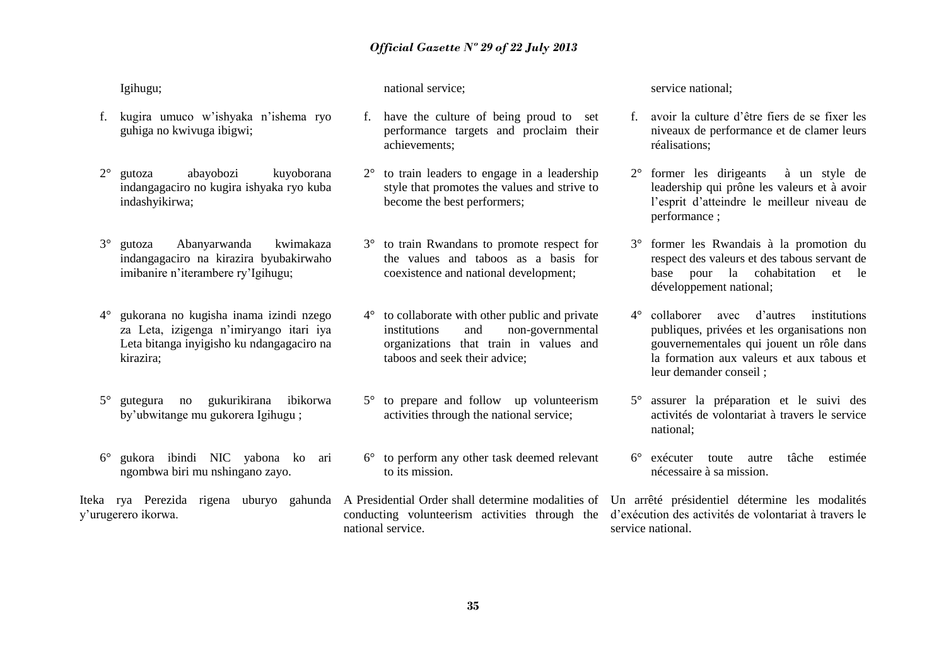Igihugu;

- f. kugira umuco w'ishyaka n'ishema ryo guhiga no kwivuga ibigwi;
- 2° gutoza abayobozi kuyoborana indangagaciro no kugira ishyaka ryo kuba indashyikirwa;
- 3° gutoza Abanyarwanda kwimakaza indangagaciro na kirazira byubakirwaho imibanire n'iterambere ry'Igihugu;
- 4° gukorana no kugisha inama izindi nzego za Leta, izigenga n'imiryango itari iya Leta bitanga inyigisho ku ndangagaciro na kirazira;
- 5° gutegura no gukurikirana ibikorwa by'ubwitange mu gukorera Igihugu ;
- 6° gukora ibindi NIC yabona ko ari ngombwa biri mu nshingano zayo.

y'urugerero ikorwa.

national service;

- f. have the culture of being proud to set performance targets and proclaim their achievements;
- 2° to train leaders to engage in a leadership style that promotes the values and strive to become the best performers;
- 3° to train Rwandans to promote respect for the values and taboos as a basis for coexistence and national development;
- 4° to collaborate with other public and private institutions and non-governmental organizations that train in values and taboos and seek their advice;
- 5° to prepare and follow up volunteerism activities through the national service;
- 6° to perform any other task deemed relevant to its mission.
- national service.

service national;

- f. avoir la culture d'être fiers de se fixer les niveaux de performance et de clamer leurs réalisations;
- 2° former les dirigeants à un style de leadership qui prône les valeurs et à avoir l'esprit d'atteindre le meilleur niveau de performance ;
- 3° former les Rwandais à la promotion du respect des valeurs et des tabous servant de base pour la cohabitation et le développement national;
- 4° collaborer avec d'autres institutions publiques, privées et les organisations non gouvernementales qui jouent un rôle dans la formation aux valeurs et aux tabous et leur demander conseil ;
- 5° assurer la préparation et le suivi des activités de volontariat à travers le service national;
- 6° exécuter toute autre tâche estimée nécessaire à sa mission.

Iteka rya Perezida rigena uburyo gahunda A-Presidential-Order-shall-determine-modalities of Un arrêté présidentiel détermine les modalités conducting volunteerism activities through the d'exécution des activités de volontariat à travers le service national.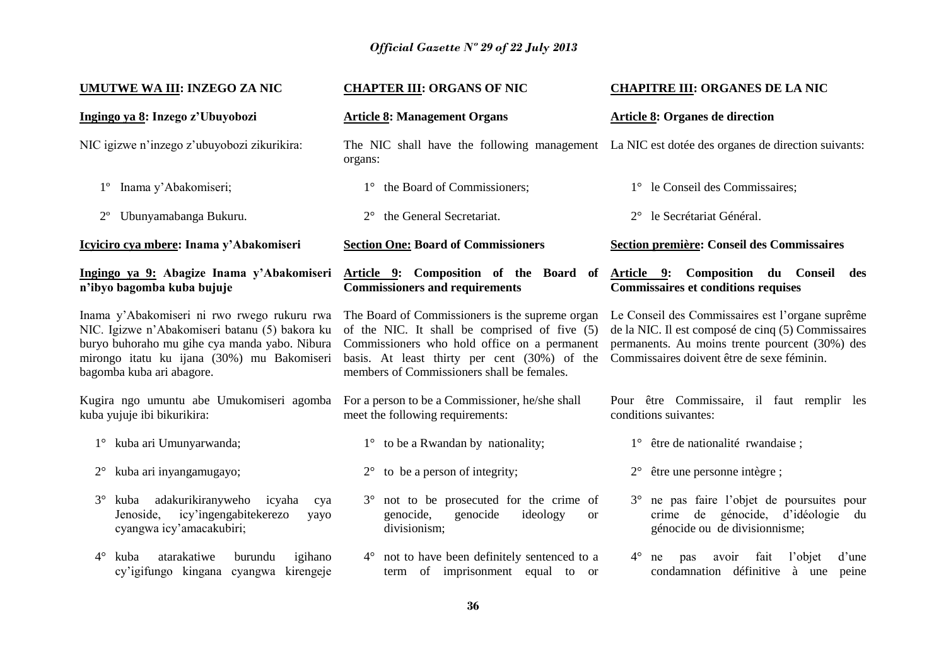| <b>UMUTWE WA III: INZEGO ZA NIC</b>                                                                                                                                                                                       | <b>CHAPTER III: ORGANS OF NIC</b>                                                                                                                                                                                                              | <b>CHAPITRE III: ORGANES DE LA NIC</b>                                                                                                                                                                 |
|---------------------------------------------------------------------------------------------------------------------------------------------------------------------------------------------------------------------------|------------------------------------------------------------------------------------------------------------------------------------------------------------------------------------------------------------------------------------------------|--------------------------------------------------------------------------------------------------------------------------------------------------------------------------------------------------------|
| Ingingo ya 8: Inzego z'Ubuyobozi                                                                                                                                                                                          | <b>Article 8: Management Organs</b>                                                                                                                                                                                                            | <b>Article 8: Organes de direction</b>                                                                                                                                                                 |
| NIC igizwe n'inzego z'ubuyobozi zikurikira:                                                                                                                                                                               | The NIC shall have the following management La NIC est dotée des organes de direction suivants:<br>organs:                                                                                                                                     |                                                                                                                                                                                                        |
| Inama y'Abakomiseri;<br>$1^{\circ}$                                                                                                                                                                                       | 1° the Board of Commissioners;                                                                                                                                                                                                                 | 1° le Conseil des Commissaires;                                                                                                                                                                        |
| Ubunyamabanga Bukuru.<br>$2^{\circ}$                                                                                                                                                                                      | the General Secretariat.<br>$2^{\circ}$                                                                                                                                                                                                        | 2° le Secrétariat Général.                                                                                                                                                                             |
| Icyiciro cya mbere: Inama y'Abakomiseri                                                                                                                                                                                   | <b>Section One: Board of Commissioners</b>                                                                                                                                                                                                     | Section première: Conseil des Commissaires                                                                                                                                                             |
| Ingingo ya 9: Abagize Inama y'Abakomiseri<br>n'ibyo bagomba kuba bujuje                                                                                                                                                   | Article 9: Composition of the Board of<br><b>Commissioners and requirements</b>                                                                                                                                                                | Article 9: Composition du Conseil<br>des<br><b>Commissaires et conditions requises</b>                                                                                                                 |
| Inama y'Abakomiseri ni rwo rwego rukuru rwa<br>NIC. Igizwe n'Abakomiseri batanu (5) bakora ku<br>buryo buhoraho mu gihe cya manda yabo. Nibura<br>mirongo itatu ku ijana (30%) mu Bakomiseri<br>bagomba kuba ari abagore. | The Board of Commissioners is the supreme organ<br>of the NIC. It shall be comprised of five (5)<br>Commissioners who hold office on a permanent<br>basis. At least thirty per cent (30%) of the<br>members of Commissioners shall be females. | Le Conseil des Commissaires est l'organe suprême<br>de la NIC. Il est composé de cinq (5) Commissaires<br>permanents. Au moins trente pourcent (30%) des<br>Commissaires doivent être de sexe féminin. |
| Kugira ngo umuntu abe Umukomiseri agomba<br>kuba yujuje ibi bikurikira:                                                                                                                                                   | For a person to be a Commissioner, he/she shall<br>meet the following requirements:                                                                                                                                                            | Pour être Commissaire, il faut remplir les<br>conditions suivantes:                                                                                                                                    |
| kuba ari Umunyarwanda;<br>$1^{\circ}$                                                                                                                                                                                     | $1^{\circ}$ to be a Rwandan by nationality;                                                                                                                                                                                                    | 1° être de nationalité rwandaise ;                                                                                                                                                                     |
| kuba ari inyangamugayo;<br>$2^{\circ}$                                                                                                                                                                                    | to be a person of integrity;<br>$2^{\circ}$                                                                                                                                                                                                    | $2^{\circ}$ être une personne intègre;                                                                                                                                                                 |
| adakurikiranyweho<br>$3^\circ$<br>kuba<br>icyaha<br>cya<br>icy'ingengabitekerezo<br>Jenoside,<br>yayo<br>cyangwa icy'amacakubiri;                                                                                         | not to be prosecuted for the crime of<br>$3^\circ$<br>genocide,<br>genocide<br>ideology<br><b>or</b><br>divisionism;                                                                                                                           | ne pas faire l'objet de poursuites pour<br>$3^\circ$<br>génocide, d'idéologie<br>crime de<br>du<br>génocide ou de divisionnisme;                                                                       |
| $4^\circ$<br>kuba<br>atarakatiwe<br>burundu<br>igihano<br>cy'igifungo kingana cyangwa kirengeje                                                                                                                           | 4° not to have been definitely sentenced to a<br>term of imprisonment equal to or                                                                                                                                                              | avoir<br>fait<br>l'objet<br>$4^{\circ}$ ne<br>pas<br>d'une<br>condamnation définitive à une<br>peine                                                                                                   |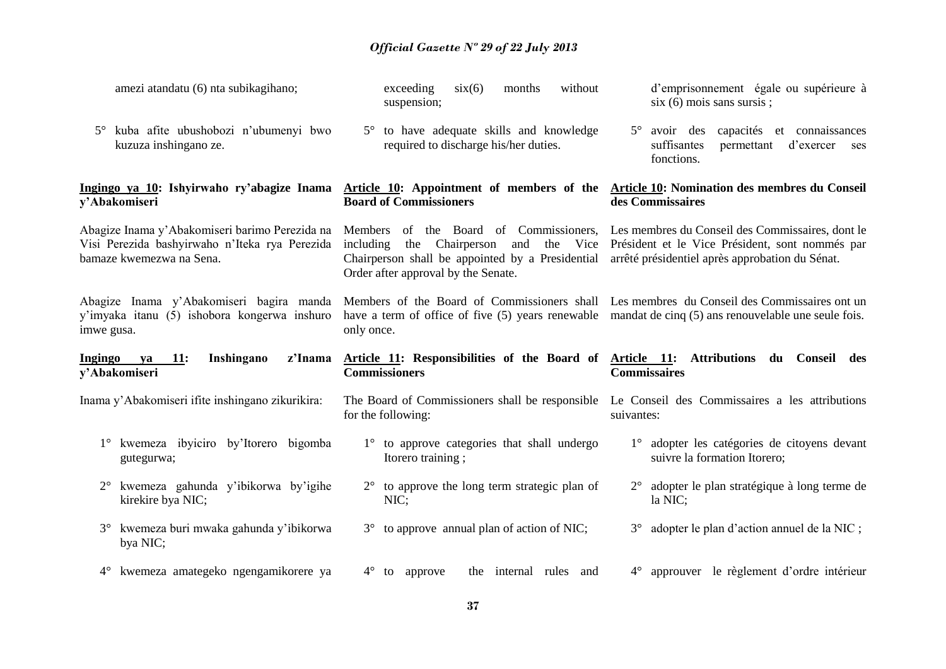| amezi atandatu (6) nta subikagihano;                                                                                         | exceeding<br>$\text{six}(6)$<br>without<br>months<br>suspension;                                                                                                                                                  | d'emprisonnement égale ou supérieure à<br>$\sin(6)$ mois sans sursis;                                                                                  |  |
|------------------------------------------------------------------------------------------------------------------------------|-------------------------------------------------------------------------------------------------------------------------------------------------------------------------------------------------------------------|--------------------------------------------------------------------------------------------------------------------------------------------------------|--|
| kuba afite ubushobozi n'ubumenyi bwo<br>$5^\circ$<br>kuzuza inshingano ze.                                                   | 5° to have adequate skills and knowledge<br>required to discharge his/her duties.                                                                                                                                 | 5° avoir des capacités et connaissances<br>suffisantes<br>d'exercer<br>permettant<br>ses<br>fonctions.                                                 |  |
| Ingingo ya 10: Ishyirwaho ry'abagize Inama<br>y'Abakomiseri                                                                  | Article 10: Appointment of members of the<br><b>Board of Commissioners</b>                                                                                                                                        | Article 10: Nomination des membres du Conseil<br>des Commissaires                                                                                      |  |
| Abagize Inama y'Abakomiseri barimo Perezida na<br>Visi Perezida bashyirwaho n'Iteka rya Perezida<br>bamaze kwemezwa na Sena. | Members of the Board of Commissioners,<br>including<br>Chairperson<br>Vice<br>the<br>and<br>the<br>Chairperson shall be appointed by a Presidential<br>Order after approval by the Senate.                        | Les membres du Conseil des Commissaires, dont le<br>Président et le Vice Président, sont nommés par<br>arrêté présidentiel après approbation du Sénat. |  |
| Abagize Inama y'Abakomiseri bagira manda<br>y'imyaka itanu (5) ishobora kongerwa inshuro<br>imwe gusa.                       | Members of the Board of Commissioners shall Les membres du Conseil des Commissaires ont un<br>have a term of office of five (5) years renewable mandat de cinq (5) ans renouvelable une seule fois.<br>only once. |                                                                                                                                                        |  |
|                                                                                                                              |                                                                                                                                                                                                                   |                                                                                                                                                        |  |
| Inshingano<br>z'Inama<br><b>Ingingo</b><br><b>11:</b><br>ya<br>y'Abakomiseri                                                 | Article 11: Responsibilities of the Board of<br><b>Commissioners</b>                                                                                                                                              | Article 11:<br><b>Attributions</b><br>du Conseil des<br><b>Commissaires</b>                                                                            |  |
| Inama y'Abakomiseri ifite inshingano zikurikira:                                                                             | The Board of Commissioners shall be responsible<br>for the following:                                                                                                                                             | Le Conseil des Commissaires a les attributions<br>suivantes:                                                                                           |  |
| kwemeza ibyiciro by'Itorero bigomba<br>gutegurwa;                                                                            | 1° to approve categories that shall undergo<br>Itorero training;                                                                                                                                                  | 1° adopter les catégories de citoyens devant<br>suivre la formation Itorero;                                                                           |  |
| kwemeza gahunda y'ibikorwa by'igihe<br>$2^{\circ}$<br>kirekire bya NIC;                                                      | $2^{\circ}$ to approve the long term strategic plan of<br>NIC;                                                                                                                                                    | adopter le plan stratégique à long terme de<br>la NIC;                                                                                                 |  |
| kwemeza buri mwaka gahunda y'ibikorwa<br>$3^\circ$<br>bya NIC;                                                               | $3^{\circ}$ to approve annual plan of action of NIC;                                                                                                                                                              | adopter le plan d'action annuel de la NIC;<br>$3^\circ$                                                                                                |  |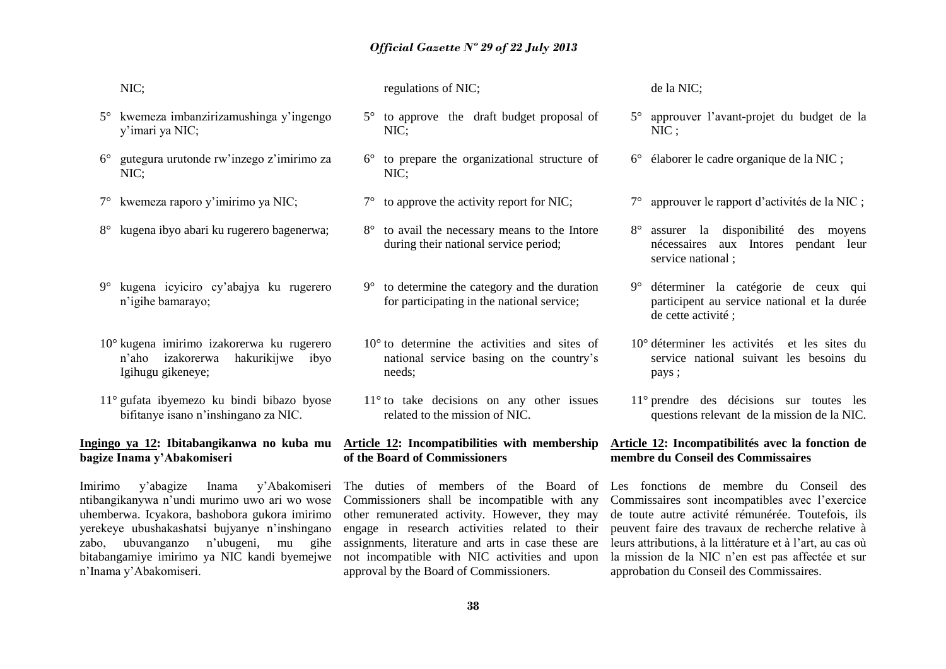|             | NIC;                                                                                                                                                             | regulations of NIC;                                                                                         | de la NIC;                                                                                                   |
|-------------|------------------------------------------------------------------------------------------------------------------------------------------------------------------|-------------------------------------------------------------------------------------------------------------|--------------------------------------------------------------------------------------------------------------|
| $5^{\circ}$ | kwemeza imbanzirizamushinga y'ingengo<br>y'imari ya NIC;                                                                                                         | 5° to approve the draft budget proposal of<br>NIC;                                                          | 5° approuver l'avant-projet du budget de la<br>NIC;                                                          |
| $6^{\circ}$ | gutegura urutonde rw'inzego z'imirimo za<br>NIC;                                                                                                                 | $6^{\circ}$ to prepare the organizational structure of<br>NIC;                                              | 6° élaborer le cadre organique de la NIC ;                                                                   |
| $7^{\circ}$ | kwemeza raporo y'imirimo ya NIC;                                                                                                                                 | $7^\circ$ to approve the activity report for NIC;                                                           | 7° approuver le rapport d'activités de la NIC ;                                                              |
| $8^{\circ}$ | kugena ibyo abari ku rugerero bagenerwa;                                                                                                                         | 8° to avail the necessary means to the Intore<br>during their national service period;                      | 8° assurer la disponibilité<br>des moyens<br>aux Intores pendant leur<br>nécessaires<br>service national;    |
| $9^\circ$   | kugena icyiciro cy'abajya ku rugerero<br>n'igihe bamarayo;                                                                                                       | $9^{\circ}$ to determine the category and the duration<br>for participating in the national service;        | 9° déterminer la catégorie de ceux qui<br>participent au service national et la durée<br>de cette activité ; |
|             | 10° kugena imirimo izakorerwa ku rugerero<br>hakurikijwe<br>n'aho<br>izakorerwa<br>ibyo<br>Igihugu gikeneye;                                                     | $10^{\circ}$ to determine the activities and sites of<br>national service basing on the country's<br>needs; | 10° déterminer les activités et les sites du<br>service national suivant les besoins du<br>pays;             |
|             | $11^{\circ}$ gufata ibyemezo ku bindi bibazo byose<br>bifitanye isano n'inshingano za NIC.                                                                       | $11^{\circ}$ to take decisions on any other issues<br>related to the mission of NIC.                        | 11° prendre des décisions sur toutes les<br>questions relevant de la mission de la NIC.                      |
|             | <u>Ingingo ya 12</u> : Ibitabangikanwa no kuba mu <u>Article 12</u> : Incompatibilities with membership <u>Article 12</u> : Incompatibilités avec la fonction de |                                                                                                             |                                                                                                              |

# **bagize Inama y'Abakomiseri**

Imirimo y'abagize Inama y'Abakomiseri ntibangikanywa n'undi murimo uwo ari wo wose uhemberwa. Icyakora, bashobora gukora imirimo yerekeye ubushakashatsi bujyanye n'inshingano zabo, ubuvanganzo n'ubugeni, mu gihe bitabangamiye imirimo ya NIC kandi byemejwe n'Inama y'Abakomiseri.

The duties of members of the Board of Les fonctions de membre du Conseil des Commissioners shall be incompatible with any other remunerated activity. However, they may engage in research activities related to their assignments, literature and arts in case these are not incompatible with NIC activities and upon

**of the Board of Commissioners**

**membre du Conseil des Commissaires**

Commissaires sont incompatibles avec l'exercice de toute autre activité rémunérée. Toutefois, ils peuvent faire des travaux de recherche relative à leurs attributions, à la littérature et à l'art, au cas où la mission de la NIC n'en est pas affectée et sur approbation du Conseil des Commissaires.

approval by the Board of Commissioners.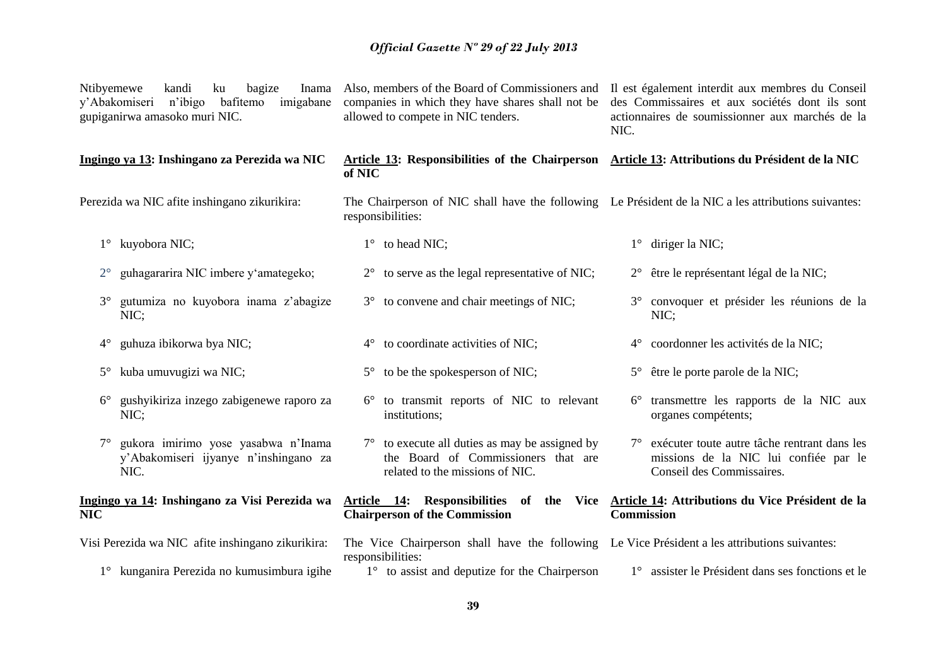| Ntibyemewe  | kandi<br>bagize<br>ku<br>Inama<br>y'Abakomiseri n'ibigo<br>bafitemo<br>imigabane<br>gupiganirwa amasoko muri NIC. | Also, members of the Board of Commissioners and<br>companies in which they have shares shall not be<br>allowed to compete in NIC tenders. | Il est également interdit aux membres du Conseil<br>des Commissaires et aux sociétés dont ils sont<br>actionnaires de soumissionner aux marchés de la<br>NIC. |
|-------------|-------------------------------------------------------------------------------------------------------------------|-------------------------------------------------------------------------------------------------------------------------------------------|---------------------------------------------------------------------------------------------------------------------------------------------------------------|
|             | Ingingo ya 13: Inshingano za Perezida wa NIC                                                                      | Article 13: Responsibilities of the Chairperson Article 13: Attributions du Président de la NIC<br>of NIC                                 |                                                                                                                                                               |
|             | Perezida wa NIC afite inshingano zikurikira:                                                                      | The Chairperson of NIC shall have the following Le Président de la NIC a les attributions suivantes:<br>responsibilities:                 |                                                                                                                                                               |
|             | 1° kuyobora NIC;                                                                                                  | 1° to head NIC;                                                                                                                           | $1^{\circ}$ diriger la NIC;                                                                                                                                   |
| $2^{\circ}$ | guhagararira NIC imbere y'amategeko;                                                                              | 2° to serve as the legal representative of NIC;                                                                                           | 2° être le représentant légal de la NIC;                                                                                                                      |
|             | gutumiza no kuyobora inama z'abagize<br>NIC;                                                                      | 3° to convene and chair meetings of NIC;                                                                                                  | 3° convoquer et présider les réunions de la<br>NIC;                                                                                                           |
| $4^{\circ}$ | guhuza ibikorwa bya NIC;                                                                                          | 4° to coordinate activities of NIC;                                                                                                       | 4° coordonner les activités de la NIC;                                                                                                                        |
|             | 5° kuba umuvugizi wa NIC;                                                                                         | $5^{\circ}$ to be the spokesperson of NIC;                                                                                                | 5° être le porte parole de la NIC;                                                                                                                            |
| $6^{\circ}$ | gushyikiriza inzego zabigenewe raporo za<br>NIC;                                                                  | 6° to transmit reports of NIC to relevant<br>institutions;                                                                                | 6° transmettre les rapports de la NIC aux<br>organes compétents;                                                                                              |
|             | gukora imirimo yose yasabwa n'Inama<br>y'Abakomiseri ijyanye n'inshingano za<br>NIC.                              | $7^{\circ}$ to execute all duties as may be assigned by<br>the Board of Commissioners that are<br>related to the missions of NIC.         | 7° exécuter toute autre tâche rentrant dans les<br>missions de la NIC lui confiée par le<br>Conseil des Commissaires.                                         |
| <b>NIC</b>  | Ingingo ya 14: Inshingano za Visi Perezida wa                                                                     | Article 14: Responsibilities of the Vice Article 14: Attributions du Vice Président de la<br><b>Chairperson of the Commission</b>         | <b>Commission</b>                                                                                                                                             |
|             | Visi Perezida wa NIC afite inshingano zikurikira:                                                                 | The Vice Chairperson shall have the following Le Vice Président a les attributions suivantes:<br>responsibilities:                        |                                                                                                                                                               |
|             | 1° kunganira Perezida no kumusimbura igihe                                                                        | $1^\circ$ to assist and deputize for the Chairperson                                                                                      | 1° assister le Président dans ses fonctions et le                                                                                                             |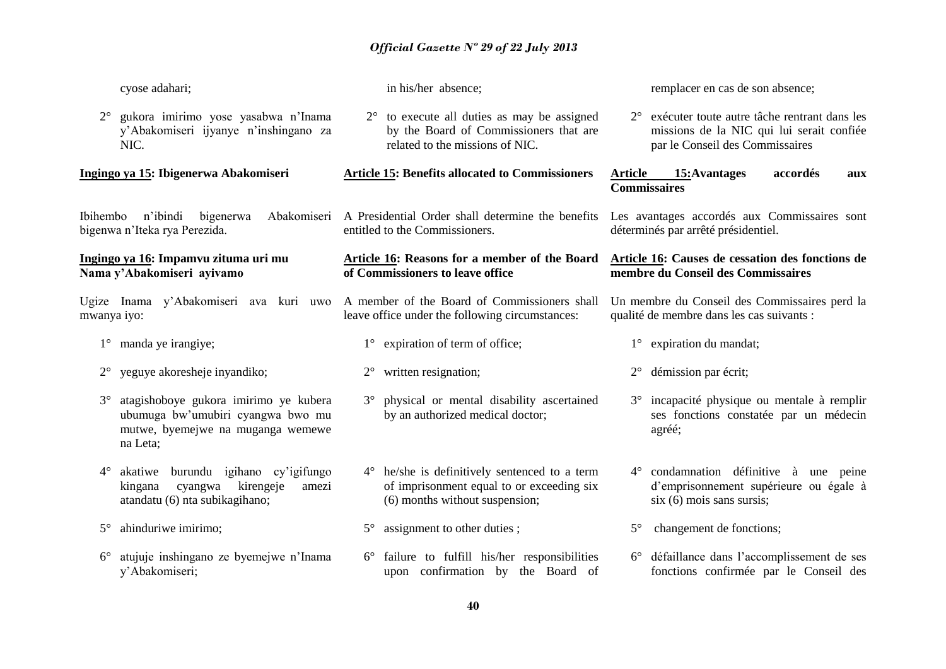| cyose adahari;                                                                                                                           | in his/her absence;                                                                                                                      | remplacer en cas de son absence;                                                                                                            |
|------------------------------------------------------------------------------------------------------------------------------------------|------------------------------------------------------------------------------------------------------------------------------------------|---------------------------------------------------------------------------------------------------------------------------------------------|
| gukora imirimo yose yasabwa n'Inama<br>$2^{\circ}$<br>y'Abakomiseri ijyanye n'inshingano za<br>NIC.                                      | to execute all duties as may be assigned<br>$2^{\circ}$<br>by the Board of Commissioners that are<br>related to the missions of NIC.     | exécuter toute autre tâche rentrant dans les<br>$2^{\circ}$<br>missions de la NIC qui lui serait confiée<br>par le Conseil des Commissaires |
| Ingingo ya 15: Ibigenerwa Abakomiseri                                                                                                    | <b>Article 15: Benefits allocated to Commissioners</b>                                                                                   | 15: Avantages<br><b>Article</b><br>accordés<br>aux<br><b>Commissaires</b>                                                                   |
| n'ibindi<br>Abakomiseri<br>Ibihembo<br>bigenerwa<br>bigenwa n'Iteka rya Perezida.                                                        | A Presidential Order shall determine the benefits<br>entitled to the Commissioners.                                                      | Les avantages accordés aux Commissaires sont<br>déterminés par arrêté présidentiel.                                                         |
| Ingingo ya 16: Impamvu zituma uri mu<br>Nama y'Abakomiseri ayivamo                                                                       | Article 16: Reasons for a member of the Board<br>of Commissioners to leave office                                                        | Article 16: Causes de cessation des fonctions de<br>membre du Conseil des Commissaires                                                      |
| Ugize Inama y'Abakomiseri ava kuri uwo<br>mwanya iyo:                                                                                    | A member of the Board of Commissioners shall<br>leave office under the following circumstances:                                          | Un membre du Conseil des Commissaires perd la<br>qualité de membre dans les cas suivants :                                                  |
| $1^{\circ}$ manda ye irangiye;                                                                                                           | $1^\circ$ expiration of term of office;                                                                                                  | 1° expiration du mandat;                                                                                                                    |
| yeguye akoresheje inyandiko;                                                                                                             | written resignation;<br>$2^{\circ}$                                                                                                      | démission par écrit;<br>$2^{\circ}$                                                                                                         |
| atagishoboye gukora imirimo ye kubera<br>$3^\circ$<br>ubumuga bw'umubiri cyangwa bwo mu<br>mutwe, byemejwe na muganga wemewe<br>na Leta; | 3° physical or mental disability ascertained<br>by an authorized medical doctor;                                                         | incapacité physique ou mentale à remplir<br>$3^\circ$<br>ses fonctions constatée par un médecin<br>agréé;                                   |
| burundu igihano cy'igifungo<br>$4^\circ$<br>akatiwe<br>kirengeje<br>cyangwa<br>kingana<br>amezi<br>atandatu (6) nta subikagihano;        | he/she is definitively sentenced to a term<br>$4^{\circ}$<br>of imprisonment equal to or exceeding six<br>(6) months without suspension; | 4° condamnation définitive à une peine<br>d'emprisonnement supérieure ou égale à<br>$s$ ix $(6)$ mois sans sursis;                          |
| ahinduriwe imirimo;<br>$5^{\circ}$                                                                                                       | assignment to other duties;<br>$5^\circ$                                                                                                 | changement de fonctions;<br>$5^\circ$                                                                                                       |
| atujuje inshingano ze byemejwe n'Inama<br>$6^{\circ}$<br>y'Abakomiseri;                                                                  | failure to fulfill his/her responsibilities<br>upon confirmation by the Board of                                                         | 6° défaillance dans l'accomplissement de ses<br>fonctions confirmée par le Conseil des                                                      |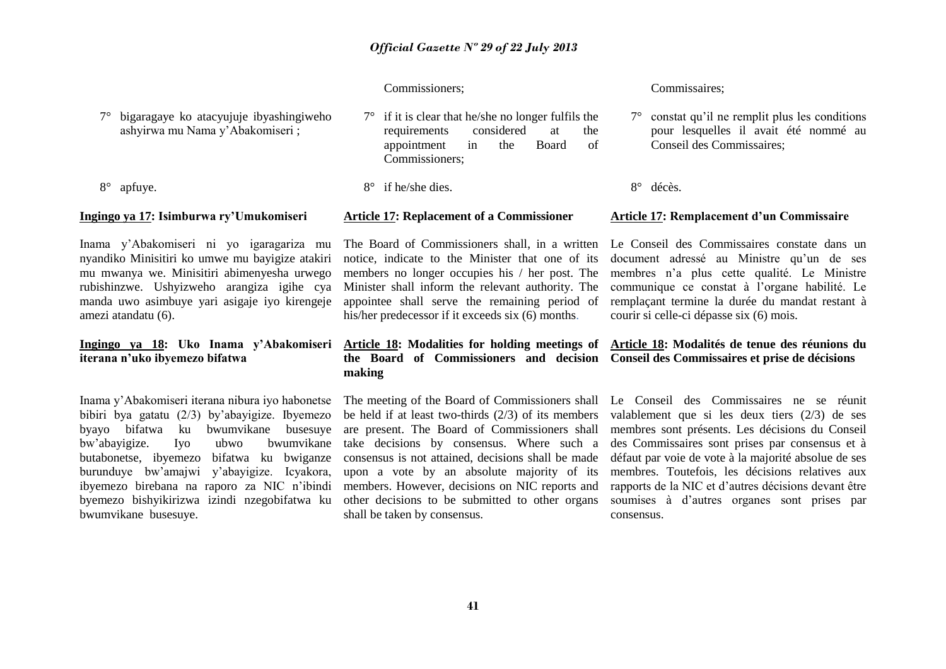#### Commissioners;

7° bigaragaye ko atacyujuje ibyashingiweho ashyirwa mu Nama y'Abakomiseri ;

8° apfuye.

#### **Ingingo ya 17: Isimburwa ry'Umukomiseri**

Inama y'Abakomiseri ni yo igaragariza mu nyandiko Minisitiri ko umwe mu bayigize atakiri mu mwanya we. Minisitiri abimenyesha urwego rubishinzwe. Ushyizweho arangiza igihe cya manda uwo asimbuye yari asigaje iyo kirengeje amezi atandatu (6).

#### **Ingingo ya 18: Uko Inama y'Abakomiseri iterana n'uko ibyemezo bifatwa**

Inama y'Abakomiseri iterana nibura iyo habonetse bibiri bya gatatu (2/3) by'abayigize. Ibyemezo byayo bifatwa ku bwumvikane busesuye bw'abayigize. Iyo ubwo bwumvikane butabonetse, ibyemezo bifatwa ku bwiganze burunduye bw'amajwi y'abayigize. Icyakora, ibyemezo birebana na raporo za NIC n'ibindi byemezo bishyikirizwa izindi nzegobifatwa ku bwumvikane busesuye.

#### $7^\circ$  if it is clear that he/she no longer fulfils the requirements considered at the appointment in the Board of Commissioners;

 $8^\circ$  if he/she dies.

#### **Article 17: Replacement of a Commissioner**

The Board of Commissioners shall, in a written notice, indicate to the Minister that one of its members no longer occupies his / her post. The Minister shall inform the relevant authority. The appointee shall serve the remaining period of his/her predecessor if it exceeds six (6) months.

## **the Board of Commissioners and decision Conseil des Commissaires et prise de décisions making**

The meeting of the Board of Commissioners shall be held if at least two-thirds (2/3) of its members are present. The Board of Commissioners shall take decisions by consensus. Where such a consensus is not attained, decisions shall be made upon a vote by an absolute majority of its members. However, decisions on NIC reports and other decisions to be submitted to other organs shall be taken by consensus.

#### Commissaires;

- 7° constat qu'il ne remplit plus les conditions pour lesquelles il avait été nommé au Conseil des Commissaires;
- 8° décès.

#### **Article 17: Remplacement d'un Commissaire**

Le Conseil des Commissaires constate dans un document adressé au Ministre qu'un de ses membres n'a plus cette qualité. Le Ministre communique ce constat à l'organe habilité. Le remplaçant termine la durée du mandat restant à courir si celle-ci dépasse six (6) mois.

# **Article 18: Modalities for holding meetings of Article 18: Modalités de tenue des réunions du**

Le Conseil des Commissaires ne se réunit valablement que si les deux tiers (2/3) de ses membres sont présents. Les décisions du Conseil des Commissaires sont prises par consensus et à défaut par voie de vote à la majorité absolue de ses membres. Toutefois, les décisions relatives aux rapports de la NIC et d'autres décisions devant être soumises à d'autres organes sont prises par consensus.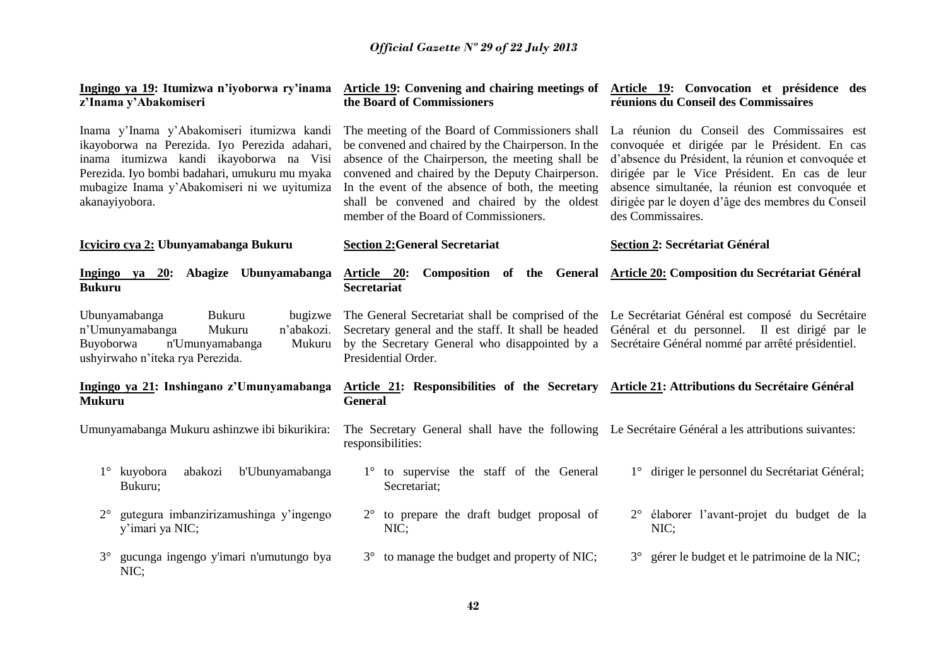| Ingingo ya 19: Itumizwa n'iyoborwa ry'inama<br>z'Inama y'Abakomiseri                                                                                                                                                                                       | <b>Article 19:</b> Convening and chairing meetings of<br>the Board of Commissioners                                                                                                                                                                                                                                                                      | Article 19: Convocation et présidence des<br>réunions du Conseil des Commissaires                                                                                                                                                                                                                                               |
|------------------------------------------------------------------------------------------------------------------------------------------------------------------------------------------------------------------------------------------------------------|----------------------------------------------------------------------------------------------------------------------------------------------------------------------------------------------------------------------------------------------------------------------------------------------------------------------------------------------------------|---------------------------------------------------------------------------------------------------------------------------------------------------------------------------------------------------------------------------------------------------------------------------------------------------------------------------------|
| Inama y'Inama y'Abakomiseri itumizwa kandi<br>ikayoborwa na Perezida. Iyo Perezida adahari,<br>inama itumizwa kandi ikayoborwa na Visi<br>Perezida. Iyo bombi badahari, umukuru mu myaka<br>mubagize Inama y'Abakomiseri ni we uyitumiza<br>akanayiyobora. | The meeting of the Board of Commissioners shall<br>be convened and chaired by the Chairperson. In the<br>absence of the Chairperson, the meeting shall be<br>convened and chaired by the Deputy Chairperson.<br>In the event of the absence of both, the meeting<br>shall be convened and chaired by the oldest<br>member of the Board of Commissioners. | La réunion du Conseil des Commissaires est<br>convoquée et dirigée par le Président. En cas<br>d'absence du Président, la réunion et convoquée et<br>dirigée par le Vice Président. En cas de leur<br>absence simultanée, la réunion est convoquée et<br>dirigée par le doyen d'âge des membres du Conseil<br>des Commissaires. |
| Icyiciro cya 2: Ubunyamabanga Bukuru                                                                                                                                                                                                                       | <b>Section 2: General Secretariat</b>                                                                                                                                                                                                                                                                                                                    | Section 2: Secrétariat Général                                                                                                                                                                                                                                                                                                  |
| Ingingo ya 20: Abagize Ubunyamabanga<br><b>Bukuru</b>                                                                                                                                                                                                      | Composition of the General<br>Article 20:<br>Secretariat                                                                                                                                                                                                                                                                                                 | <b>Article 20: Composition du Secrétariat Général</b>                                                                                                                                                                                                                                                                           |
| Ubunyamabanga<br>Bukuru<br>bugizwe<br>Mukuru<br>n'Umunyamabanga<br>n'abakozi.<br>Buyoborwa<br>n'Umunyamabanga<br>Mukuru<br>ushyirwaho n'iteka rya Perezida.                                                                                                | The General Secretariat shall be comprised of the<br>Secretary general and the staff. It shall be headed<br>by the Secretary General who disappointed by a<br>Presidential Order.                                                                                                                                                                        | Le Secrétariat Général est composé du Secrétaire<br>Général et du personnel. Il est dirigé par le<br>Secrétaire Général nommé par arrêté présidentiel.                                                                                                                                                                          |
| Ingingo ya 21: Inshingano z'Umunyamabanga<br><b>Mukuru</b>                                                                                                                                                                                                 | Article 21: Responsibilities of the Secretary Article 21: Attributions du Secrétaire Général<br><b>General</b>                                                                                                                                                                                                                                           |                                                                                                                                                                                                                                                                                                                                 |
| Umunyamabanga Mukuru ashinzwe ibi bikurikira:                                                                                                                                                                                                              | The Secretary General shall have the following Le Secrétaire Général a les attributions suivantes:<br>responsibilities:                                                                                                                                                                                                                                  |                                                                                                                                                                                                                                                                                                                                 |
| b'Ubunyamabanga<br>$1^\circ$ kuyobora<br>abakozi<br>Bukuru;                                                                                                                                                                                                | 1° to supervise the staff of the General<br>Secretariat;                                                                                                                                                                                                                                                                                                 | 1° diriger le personnel du Secrétariat Général;                                                                                                                                                                                                                                                                                 |
| gutegura imbanzirizamushinga y'ingengo<br>$2^{\circ}$<br>y'imari ya NIC;                                                                                                                                                                                   | to prepare the draft budget proposal of<br>NIC;                                                                                                                                                                                                                                                                                                          | élaborer l'avant-projet du budget de la<br>$2^{\circ}$<br>NIC;                                                                                                                                                                                                                                                                  |
| $3^\circ$<br>gucunga ingengo y'imari n'umutungo bya<br>NIC;                                                                                                                                                                                                | 3° to manage the budget and property of NIC;                                                                                                                                                                                                                                                                                                             | 3° gérer le budget et le patrimoine de la NIC;                                                                                                                                                                                                                                                                                  |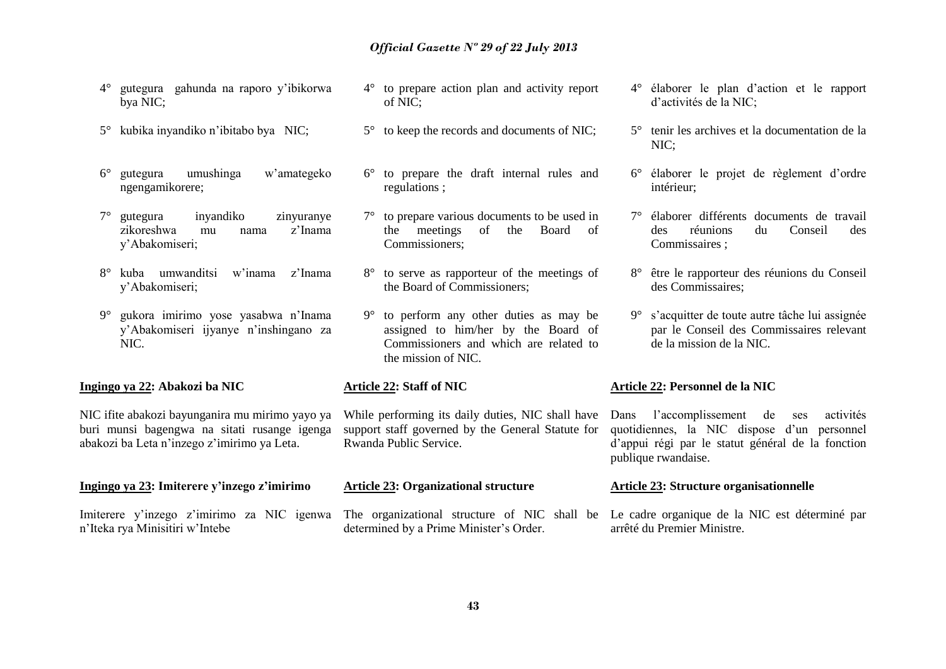- 4° gutegura gahunda na raporo y'ibikorwa bya NIC;
- 5° kubika inyandiko n'ibitabo bya NIC;
- 6° gutegura umushinga w'amategeko ngengamikorere;
- 7° gutegura inyandiko zinyuranye zikoreshwa mu nama z'Inama y'Abakomiseri;
- 8° kuba umwanditsi w'inama z'Inama y'Abakomiseri;
- 9° gukora imirimo yose yasabwa n'Inama y'Abakomiseri ijyanye n'inshingano za NIC.

#### **Ingingo ya 22: Abakozi ba NIC**

NIC ifite abakozi bayunganira mu mirimo yayo ya buri munsi bagengwa na sitati rusange igenga abakozi ba Leta n'inzego z'imirimo ya Leta.

#### **Ingingo ya 23: Imiterere y'inzego z'imirimo**

Imiterere y'inzego z'imirimo za NIC igenwa n'Iteka rya Minisitiri w'Intebe

- 4° to prepare action plan and activity report of NIC;
- 5° to keep the records and documents of NIC;
- 6° to prepare the draft internal rules and regulations ;
- 7° to prepare various documents to be used in the meetings of the Board of Commissioners;
- 8° to serve as rapporteur of the meetings of the Board of Commissioners;
- 9° to perform any other duties as may be assigned to him/her by the Board of Commissioners and which are related to the mission of NIC.

#### **Article 22: Staff of NIC**

While performing its daily duties, NIC shall have support staff governed by the General Statute for Rwanda Public Service.

#### **Article 23: Organizational structure**

The organizational structure of NIC shall be Le cadre organique de la NIC est déterminé par determined by a Prime Minister's Order.

- 4° élaborer le plan d'action et le rapport d'activités de la NIC;
- 5° tenir les archives et la documentation de la NIC;
- 6° élaborer le projet de règlement d'ordre intérieur;
- 7° élaborer différents documents de travail des réunions du Conseil des Commissaires ;
- 8° être le rapporteur des réunions du Conseil des Commissaires;
- 9° s'acquitter de toute autre tâche lui assignée par le Conseil des Commissaires relevant de la mission de la NIC.

#### **Article 22: Personnel de la NIC**

Dans l'accomplissement de ses activités quotidiennes, la NIC dispose d'un personnel d'appui régi par le statut général de la fonction publique rwandaise.

#### **Article 23: Structure organisationnelle**

arrêté du Premier Ministre.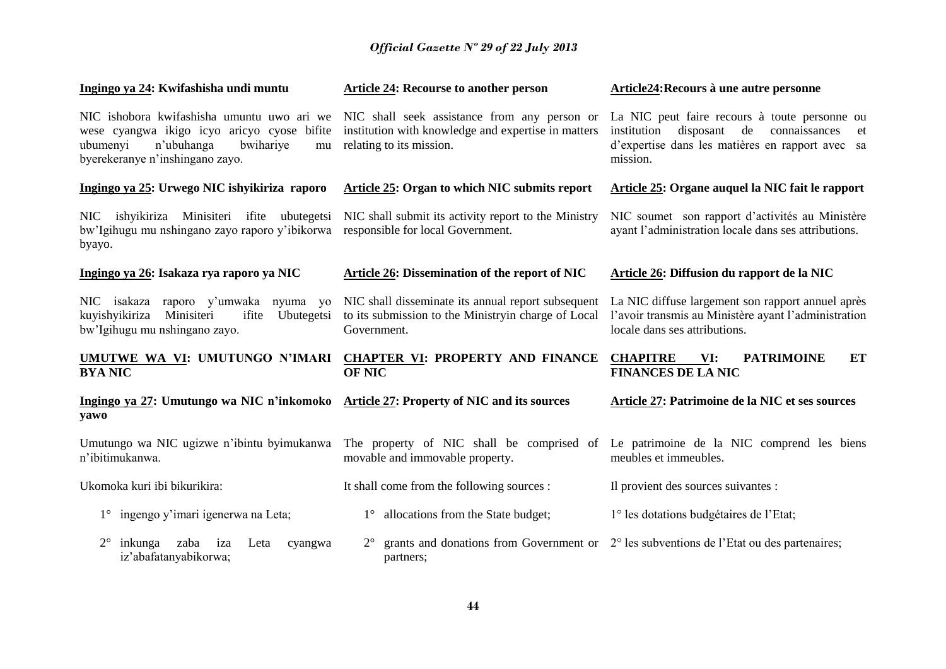| Ingingo ya 24: Kwifashisha undi muntu                                                                                                                                     | <b>Article 24: Recourse to another person</b>                                                                                   | Article24: Recours à une autre personne                                                                                                                             |  |
|---------------------------------------------------------------------------------------------------------------------------------------------------------------------------|---------------------------------------------------------------------------------------------------------------------------------|---------------------------------------------------------------------------------------------------------------------------------------------------------------------|--|
| NIC ishobora kwifashisha umuntu uwo ari we<br>wese cyangwa ikigo icyo aricyo cyose bifite<br>n'ubuhanga<br>ubumenyi<br>bwihariye<br>mu<br>byerekeranye n'inshingano zayo. | NIC shall seek assistance from any person or<br>institution with knowledge and expertise in matters<br>relating to its mission. | La NIC peut faire recours à toute personne ou<br>disposant de<br>connaissances<br>institution<br>et<br>d'expertise dans les matières en rapport avec sa<br>mission. |  |
| Ingingo ya 25: Urwego NIC ishyikiriza raporo                                                                                                                              | <b>Article 25: Organ to which NIC submits report</b>                                                                            | Article 25: Organe auquel la NIC fait le rapport                                                                                                                    |  |
| ishyikiriza<br>Minisiteri ifite ubutegetsi<br>NIC<br>bw'Igihugu mu nshingano zayo raporo y'ibikorwa<br>byayo.                                                             | NIC shall submit its activity report to the Ministry<br>responsible for local Government.                                       | NIC soumet son rapport d'activités au Ministère<br>ayant l'administration locale dans ses attributions.                                                             |  |
| Ingingo ya 26: Isakaza rya raporo ya NIC                                                                                                                                  | <b>Article 26: Dissemination of the report of NIC</b>                                                                           | Article 26: Diffusion du rapport de la NIC                                                                                                                          |  |
| NIC isakaza raporo y'umwaka nyuma yo<br>kuyishyikiriza<br>Minisiteri<br>ifite<br>Ubutegetsi<br>bw'Igihugu mu nshingano zayo.                                              | NIC shall disseminate its annual report subsequent<br>to its submission to the Ministryin charge of Local<br>Government.        | La NIC diffuse largement son rapport annuel après<br>l'avoir transmis au Ministère ayant l'administration<br>locale dans ses attributions.                          |  |
| UMUTWE WA VI: UMUTUNGO N'IMARI<br><b>BYA NIC</b>                                                                                                                          | <b>CHAPTER VI: PROPERTY AND FINANCE</b><br><b>OF NIC</b>                                                                        | <b>CHAPITRE</b><br><b>PATRIMOINE</b><br><b>ET</b><br>VI:<br><b>FINANCES DE LA NIC</b>                                                                               |  |
| Ingingo ya 27: Umutungo wa NIC n'inkomoko<br>yawo                                                                                                                         | <b>Article 27: Property of NIC and its sources</b>                                                                              | Article 27: Patrimoine de la NIC et ses sources                                                                                                                     |  |
| Umutungo wa NIC ugizwe n'ibintu byimukanwa<br>n'ibitimukanwa.                                                                                                             | The property of NIC shall be comprised of<br>movable and immovable property.                                                    | Le patrimoine de la NIC comprend les biens<br>meubles et immeubles.                                                                                                 |  |
| Ukomoka kuri ibi bikurikira:                                                                                                                                              | It shall come from the following sources :                                                                                      | Il provient des sources suivantes :                                                                                                                                 |  |
| 1° ingengo y'imari igenerwa na Leta;                                                                                                                                      | allocations from the State budget;<br>$1^{\circ}$                                                                               | 1° les dotations budgétaires de l'Etat;                                                                                                                             |  |
| $2^{\circ}$<br>inkunga<br>zaba<br>iza<br>Leta<br>cyangwa<br>iz'abafatanyabikorwa;                                                                                         | $2^{\circ}$<br>partners;                                                                                                        | grants and donations from Government or $2^{\circ}$ les subventions de l'Etat ou des partenaires;                                                                   |  |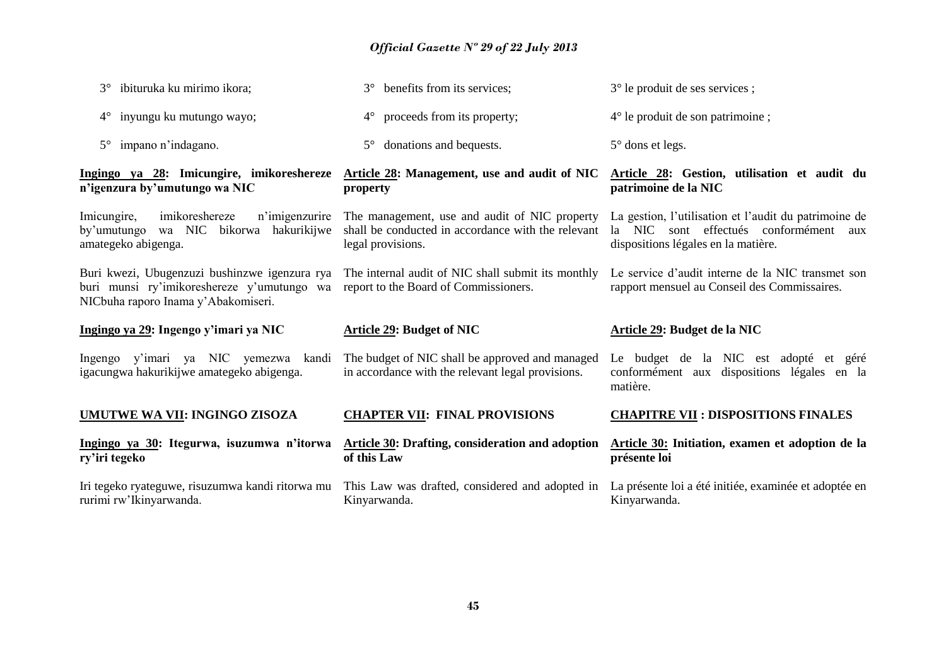| ibituruka ku mirimo ikora;<br>$3^\circ$                                                                                            | benefits from its services;<br>$3^\circ$                                                                                 | 3° le produit de ses services ;                                                                                                           |
|------------------------------------------------------------------------------------------------------------------------------------|--------------------------------------------------------------------------------------------------------------------------|-------------------------------------------------------------------------------------------------------------------------------------------|
| inyungu ku mutungo wayo;<br>$4^{\circ}$                                                                                            | $4^{\circ}$ proceeds from its property;                                                                                  | $4^{\circ}$ le produit de son patrimoine;                                                                                                 |
| $5^{\circ}$ impano n'indagano.                                                                                                     | $5^{\circ}$ donations and bequests.                                                                                      | $5^\circ$ dons et legs.                                                                                                                   |
| Ingingo ya 28: Imicungire, imikoreshereze<br>n'igenzura by'umutungo wa NIC                                                         | Article 28: Management, use and audit of NIC<br>property                                                                 | Article 28: Gestion, utilisation et audit du<br>patrimoine de la NIC                                                                      |
| imikoreshereze<br>n'imigenzurire<br>Imicungire,<br>wa NIC bikorwa hakurikijwe<br>by'umutungo<br>amategeko abigenga.                | The management, use and audit of NIC property<br>shall be conducted in accordance with the relevant<br>legal provisions. | La gestion, l'utilisation et l'audit du patrimoine de<br>la NIC sont effectués conformément<br>aux<br>dispositions légales en la matière. |
| Buri kwezi, Ubugenzuzi bushinzwe igenzura rya<br>buri munsi ry'imikoreshereze y'umutungo wa<br>NICbuha raporo Inama y'Abakomiseri. | The internal audit of NIC shall submit its monthly<br>report to the Board of Commissioners.                              | Le service d'audit interne de la NIC transmet son<br>rapport mensuel au Conseil des Commissaires.                                         |
|                                                                                                                                    |                                                                                                                          |                                                                                                                                           |
| Ingingo ya 29: Ingengo y'imari ya NIC                                                                                              | <b>Article 29: Budget of NIC</b>                                                                                         | Article 29: Budget de la NIC                                                                                                              |
| Ingengo y'imari ya NIC yemezwa kandi<br>igacungwa hakurikijwe amategeko abigenga.                                                  | The budget of NIC shall be approved and managed<br>in accordance with the relevant legal provisions.                     | Le budget de la NIC est adopté et géré<br>conformément aux dispositions légales en la<br>matière.                                         |
| UMUTWE WA VII: INGINGO ZISOZA                                                                                                      | <b>CHAPTER VII: FINAL PROVISIONS</b>                                                                                     | <b>CHAPITRE VII : DISPOSITIONS FINALES</b>                                                                                                |
| Ingingo ya 30: Itegurwa, isuzumwa n'itorwa<br>ry'iri tegeko                                                                        | <b>Article 30: Drafting, consideration and adoption</b><br>of this Law                                                   | Article 30: Initiation, examen et adoption de la<br>présente loi                                                                          |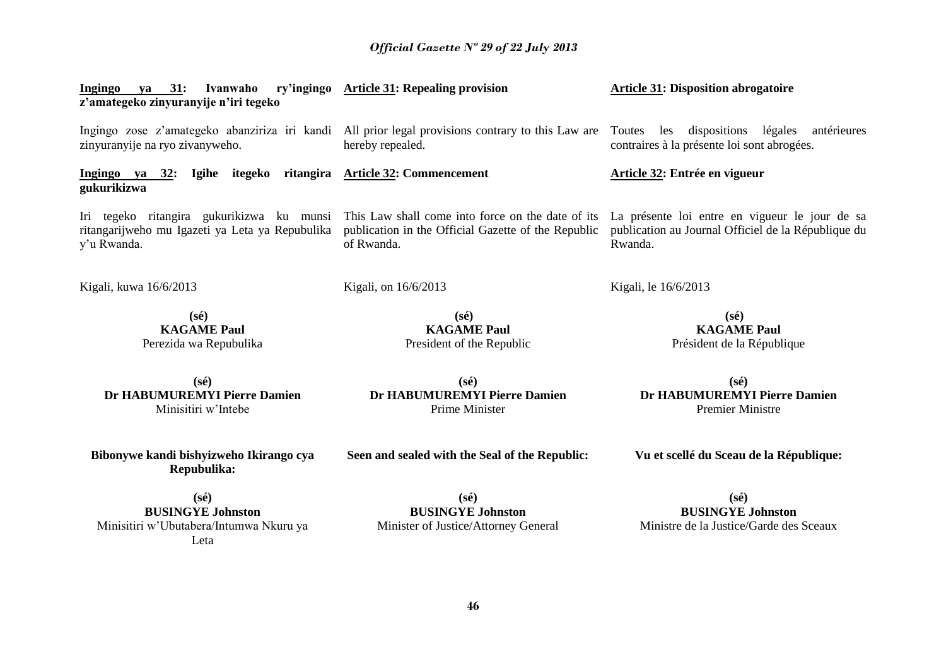| Ingingo ya 31:<br>Ivanwaho<br>z'amategeko zinyuranyije n'iri tegeko                                         | ry'ingingo Article 31: Repealing provision                                                                                   | <b>Article 31: Disposition abrogatoire</b>                                                                       |
|-------------------------------------------------------------------------------------------------------------|------------------------------------------------------------------------------------------------------------------------------|------------------------------------------------------------------------------------------------------------------|
| zinyuranyije na ryo zivanyweho.                                                                             | Ingingo zose z'amategeko abanziriza iri kandi All prior legal provisions contrary to this Law are Toutes<br>hereby repealed. | les dispositions légales<br>antérieures<br>contraires à la présente loi sont abrogées.                           |
| Ingingo ya 32: Igihe itegeko ritangira Article 32: Commencement<br>gukurikizwa                              |                                                                                                                              | Article 32: Entrée en vigueur                                                                                    |
| Iri tegeko ritangira gukurikizwa ku munsi<br>ritangarijweho mu Igazeti ya Leta ya Repubulika<br>y'u Rwanda. | This Law shall come into force on the date of its<br>publication in the Official Gazette of the Republic<br>of Rwanda.       | La présente loi entre en vigueur le jour de sa<br>publication au Journal Officiel de la République du<br>Rwanda. |
| Kigali, kuwa 16/6/2013                                                                                      | Kigali, on 16/6/2013                                                                                                         | Kigali, le 16/6/2013                                                                                             |
| $(s\acute{e})$<br><b>KAGAME Paul</b><br>Perezida wa Repubulika                                              | $(s\acute{e})$<br><b>KAGAME Paul</b><br>President of the Republic                                                            | $(s\acute{e})$<br><b>KAGAME Paul</b><br>Président de la République                                               |
| $(s\acute{e})$<br>Dr HABUMUREMYI Pierre Damien<br>Minisitiri w'Intebe                                       | $(s\acute{e})$<br>Dr HABUMUREMYI Pierre Damien<br>Prime Minister                                                             | $(s\acute{e})$<br>Dr HABUMUREMYI Pierre Damien<br><b>Premier Ministre</b>                                        |
| Bibonywe kandi bishyizweho Ikirango cya<br>Repubulika:                                                      | Seen and sealed with the Seal of the Republic:                                                                               | Vu et scellé du Sceau de la République:                                                                          |
| $(s\acute{e})$<br><b>BUSINGYE Johnston</b><br>Minisitiri w'Ubutabera/Intumwa Nkuru ya<br>Leta               | $(s\acute{e})$<br><b>BUSINGYE Johnston</b><br>Minister of Justice/Attorney General                                           | $(s\acute{e})$<br><b>BUSINGYE Johnston</b><br>Ministre de la Justice/Garde des Sceaux                            |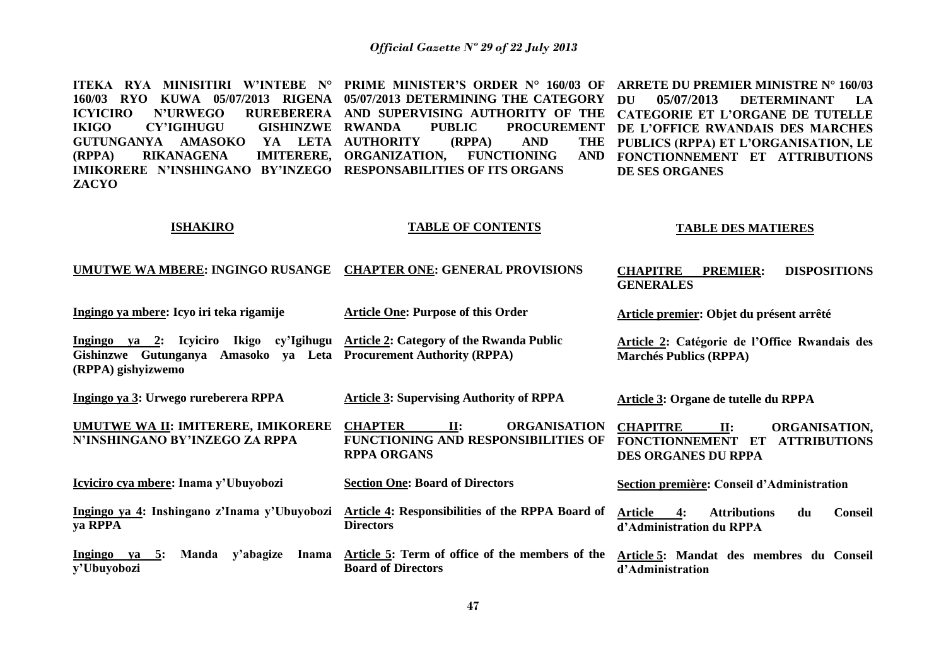**ITEKA RYA MINISITIRI W'INTEBE N° PRIME MINISTER'S ORDER N° 160/03 OF 160/03 RYO KUWA 05/07/2013 RIGENA 05/07/2013 DETERMINING THE CATEGORY ICYICIRO N'URWEGO RUREBERERA AND SUPERVISING AUTHORITY OF THE IKIGO CY'IGIHUGU GISHINZWE GUTUNGANYA AMASOKO YA LETA AUTHORITY (RPPA) AND THE (RPPA) RIKANAGENA IMIKORERE N'INSHINGANO BY'INZEGO RESPONSABILITIES OF ITS ORGANS ZACYO** PUBLIC PROCUREMENT **IMITERERE, ORGANIZATION, FUNCTIONING AND ARRETE DU PREMIER MINISTRE N° 160/03 DU 05/07/2013 DETERMINANT LA CATEGORIE ET L'ORGANE DE TUTELLE DE L'OFFICE RWANDAIS DES MARCHES PUBLICS (RPPA) ET L'ORGANISATION, LE FONCTIONNEMENT ET ATTRIBUTIONS DE SES ORGANES** 

#### **ISHAKIRO**

**(RPPA) gishyizwemo**

#### **TABLE OF CONTENTS**

#### **TABLE DES MATIERES**

| UMUTWE WA MBERE: INGINGO RUSANGE CHAPTER ONE: GENERAL PROVISIONS | <b>CHAPITRE</b> | <b>PREMIER:</b>  | <b>DISPOSITIONS</b> |  |
|------------------------------------------------------------------|-----------------|------------------|---------------------|--|
|                                                                  |                 | <b>GENERALES</b> |                     |  |

**Ingingo ya mbere: Icyo iri teka rigamije Ingingo ya 2: Icyiciro Ikigo cy'Igihugu Article 2: Category of the Rwanda Public Gishinzwe Gutunganya Amasoko ya Leta Procurement Authority (RPPA) Article One: Purpose of this Order Article premier: Objet du présent arrêté Article 2: Catégorie de l'Office Rwandais des Marchés Publics (RPPA)**

**Ingingo ya 3: Urwego rureberera RPPA Article 3: Supervising Authority of RPPA Article 3: Organe de tutelle du RPPA**

**UMUTWE WA II: IMITERERE, IMIKORERE N'INSHINGANO BY'INZEGO ZA RPPA CHAPTER II: ORGANISATION FUNCTIONING AND RESPONSIBILITIES OF RPPA ORGANS CHAPITRE II: ORGANISATION, FONCTIONNEMENT ET ATTRIBUTIONS DES ORGANES DU RPPA**

**Icyiciro cya mbere: Inama y'Ubuyobozi Ingingo ya 4: Inshingano z'Inama y'Ubuyobozi ya RPPA Section One: Board of Directors Article 4: Responsibilities of the RPPA Board of Directors Section première: Conseil d'Administration Article 4: Attributions du Conseil d'Administration du RPPA** 

**Ingingo ya 5: Manda y'abagize Inama y'Ubuyobozi Article 5: Term of office of the members of the Article 5: Mandat des membres du Conseil Board of Directors d'Administration**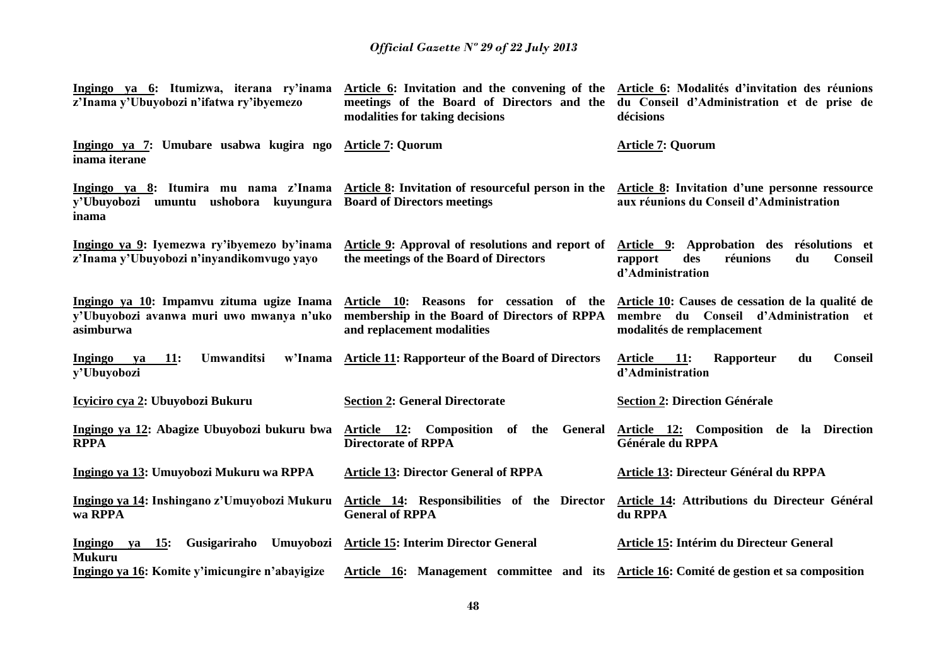| Ingingo ya 6: Itumizwa, iterana ry'inama<br>z'Inama y'Ubuyobozi n'ifatwa ry'ibyemezo     | Article 6: Invitation and the convening of the Article 6: Modalités d'invitation des réunions<br>meetings of the Board of Directors and the du Conseil d'Administration et de prise de<br>modalities for taking decisions | décisions                                                                                                              |
|------------------------------------------------------------------------------------------|---------------------------------------------------------------------------------------------------------------------------------------------------------------------------------------------------------------------------|------------------------------------------------------------------------------------------------------------------------|
| Ingingo ya 7: Umubare usabwa kugira ngo Article 7: Quorum<br>inama iterane               |                                                                                                                                                                                                                           | <b>Article 7: Quorum</b>                                                                                               |
| y'Ubuyobozi umuntu ushobora kuyungura<br>inama                                           | Ingingo ya 8: Itumira mu nama z'Inama Article 8: Invitation of resourceful person in the Article 8: Invitation d'une personne ressource<br><b>Board of Directors meetings</b>                                             | aux réunions du Conseil d'Administration                                                                               |
| Ingingo ya 9: Iyemezwa ry'ibyemezo by'inama<br>z'Inama y'Ubuyobozi n'inyandikomvugo yayo | Article 9: Approval of resolutions and report of<br>the meetings of the Board of Directors                                                                                                                                | Article 9: Approbation des résolutions et<br><b>Conseil</b><br>réunions<br>du<br>rapport<br>des<br>d'Administration    |
| y'Ubuyobozi avanwa muri uwo mwanya n'uko<br>asimburwa                                    | Ingingo ya 10: Impamvu zituma ugize Inama Article 10: Reasons for cessation of the<br>membership in the Board of Directors of RPPA<br>and replacement modalities                                                          | Article 10: Causes de cessation de la qualité de<br>membre du Conseil d'Administration et<br>modalités de remplacement |
| <b>Umwanditsi</b><br><b>Ingingo</b><br><b>11:</b><br>ya<br>y'Ubuyobozi                   | w'Inama Article 11: Rapporteur of the Board of Directors                                                                                                                                                                  | Article 11:<br><b>Conseil</b><br>Rapporteur<br>du<br>d'Administration                                                  |
| Icyiciro cya 2: Ubuyobozi Bukuru                                                         | <b>Section 2: General Directorate</b>                                                                                                                                                                                     | <b>Section 2: Direction Générale</b>                                                                                   |
| Ingingo ya 12: Abagize Ubuyobozi bukuru bwa<br><b>RPPA</b>                               | Article 12: Composition of the General<br><b>Directorate of RPPA</b>                                                                                                                                                      | Article 12: Composition de la Direction<br>Générale du RPPA                                                            |
| Ingingo ya 13: Umuyobozi Mukuru wa RPPA                                                  | <b>Article 13: Director General of RPPA</b>                                                                                                                                                                               | Article 13: Directeur Général du RPPA                                                                                  |
| Ingingo ya 14: Inshingano z'Umuyobozi Mukuru<br>wa RPPA                                  | Article 14: Responsibilities of the Director<br><b>General of RPPA</b>                                                                                                                                                    | Article 14: Attributions du Directeur Général<br>du RPPA                                                               |
| Ingingo ya 15:<br><b>Mukuru</b>                                                          | Gusigariraho Umuyobozi Article 15: Interim Director General                                                                                                                                                               | Article 15: Intérim du Directeur General                                                                               |
| Ingingo ya 16: Komite y'imicungire n'abayigize                                           | Article 16: Management committee and its Article 16: Comité de gestion et sa composition                                                                                                                                  |                                                                                                                        |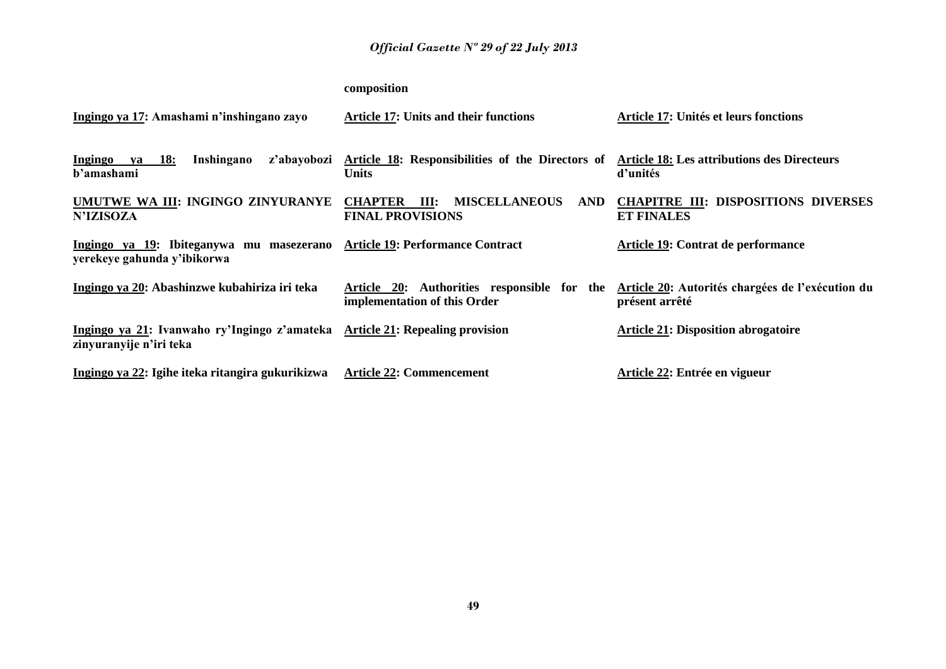## **composition**

| Ingingo ya 17: Amashami n'inshingano zayo                               | <b>Article 17: Units and their functions</b>                                                                 | Article 17: Unités et leurs fonctions                              |
|-------------------------------------------------------------------------|--------------------------------------------------------------------------------------------------------------|--------------------------------------------------------------------|
| Inshingano<br>Ingingo ya 18:<br>z'abayobozi<br>b'amashami               | Article 18: Responsibilities of the Directors of Article 18: Les attributions des Directeurs<br><b>Units</b> | d'unités                                                           |
| UMUTWE WA III: INGINGO ZINYURANYE<br><b>N'IZISOZA</b>                   | <b>MISCELLANEOUS</b><br><b>CHAPTER</b><br><b>AND</b><br>III:<br><b>FINAL PROVISIONS</b>                      | <b>CHAPITRE III: DISPOSITIONS DIVERSES</b><br><b>ET FINALES</b>    |
| Ingingo ya 19: Ibiteganywa mu masezerano<br>yerekeye gahunda y'ibikorwa | <b>Article 19: Performance Contract</b>                                                                      | Article 19: Contrat de performance                                 |
| Ingingo ya 20: Abashinzwe kubahiriza iri teka                           | Article 20: Authorities responsible for the<br>implementation of this Order                                  | Article 20: Autorités chargées de l'exécution du<br>présent arrêté |
| Ingingo ya 21: Ivanwaho ry'Ingingo z'amateka<br>zinyuranyije n'iri teka | <b>Article 21: Repealing provision</b>                                                                       | <b>Article 21: Disposition abrogatoire</b>                         |
| Ingingo ya 22: Igihe iteka ritangira gukurikizwa                        | <b>Article 22: Commencement</b>                                                                              | Article 22: Entrée en vigueur                                      |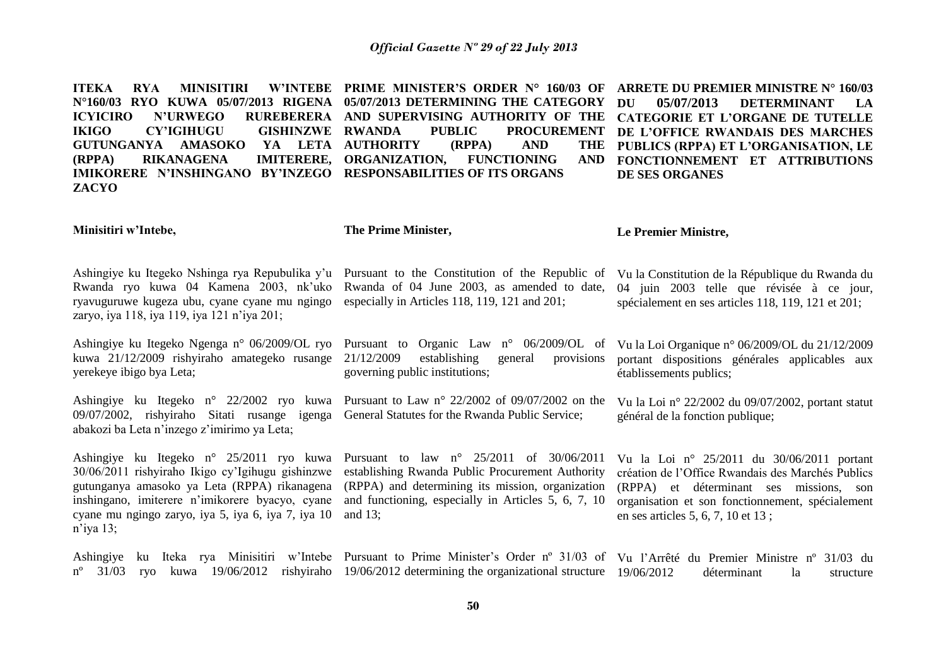**ITEKA RYA MINISITIRI N°160/03 RYO KUWA 05/07/2013 RIGENA 05/07/2013 DETERMINING THE CATEGORY ICYICIRO N'URWEGO RUREBERERA AND SUPERVISING AUTHORITY OF THE IKIGO CY'IGIHUGU GISHINZWE GUTUNGANYA AMASOKO (RPPA) RIKANAGENA IMIKORERE N'INSHINGANO BY'INZEGO RESPONSABILITIES OF ITS ORGANS ZACYO PRIME MINISTER'S ORDER N° 160/03 OF**  PUBLIC PROCUREMENT YA LETA AUTHORITY (RPPA) AND THE **IMITERERE, ORGANIZATION, FUNCTIONING ARRETE DU PREMIER MINISTRE N° 160/03 DU 05/07/2013 DETERMINANT LA CATEGORIE ET L'ORGANE DE TUTELLE DE L'OFFICE RWANDAIS DES MARCHES PUBLICS (RPPA) ET L'ORGANISATION, LE FONCTIONNEMENT ET ATTRIBUTIONS DE SES ORGANES** 

**Minisitiri w'Intebe,**

**The Prime Minister,**

and 13;

**Le Premier Ministre,**

Ashingiye ku Itegeko Nshinga rya Repubulika y'u Pursuant to the Constitution of the Republic of Rwanda ryo kuwa 04 Kamena 2003, nk'uko ryavuguruwe kugeza ubu, cyane cyane mu ngingo zaryo, iya 118, iya 119, iya 121 n'iya 201;

Ashingiye ku Itegeko Ngenga n° 06/2009/OL ryo Pursuant to Organic Law n° 06/2009/OL of kuwa 21/12/2009 rishyiraho amategeko rusange 21/12/2009 yerekeye ibigo bya Leta;

Ashingiye ku Itegeko n° 22/2002 ryo kuwa Pursuant to Law n° 22/2002 of 09/07/2002 on the 09/07/2002, rishyiraho Sitati rusange igenga General Statutes for the Rwanda Public Service; abakozi ba Leta n'inzego z'imirimo ya Leta;

Ashingiye ku Itegeko n° 25/2011 ryo kuwa Pursuant to law n° 25/2011 of 30/06/2011 30/06/2011 rishyiraho Ikigo cy'Igihugu gishinzwe establishing Rwanda Public Procurement Authority gutunganya amasoko ya Leta (RPPA) rikanagena inshingano, imiterere n'imikorere byacyo, cyane cyane mu ngingo zaryo, iya 5, iya 6, iya 7, iya 10 n'iya 13;

establishing general provisions governing public institutions;

Rwanda of 04 June 2003, as amended to date,

especially in Articles 118, 119, 121 and 201;

(RPPA) and determining its mission, organization and functioning, especially in Articles 5, 6, 7, 10 Vu la Loi Organique n° 06/2009/OL du 21/12/2009 portant dispositions générales applicables aux établissements publics;

Vu la Constitution de la République du Rwanda du 04 juin 2003 telle que révisée à ce jour, spécialement en ses articles 118, 119, 121 et 201;

Vu la Loi n° 22/2002 du 09/07/2002, portant statut général de la fonction publique;

Vu la Loi n° 25/2011 du 30/06/2011 portant création de l'Office Rwandais des Marchés Publics (RPPA) et déterminant ses missions, son organisation et son fonctionnement, spécialement en ses articles 5, 6, 7, 10 et 13 ;

Ashingiye ku Iteka rya Minisitiri w'Intebe Pursuant to Prime Minister's Order nº 31/03 of Vu l'Arrêté du Premier Ministre nº 31/03 du nº 31/03 ryo kuwa 19/06/2012 rishyiraho 19/06/2012 determining the organizational structure 19/06/2012 déterminant la structure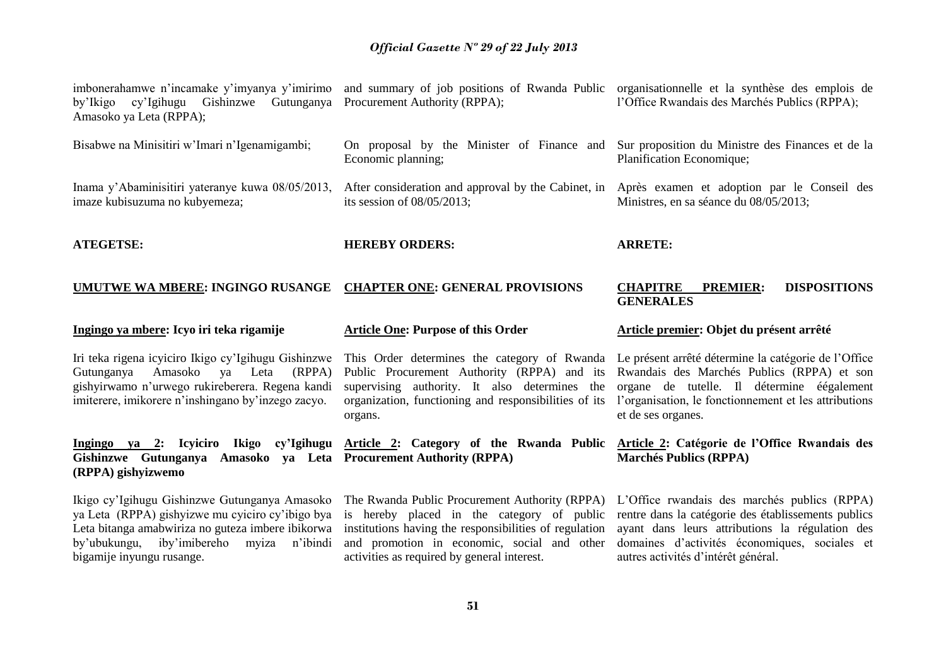| by'Ikigo cy'Igihugu<br>Amasoko ya Leta (RPPA);                                                                                                                                                                | imbonerahamwe n'incamake y'imyanya y'imirimo and summary of job positions of Rwanda Public organisationnelle et la synthèse des emplois de<br>Gishinzwe Gutunganya Procurement Authority (RPPA);                 | l'Office Rwandais des Marchés Publics (RPPA);                                                                                                                                                                                   |
|---------------------------------------------------------------------------------------------------------------------------------------------------------------------------------------------------------------|------------------------------------------------------------------------------------------------------------------------------------------------------------------------------------------------------------------|---------------------------------------------------------------------------------------------------------------------------------------------------------------------------------------------------------------------------------|
| Bisabwe na Minisitiri w'Imari n'Igenamigambi;                                                                                                                                                                 | On proposal by the Minister of Finance and<br>Economic planning;                                                                                                                                                 | Sur proposition du Ministre des Finances et de la<br>Planification Economique;                                                                                                                                                  |
| Inama y'Abaminisitiri yateranye kuwa 08/05/2013,<br>imaze kubisuzuma no kubyemeza;                                                                                                                            | After consideration and approval by the Cabinet, in<br>its session of $08/05/2013$ ;                                                                                                                             | Après examen et adoption par le Conseil des<br>Ministres, en sa séance du 08/05/2013;                                                                                                                                           |
| <b>ATEGETSE:</b>                                                                                                                                                                                              | <b>HEREBY ORDERS:</b>                                                                                                                                                                                            | <b>ARRETE:</b>                                                                                                                                                                                                                  |
| UMUTWE WA MBERE: INGINGO RUSANGE                                                                                                                                                                              | <b>CHAPTER ONE: GENERAL PROVISIONS</b>                                                                                                                                                                           | <b>CHAPITRE</b><br><b>DISPOSITIONS</b><br><b>PREMIER:</b><br><b>GENERALES</b>                                                                                                                                                   |
| Ingingo ya mbere: Icyo iri teka rigamije                                                                                                                                                                      | <b>Article One: Purpose of this Order</b>                                                                                                                                                                        | Article premier: Objet du présent arrêté                                                                                                                                                                                        |
| Iri teka rigena icyiciro Ikigo cy'Igihugu Gishinzwe<br>Gutunganya<br>Amasoko<br>(RPPA)<br>ya<br>Leta<br>gishyirwamo n'urwego rukireberera. Regena kandi<br>imiterere, imikorere n'inshingano by'inzego zacyo. | This Order determines the category of Rwanda<br>Public Procurement Authority (RPPA) and its<br>supervising authority. It also determines the<br>organization, functioning and responsibilities of its<br>organs. | Le présent arrêté détermine la catégorie de l'Office<br>Rwandais des Marchés Publics (RPPA) et son<br>organe de tutelle. Il détermine éégalement<br>l'organisation, le fonctionnement et les attributions<br>et de ses organes. |
| Gishinzwe Gutunganya<br>(RPPA) gishyizwemo                                                                                                                                                                    | Ingingo ya 2: Icyiciro Ikigo cy'Igihugu Article 2: Category of the Rwanda Public<br>Amasoko ya Leta Procurement Authority (RPPA)                                                                                 | Article 2: Catégorie de l'Office Rwandais des<br><b>Marchés Publics (RPPA)</b>                                                                                                                                                  |
| ya Leta (RPPA) gishyizwe mu cyiciro cy'ibigo bya<br>Leta bitanga amabwiriza no guteza imbere ibikorwa                                                                                                         | Ikigo cy'Igihugu Gishinzwe Gutunganya Amasoko The Rwanda Public Procurement Authority (RPPA) L'Office rwandais des marchés publics (RPPA)<br>is hereby placed in the category of public                          | rentre dans la catégorie des établissements publics                                                                                                                                                                             |

autres activités d'intérêt général.

activities as required by general interest.

bigamije inyungu rusange.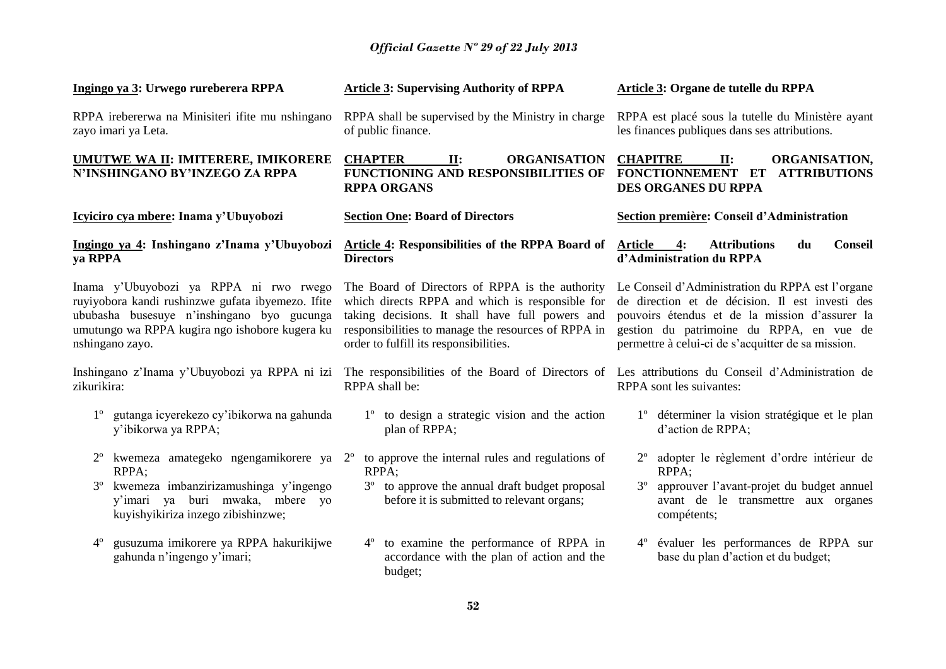| Ingingo ya 3: Urwego rureberera RPPA                                                                                                                                                                           | <b>Article 3: Supervising Authority of RPPA</b>                                                                                                                                                                                                        | <b>Article 3: Organe de tutelle du RPPA</b>                                                                                                                                                                                                             |
|----------------------------------------------------------------------------------------------------------------------------------------------------------------------------------------------------------------|--------------------------------------------------------------------------------------------------------------------------------------------------------------------------------------------------------------------------------------------------------|---------------------------------------------------------------------------------------------------------------------------------------------------------------------------------------------------------------------------------------------------------|
| RPPA irebererwa na Minisiteri ifite mu nshingano<br>zayo imari ya Leta.                                                                                                                                        | RPPA shall be supervised by the Ministry in charge<br>of public finance.                                                                                                                                                                               | RPPA est placé sous la tutelle du Ministère ayant<br>les finances publiques dans ses attributions.                                                                                                                                                      |
| <b>UMUTWE WA II: IMITERERE, IMIKORERE</b><br>N'INSHINGANO BY'INZEGO ZA RPPA                                                                                                                                    | <b>CHAPTER</b><br><b>ORGANISATION</b><br>$\Pi$ :<br>FUNCTIONING AND RESPONSIBILITIES OF<br><b>RPPA ORGANS</b>                                                                                                                                          | <b>CHAPITRE</b><br>II:<br>ORGANISATION,<br>FONCTIONNEMENT ET ATTRIBUTIONS<br><b>DES ORGANES DU RPPA</b>                                                                                                                                                 |
| Icyiciro cya mbere: Inama y'Ubuyobozi                                                                                                                                                                          | <b>Section One: Board of Directors</b>                                                                                                                                                                                                                 | Section première: Conseil d'Administration                                                                                                                                                                                                              |
| Ingingo ya 4: Inshingano z'Inama y'Ubuyobozi<br>ya RPPA                                                                                                                                                        | <b>Article 4: Responsibilities of the RPPA Board of</b><br><b>Directors</b>                                                                                                                                                                            | <b>Attributions</b><br><b>Article</b><br>4:<br>du<br><b>Conseil</b><br>d'Administration du RPPA                                                                                                                                                         |
| Inama y'Ubuyobozi ya RPPA ni rwo rwego<br>ruyiyobora kandi rushinzwe gufata ibyemezo. Ifite<br>ububasha busesuye n'inshingano byo gucunga<br>umutungo wa RPPA kugira ngo ishobore kugera ku<br>nshingano zayo. | The Board of Directors of RPPA is the authority<br>which directs RPPA and which is responsible for<br>taking decisions. It shall have full powers and<br>responsibilities to manage the resources of RPPA in<br>order to fulfill its responsibilities. | Le Conseil d'Administration du RPPA est l'organe<br>de direction et de décision. Il est investi des<br>pouvoirs étendus et de la mission d'assurer la<br>gestion du patrimoine du RPPA, en vue de<br>permettre à celui-ci de s'acquitter de sa mission. |
| Inshingano z'Inama y'Ubuyobozi ya RPPA ni izi<br>zikurikira:                                                                                                                                                   | The responsibilities of the Board of Directors of Les attributions du Conseil d'Administration de<br>RPPA shall be:                                                                                                                                    | RPPA sont les suivantes:                                                                                                                                                                                                                                |
| gutanga icyerekezo cy'ibikorwa na gahunda<br>y'ibikorwa ya RPPA;                                                                                                                                               | 1° to design a strategic vision and the action<br>plan of RPPA;                                                                                                                                                                                        | 1 <sup>°</sup> déterminer la vision stratégique et le plan<br>d'action de RPPA;                                                                                                                                                                         |
| RPPA;                                                                                                                                                                                                          | kwemeza amategeko ngengamikorere ya $2o$ to approve the internal rules and regulations of<br>RPPA;                                                                                                                                                     | adopter le règlement d'ordre intérieur de<br>RPPA;                                                                                                                                                                                                      |
| kwemeza imbanzirizamushinga y'ingengo<br>$3^{\circ}$<br>y'imari ya buri mwaka, mbere yo<br>kuyishyikiriza inzego zibishinzwe;                                                                                  | 3 <sup>°</sup> to approve the annual draft budget proposal<br>before it is submitted to relevant organs;                                                                                                                                               | approuver l'avant-projet du budget annuel<br>$3^{\circ}$<br>avant de le transmettre aux organes<br>compétents;                                                                                                                                          |
| gusuzuma imikorere ya RPPA hakurikijwe<br>$4^{\circ}$<br>gahunda n'ingengo y'imari;                                                                                                                            | to examine the performance of RPPA in<br>$4^{\circ}$<br>accordance with the plan of action and the<br>budget;                                                                                                                                          | 4° évaluer les performances de RPPA sur<br>base du plan d'action et du budget;                                                                                                                                                                          |
|                                                                                                                                                                                                                | 59                                                                                                                                                                                                                                                     |                                                                                                                                                                                                                                                         |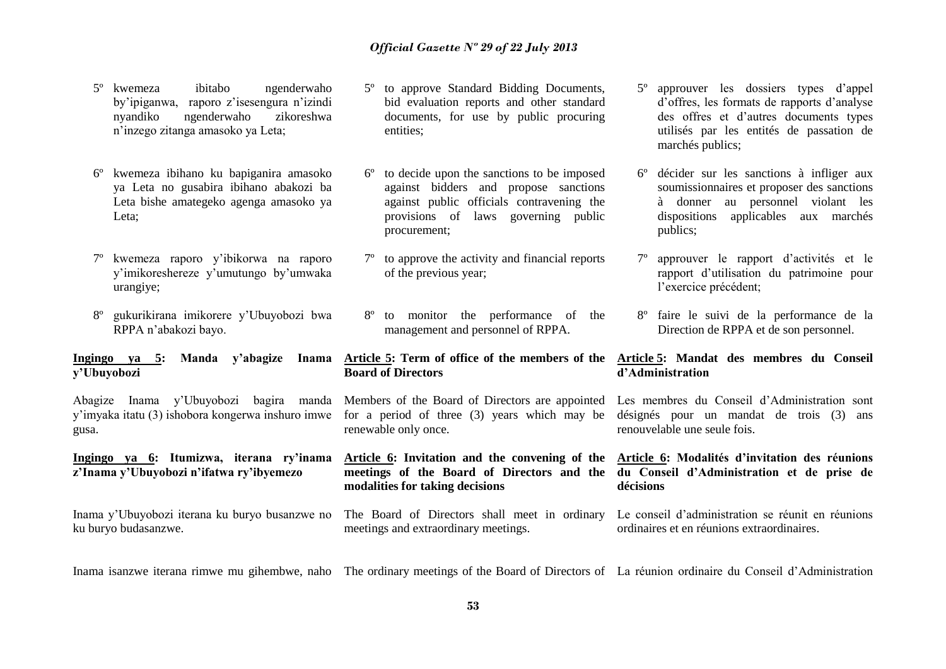- 5º kwemeza ibitabo ngenderwaho by'ipiganwa, raporo z'isesengura n'izindi nyandiko ngenderwaho zikoreshwa n'inzego zitanga amasoko ya Leta;
- 6º kwemeza ibihano ku bapiganira amasoko ya Leta no gusabira ibihano abakozi ba Leta bishe amategeko agenga amasoko ya Leta;
- 7º kwemeza raporo y'ibikorwa na raporo y'imikoreshereze y'umutungo by'umwaka urangiye;
- 8º gukurikirana imikorere y'Ubuyobozi bwa RPPA n'abakozi bayo.

#### **Ingingo ya 5: Manda y'abagize Inama y'Ubuyobozi**

Abagize Inama y'Ubuyobozi bagira manda y'imyaka itatu (3) ishobora kongerwa inshuro imwe gusa.

**Ingingo ya 6: Itumizwa, iterana ry'inama z'Inama y'Ubuyobozi n'ifatwa ry'ibyemezo**

ku buryo budasanzwe.

- 5º to approve Standard Bidding Documents, bid evaluation reports and other standard documents, for use by public procuring entities;
- 6º to decide upon the sanctions to be imposed against bidders and propose sanctions against public officials contravening the provisions of laws governing public procurement;
- 7º to approve the activity and financial reports of the previous year;
- 8º to monitor the performance of the management and personnel of RPPA.

#### **Article 5: Term of office of the members of the Board of Directors**

Members of the Board of Directors are appointed for a period of three (3) years which may be renewable only once.

**Article 6: Invitation and the convening of the meetings of the Board of Directors and the du Conseil d'Administration et de prise de modalities for taking decisions**

Inama y'Ubuyobozi iterana ku buryo busanzwe no The Board of Directors shall meet in ordinary meetings and extraordinary meetings.

- 5º approuver les dossiers types d'appel d'offres, les formats de rapports d'analyse des offres et d'autres documents types utilisés par les entités de passation de marchés publics;
- 6º décider sur les sanctions à infliger aux soumissionnaires et proposer des sanctions à donner au personnel violant les dispositions applicables aux marchés publics;
- 7º approuver le rapport d'activités et le rapport d'utilisation du patrimoine pour l'exercice précédent;
- 8º faire le suivi de la performance de la Direction de RPPA et de son personnel.

#### **Article 5: Mandat des membres du Conseil d'Administration**

Les membres du Conseil d'Administration sont désignés pour un mandat de trois (3) ans renouvelable une seule fois.

## **Article 6: Modalités d'invitation des réunions décisions**

Le conseil d'administration se réunit en réunions ordinaires et en réunions extraordinaires.

Inama isanzwe iterana rimwe mu gihembwe, naho The ordinary meetings of the Board of Directors of La réunion ordinaire du Conseil d'Administration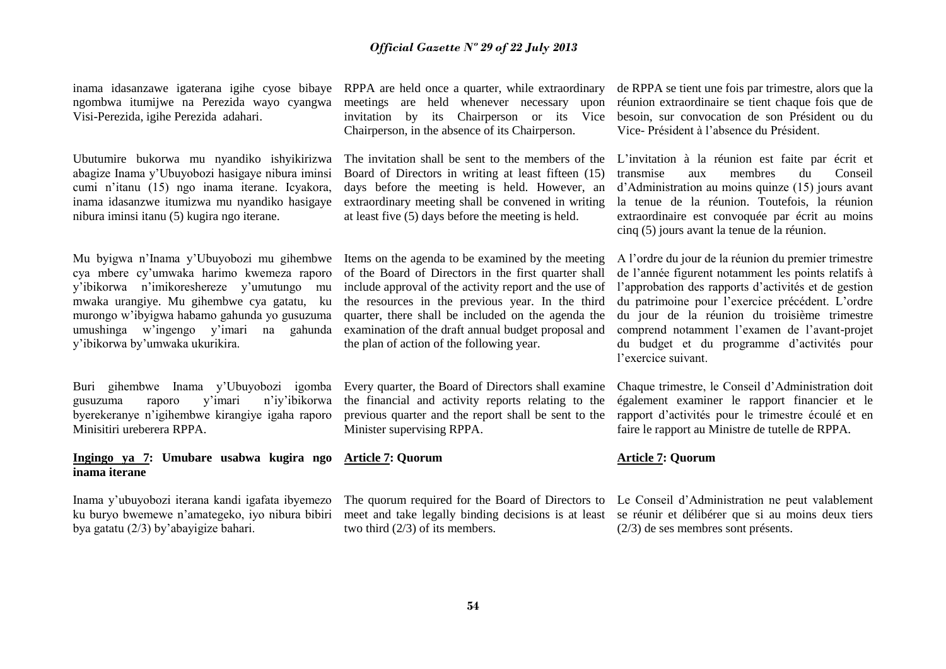inama idasanzawe igaterana igihe cyose bibaye RPPA are held once a quarter, while extraordinary ngombwa itumijwe na Perezida wayo cyangwa Visi-Perezida, igihe Perezida adahari.

Ubutumire bukorwa mu nyandiko ishyikirizwa abagize Inama y'Ubuyobozi hasigaye nibura iminsi cumi n'itanu (15) ngo inama iterane. Icyakora, inama idasanzwe itumizwa mu nyandiko hasigaye nibura iminsi itanu (5) kugira ngo iterane.

Mu byigwa n'Inama y'Ubuyobozi mu gihembwe cya mbere cy'umwaka harimo kwemeza raporo y'ibikorwa n'imikoreshereze y'umutungo mu mwaka urangiye. Mu gihembwe cya gatatu, ku murongo w'ibyigwa habamo gahunda yo gusuzuma umushinga w'ingengo y'imari na gahunda y'ibikorwa by'umwaka ukurikira.

Buri gihembwe Inama y'Ubuyobozi igomba gusuzuma raporo y'imari n'iy'ibikorwa byerekeranye n'igihembwe kirangiye igaha raporo Minisitiri ureberera RPPA.

#### **Ingingo ya 7: Umubare usabwa kugira ngo inama iterane**

Inama y'ubuyobozi iterana kandi igafata ibyemezo ku buryo bwemewe n'amategeko, iyo nibura bibiri bya gatatu (2/3) by'abayigize bahari.

meetings are held whenever necessary upon invitation by its Chairperson or its Vice Chairperson, in the absence of its Chairperson.

The invitation shall be sent to the members of the Board of Directors in writing at least fifteen (15) days before the meeting is held. However, an extraordinary meeting shall be convened in writing at least five (5) days before the meeting is held.

Items on the agenda to be examined by the meeting of the Board of Directors in the first quarter shall include approval of the activity report and the use of the resources in the previous year. In the third quarter, there shall be included on the agenda the examination of the draft annual budget proposal and the plan of action of the following year.

Every quarter, the Board of Directors shall examine the financial and activity reports relating to the previous quarter and the report shall be sent to the Minister supervising RPPA.

**Article 7: Quorum**

The quorum required for the Board of Directors to Le Conseil d'Administration ne peut valablement meet and take legally binding decisions is at least se réunir et délibérer que si au moins deux tiers two third (2/3) of its members.

de RPPA se tient une fois par trimestre, alors que la réunion extraordinaire se tient chaque fois que de besoin, sur convocation de son Président ou du Vice- Président à l'absence du Président.

L'invitation à la réunion est faite par écrit et transmise aux membres du Conseil d'Administration au moins quinze (15) jours avant la tenue de la réunion. Toutefois, la réunion extraordinaire est convoquée par écrit au moins cinq (5) jours avant la tenue de la réunion.

A l'ordre du jour de la réunion du premier trimestre de l'année figurent notamment les points relatifs à l'approbation des rapports d'activités et de gestion du patrimoine pour l'exercice précédent. L'ordre du jour de la réunion du troisième trimestre comprend notamment l'examen de l'avant-projet du budget et du programme d'activités pour l'exercice suivant.

Chaque trimestre, le Conseil d'Administration doit également examiner le rapport financier et le rapport d'activités pour le trimestre écoulé et en faire le rapport au Ministre de tutelle de RPPA.

#### **Article 7: Quorum**

(2/3) de ses membres sont présents.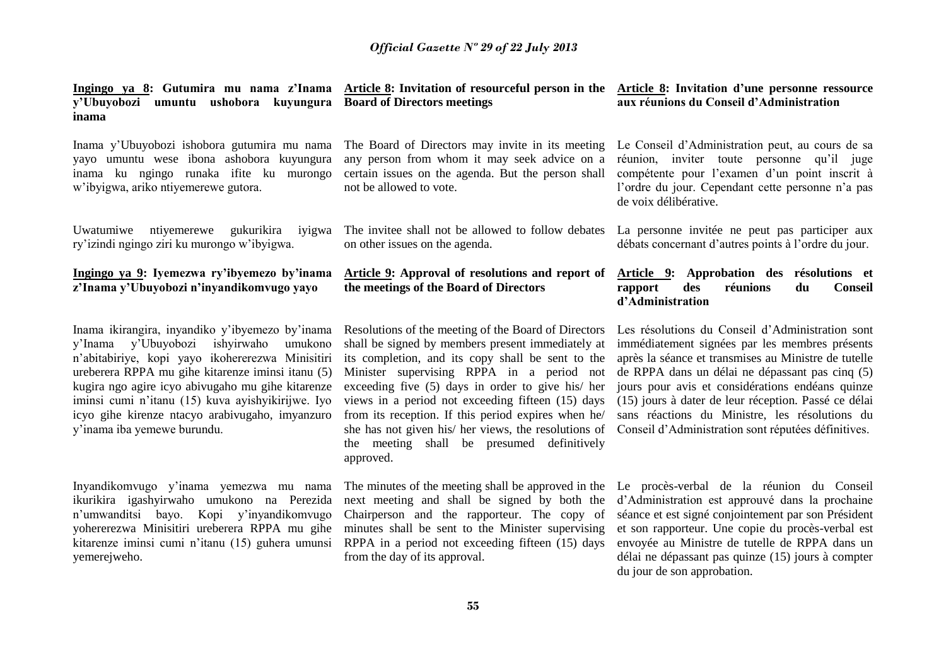| y'Ubuyobozi umuntu ushobora kuyungura<br>inama                                                                                                                                                                                                                                                                                                                                                          | Ingingo ya 8: Gutumira mu nama z'Inama Article 8: Invitation of resourceful person in the Article 8: Invitation d'une personne ressource<br><b>Board of Directors meetings</b>                                                                                                                                                                                                                                                                                                                  | aux réunions du Conseil d'Administration                                                                                                                                                                                                                                                                                                                                                                                           |
|---------------------------------------------------------------------------------------------------------------------------------------------------------------------------------------------------------------------------------------------------------------------------------------------------------------------------------------------------------------------------------------------------------|-------------------------------------------------------------------------------------------------------------------------------------------------------------------------------------------------------------------------------------------------------------------------------------------------------------------------------------------------------------------------------------------------------------------------------------------------------------------------------------------------|------------------------------------------------------------------------------------------------------------------------------------------------------------------------------------------------------------------------------------------------------------------------------------------------------------------------------------------------------------------------------------------------------------------------------------|
| Inama y'Ubuyobozi ishobora gutumira mu nama<br>yayo umuntu wese ibona ashobora kuyungura<br>inama ku ngingo runaka ifite ku murongo<br>w'ibyigwa, ariko ntiyemerewe gutora.                                                                                                                                                                                                                             | The Board of Directors may invite in its meeting<br>any person from whom it may seek advice on a<br>certain issues on the agenda. But the person shall<br>not be allowed to vote.                                                                                                                                                                                                                                                                                                               | Le Conseil d'Administration peut, au cours de sa<br>réunion, inviter<br>toute personne qu'il juge<br>compétente pour l'examen d'un point inscrit à<br>l'ordre du jour. Cependant cette personne n'a pas<br>de voix délibérative.                                                                                                                                                                                                   |
| Uwatumiwe<br>ntiyemerewe gukurikira iyigwa<br>ry'izindi ngingo ziri ku murongo w'ibyigwa.                                                                                                                                                                                                                                                                                                               | The invitee shall not be allowed to follow debates<br>on other issues on the agenda.                                                                                                                                                                                                                                                                                                                                                                                                            | La personne invitée ne peut pas participer aux<br>débats concernant d'autres points à l'ordre du jour.                                                                                                                                                                                                                                                                                                                             |
| Ingingo ya 9: Iyemezwa ry'ibyemezo by'inama<br>z'Inama y'Ubuyobozi n'inyandikomvugo yayo                                                                                                                                                                                                                                                                                                                | Article 9: Approval of resolutions and report of<br>the meetings of the Board of Directors                                                                                                                                                                                                                                                                                                                                                                                                      | Article 9: Approbation des résolutions et<br>rapport<br>des<br>réunions<br>du<br><b>Conseil</b><br>d'Administration                                                                                                                                                                                                                                                                                                                |
| Inama ikirangira, inyandiko y'ibyemezo by'inama<br>y'Ubuyobozi<br>ishyirwaho<br>y'Inama<br>umukono<br>n'abitabiriye, kopi yayo ikohererezwa Minisitiri<br>ureberera RPPA mu gihe kitarenze iminsi itanu (5)<br>kugira ngo agire icyo abivugaho mu gihe kitarenze<br>iminsi cumi n'itanu (15) kuva ayishyikirijwe. Iyo<br>icyo gihe kirenze ntacyo arabivugaho, imyanzuro<br>y'inama iba yemewe burundu. | Resolutions of the meeting of the Board of Directors<br>shall be signed by members present immediately at<br>its completion, and its copy shall be sent to the<br>Minister supervising RPPA in a period not<br>exceeding five (5) days in order to give his/ her<br>views in a period not exceeding fifteen (15) days<br>from its reception. If this period expires when he/<br>she has not given his/ her views, the resolutions of<br>the meeting shall be presumed definitively<br>approved. | Les résolutions du Conseil d'Administration sont<br>immédiatement signées par les membres présents<br>après la séance et transmises au Ministre de tutelle<br>de RPPA dans un délai ne dépassant pas cinq (5)<br>jours pour avis et considérations endéans quinze<br>(15) jours à dater de leur réception. Passé ce délai<br>sans réactions du Ministre, les résolutions du<br>Conseil d'Administration sont réputées définitives. |
| Inyandikomvugo y'inama yemezwa mu nama<br>ikurikira igashyirwaho umukono na Perezida                                                                                                                                                                                                                                                                                                                    | The minutes of the meeting shall be approved in the Le proces-verbal de la réunion du Conseil<br>next meeting and shall be signed by both the d'Administration est approuvé dans la prochaine                                                                                                                                                                                                                                                                                                   |                                                                                                                                                                                                                                                                                                                                                                                                                                    |

n'umwanditsi bayo. Kopi y'inyandikomvugo Chairperson and the rapporteur. The copy of yohererezwa Minisitiri ureberera RPPA mu gihe minutes shall be sent to the Minister supervising kitarenze iminsi cumi n'itanu (15) guhera umunsi RPPA in a period not exceeding fifteen (15) days yemerejweho.

from the day of its approval.

d'Administration est approuvé dans la prochaine séance et est signé conjointement par son Président et son rapporteur. Une copie du procès-verbal est envoyée au Ministre de tutelle de RPPA dans un délai ne dépassant pas quinze (15) jours à compter du jour de son approbation.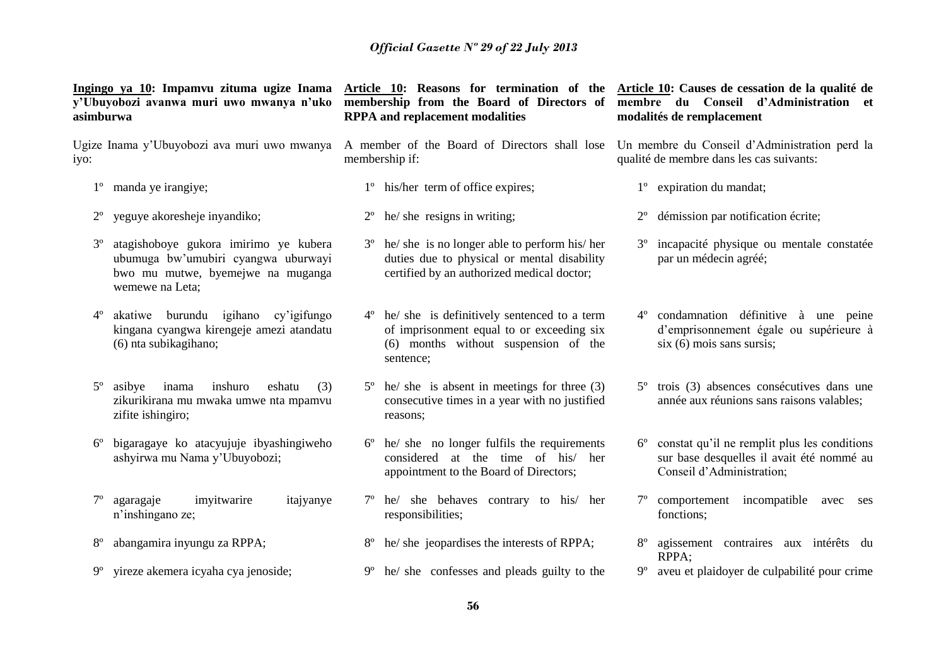**Ingingo ya 10: Impamvu zituma ugize Inama y'Ubuyobozi avanwa muri uwo mwanya n'uko asimburwa**

iyo:

- 1º manda ye irangiye;
- 2º yeguye akoresheje inyandiko;
- 3º atagishoboye gukora imirimo ye kubera ubumuga bw'umubiri cyangwa uburwayi bwo mu mutwe, byemejwe na muganga wemewe na Leta;
- 4º akatiwe burundu igihano cy'igifungo kingana cyangwa kirengeje amezi atandatu (6) nta subikagihano;
- 5º asibye inama inshuro eshatu (3) zikurikirana mu mwaka umwe nta mpamvu zifite ishingiro;
- 6º bigaragaye ko atacyujuje ibyashingiweho ashyirwa mu Nama y'Ubuyobozi;
- agaragaje imyitwarire itajyanye n'inshingano ze;
- 8º abangamira inyungu za RPPA;
- 9º yireze akemera icyaha cya jenoside;

**membership from the Board of Directors of RPPA and replacement modalities**

- Ugize Inama y'Ubuyobozi ava muri uwo mwanya A member of the Board of Directors shall lose Un membre du Conseil d'Administration perd la membership if:
	- 1º his/her term of office expires;
	- 2º he/ she resigns in writing;
	- 3º he/ she is no longer able to perform his/ her duties due to physical or mental disability certified by an authorized medical doctor;
	- 4º he/ she is definitively sentenced to a term of imprisonment equal to or exceeding six (6) months without suspension of the sentence;
	- 5º he/ she is absent in meetings for three (3) consecutive times in a year with no justified reasons;
	- 6º he/ she no longer fulfils the requirements considered at the time of his/ her appointment to the Board of Directors;
	- 7º he/ she behaves contrary to his/ her responsibilities;
	- 8º he/ she jeopardises the interests of RPPA;
	- 9º he/ she confesses and pleads guilty to the

**Article 10: Reasons for termination of the Article 10: Causes de cessation de la qualité de membre du Conseil d'Administration et modalités de remplacement**

qualité de membre dans les cas suivants:

- 1º expiration du mandat;
- 2º démission par notification écrite;
- 3º incapacité physique ou mentale constatée par un médecin agréé;
- 4º condamnation définitive à une peine d'emprisonnement égale ou supérieure à six (6) mois sans sursis;
- 5º trois (3) absences consécutives dans une année aux réunions sans raisons valables;
- 6º constat qu'il ne remplit plus les conditions sur base desquelles il avait été nommé au Conseil d'Administration;
- 7º comportement incompatible avec ses fonctions;
- 8º agissement contraires aux intérêts du RPPA;
- 9º aveu et plaidoyer de culpabilité pour crime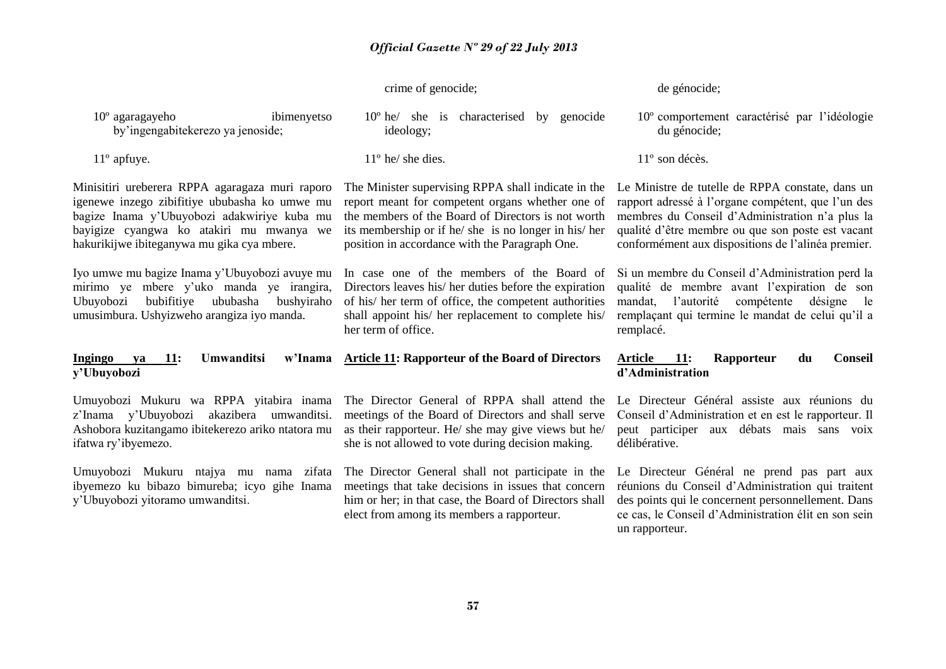|                                                                                                                                                                                                                                           | crime of genocide;                                                                                                                                                                                                                                                       | de génocide;                                                                                                                                                                                                                                                         |
|-------------------------------------------------------------------------------------------------------------------------------------------------------------------------------------------------------------------------------------------|--------------------------------------------------------------------------------------------------------------------------------------------------------------------------------------------------------------------------------------------------------------------------|----------------------------------------------------------------------------------------------------------------------------------------------------------------------------------------------------------------------------------------------------------------------|
| $10^{\circ}$ agaragayeho<br>ibimenyetso<br>by'ingengabitekerezo ya jenoside;                                                                                                                                                              | $10^{\circ}$ he/ she is characterised<br>by genocide<br>ideology;                                                                                                                                                                                                        | 10° comportement caractérisé par l'idéologie<br>du génocide;                                                                                                                                                                                                         |
| $11^{\circ}$ apfuye.                                                                                                                                                                                                                      | $11°$ he/ she dies.                                                                                                                                                                                                                                                      | $11^{\circ}$ son décès.                                                                                                                                                                                                                                              |
| Minisitiri ureberera RPPA agaragaza muri raporo<br>igenewe inzego zibifitiye ububasha ko umwe mu<br>bagize Inama y'Ubuyobozi adakwiriye kuba mu<br>bayigize cyangwa ko atakiri mu mwanya we<br>hakurikijwe ibiteganywa mu gika cya mbere. | The Minister supervising RPPA shall indicate in the<br>report meant for competent organs whether one of<br>the members of the Board of Directors is not worth<br>its membership or if he/ she is no longer in his/ her<br>position in accordance with the Paragraph One. | Le Ministre de tutelle de RPPA constate, dans un<br>rapport adressé à l'organe compétent, que l'un des<br>membres du Conseil d'Administration n'a plus la<br>qualité d'être membre ou que son poste est vacant<br>conformément aux dispositions de l'alinéa premier. |
| Iyo umwe mu bagize Inama y'Ubuyobozi avuye mu<br>mirimo ye mbere y'uko manda ye irangira,<br>bubifitiye<br>ububasha<br>Ubuyobozi<br>bushyiraho<br>umusimbura. Ushyizweho arangiza iyo manda.                                              | In case one of the members of the Board of<br>Directors leaves his/ her duties before the expiration<br>of his/ her term of office, the competent authorities<br>shall appoint his/ her replacement to complete his/                                                     | Si un membre du Conseil d'Administration perd la<br>qualité de membre avant l'expiration de son<br>l'autorité<br>compétente<br>mandat,<br>désigne<br>le<br>remplaçant qui termine le mandat de celui qu'il a                                                         |
|                                                                                                                                                                                                                                           | her term of office.                                                                                                                                                                                                                                                      | remplacé.                                                                                                                                                                                                                                                            |
| <b>11:</b><br><b>Umwanditsi</b><br>w'Inama<br>Ingingo<br>ya<br>y'Ubuyobozi                                                                                                                                                                | <b>Article 11: Rapporteur of the Board of Directors</b>                                                                                                                                                                                                                  | <b>Article</b><br><b>11:</b><br>Rapporteur<br>du<br><b>Conseil</b><br>d'Administration                                                                                                                                                                               |
| Umuyobozi Mukuru wa RPPA yitabira inama<br>z'Inama y'Ubuyobozi<br>akazibera umwanditsi.<br>Ashobora kuzitangamo ibitekerezo ariko ntatora mu<br>ifatwa ry'ibyemezo.                                                                       | The Director General of RPPA shall attend the<br>meetings of the Board of Directors and shall serve<br>as their rapporteur. He/ she may give views but he/<br>she is not allowed to vote during decision making.                                                         | Le Directeur Général assiste aux réunions du<br>Conseil d'Administration et en est le rapporteur. Il<br>peut participer aux débats mais sans voix<br>délibérative.                                                                                                   |
| Umuyobozi Mukuru ntajya mu<br>zifata<br>nama<br>ibyemezo ku bibazo bimureba; icyo gihe Inama<br>y'Ubuyobozi yitoramo umwanditsi.                                                                                                          | The Director General shall not participate in the<br>meetings that take decisions in issues that concern<br>him or her; in that case, the Board of Directors shall<br>elect from among its members a rapporteur.                                                         | Le Directeur Général ne prend pas part aux<br>réunions du Conseil d'Administration qui traitent<br>des points qui le concernent personnellement. Dans<br>ce cas, le Conseil d'Administration élit en son sein<br>un rapporteur.                                      |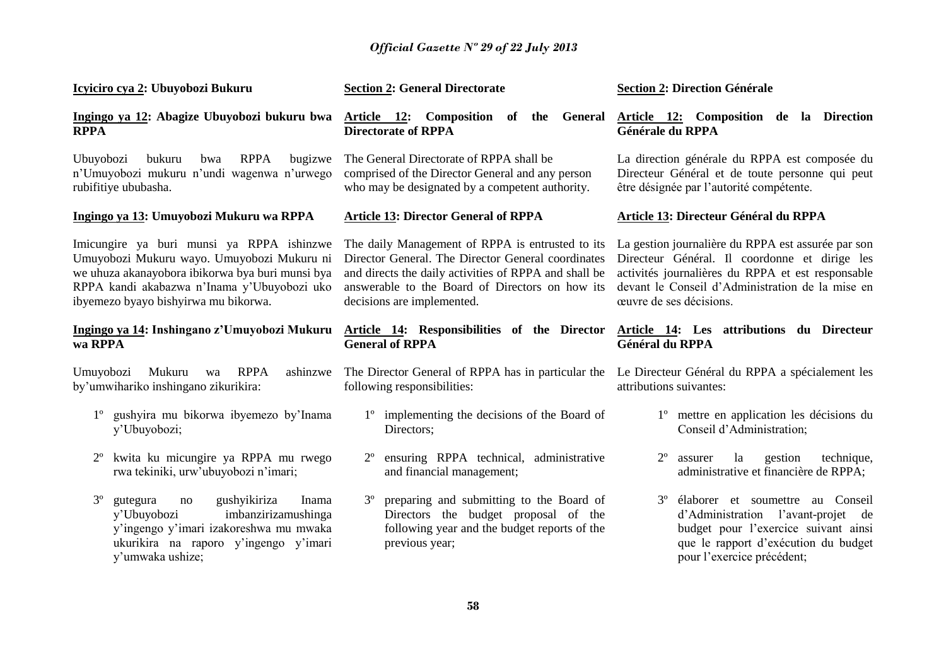| Icyiciro cya 2: Ubuyobozi Bukuru                                                                                                                                                                                                   | <b>Section 2: General Directorate</b>                                                                                                                                                                                                            | <b>Section 2: Direction Générale</b>                                                                                                                                                                                                    |
|------------------------------------------------------------------------------------------------------------------------------------------------------------------------------------------------------------------------------------|--------------------------------------------------------------------------------------------------------------------------------------------------------------------------------------------------------------------------------------------------|-----------------------------------------------------------------------------------------------------------------------------------------------------------------------------------------------------------------------------------------|
| Ingingo ya 12: Abagize Ubuyobozi bukuru bwa<br><b>RPPA</b>                                                                                                                                                                         | Article 12: Composition of the General<br><b>Directorate of RPPA</b>                                                                                                                                                                             | Article 12: Composition de la Direction<br>Générale du RPPA                                                                                                                                                                             |
| Ubuyobozi<br><b>RPPA</b><br>bukuru<br>bugizwe<br>bwa<br>n'Umuyobozi mukuru n'undi wagenwa n'urwego<br>rubifitiye ububasha.                                                                                                         | The General Directorate of RPPA shall be<br>comprised of the Director General and any person<br>who may be designated by a competent authority.                                                                                                  | La direction générale du RPPA est composée du<br>Directeur Général et de toute personne qui peut<br>être désignée par l'autorité compétente.                                                                                            |
| Ingingo ya 13: Umuyobozi Mukuru wa RPPA                                                                                                                                                                                            | <b>Article 13: Director General of RPPA</b>                                                                                                                                                                                                      | Article 13: Directeur Général du RPPA                                                                                                                                                                                                   |
| Imicungire ya buri munsi ya RPPA ishinzwe<br>Umuyobozi Mukuru wayo. Umuyobozi Mukuru ni<br>we uhuza akanayobora ibikorwa bya buri munsi bya<br>RPPA kandi akabazwa n'Inama y'Ubuyobozi uko<br>ibyemezo byayo bishyirwa mu bikorwa. | The daily Management of RPPA is entrusted to its<br>Director General. The Director General coordinates<br>and directs the daily activities of RPPA and shall be<br>answerable to the Board of Directors on how its<br>decisions are implemented. | La gestion journalière du RPPA est assurée par son<br>Directeur Général. Il coordonne et dirige les<br>activités journalières du RPPA et est responsable<br>devant le Conseil d'Administration de la mise en<br>œuvre de ses décisions. |
| Ingingo ya 14: Inshingano z'Umuyobozi Mukuru<br>wa RPPA                                                                                                                                                                            | Article 14: Responsibilities of the Director<br><b>General of RPPA</b>                                                                                                                                                                           | Article 14: Les attributions du Directeur<br>Général du RPPA                                                                                                                                                                            |
| Mukuru<br><b>RPPA</b><br>Umuyobozi<br>ashinzwe<br>wa<br>by'umwihariko inshingano zikurikira:                                                                                                                                       | The Director General of RPPA has in particular the<br>following responsibilities:                                                                                                                                                                | Le Directeur Général du RPPA a spécialement les<br>attributions suivantes:                                                                                                                                                              |
| gushyira mu bikorwa ibyemezo by'Inama<br>y'Ubuyobozi;                                                                                                                                                                              | 1 <sup>°</sup> implementing the decisions of the Board of<br>Directors;                                                                                                                                                                          | mettre en application les décisions du<br>$1^{\circ}$<br>Conseil d'Administration;                                                                                                                                                      |
| kwita ku micungire ya RPPA mu rwego<br>rwa tekiniki, urw'ubuyobozi n'imari;                                                                                                                                                        | ensuring RPPA technical,<br>administrative<br>and financial management;                                                                                                                                                                          | la<br>$2^{\circ}$<br>gestion<br>technique,<br>assurer<br>administrative et financière de RPPA;                                                                                                                                          |
| gushyikiriza<br>$3^{\circ}$<br>gutegura<br>Inama<br>no<br>imbanzirizamushinga<br>y'Ubuyobozi<br>y'ingengo y'imari izakoreshwa mu mwaka<br>ukurikira na raporo y'ingengo y'imari<br>y'umwaka ushize;                                | preparing and submitting to the Board of<br>$3^{\circ}$<br>Directors the budget proposal of the<br>following year and the budget reports of the<br>previous year;                                                                                | élaborer et soumettre au Conseil<br>$3^{\circ}$<br>d'Administration l'avant-projet<br>de<br>budget pour l'exercice suivant ainsi<br>que le rapport d'exécution du budget<br>pour l'exercice précédent;                                  |
|                                                                                                                                                                                                                                    | $E^{\bullet}$                                                                                                                                                                                                                                    |                                                                                                                                                                                                                                         |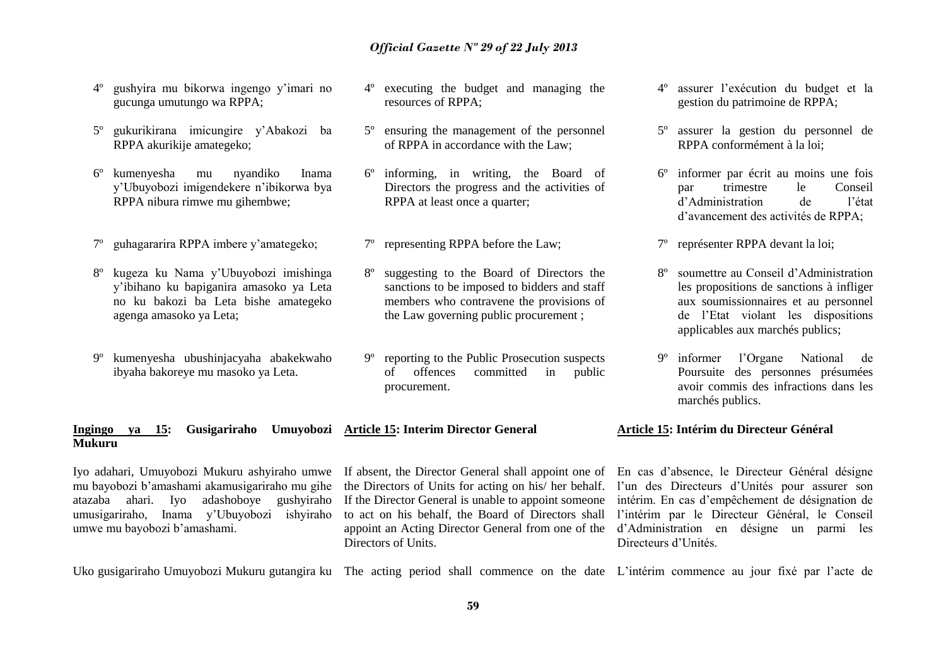- 4º gushyira mu bikorwa ingengo y'imari no gucunga umutungo wa RPPA;
- 5º gukurikirana imicungire y'Abakozi ba RPPA akurikije amategeko;
- 6º kumenyesha mu nyandiko Inama y'Ubuyobozi imigendekere n'ibikorwa bya RPPA nibura rimwe mu gihembwe;
- 7º guhagararira RPPA imbere y'amategeko;
- 8º kugeza ku Nama y'Ubuyobozi imishinga y'ibihano ku bapiganira amasoko ya Leta no ku bakozi ba Leta bishe amategeko agenga amasoko ya Leta;
- 9º kumenyesha ubushinjacyaha abakekwaho ibyaha bakoreye mu masoko ya Leta.
- 4º executing the budget and managing the resources of RPPA;
- 5º ensuring the management of the personnel of RPPA in accordance with the Law;
- 6º informing, in writing, the Board of Directors the progress and the activities of RPPA at least once a quarter;
- 7º representing RPPA before the Law;
- 8º suggesting to the Board of Directors the sanctions to be imposed to bidders and staff members who contravene the provisions of the Law governing public procurement ;
- 9º reporting to the Public Prosecution suspects of offences committed in public procurement.
- 4º assurer l'exécution du budget et la gestion du patrimoine de RPPA;
- 5º assurer la gestion du personnel de RPPA conformément à la loi;
- 6º informer par écrit au moins une fois par trimestre le Conseil d'Administration de l'état d'avancement des activités de RPPA;
- 7º représenter RPPA devant la loi;
- 8º soumettre au Conseil d'Administration les propositions de sanctions à infliger aux soumissionnaires et au personnel de l'Etat violant les dispositions applicables aux marchés publics;
- 9º informer l'Organe National de Poursuite des personnes présumées avoir commis des infractions dans les marchés publics.

#### **Ingingo ya 15: Gusigariraho Umuyobozi Article 15: Interim Director General Mukuru**

Iyo adahari, Umuyobozi Mukuru ashyiraho umwe If absent, the Director General shall appoint one of mu bayobozi b'amashami akamusigariraho mu gihe atazaba ahari. Iyo adashoboye gushyiraho umusigariraho, Inama y'Ubuyobozi ishyiraho umwe mu bayobozi b'amashami.

the Directors of Units for acting on his/ her behalf. If the Director General is unable to appoint someone to act on his behalf, the Board of Directors shall appoint an Acting Director General from one of the Directors of Units.

**Article 15: Intérim du Directeur Général**

En cas d'absence, le Directeur Général désigne l'un des Directeurs d'Unités pour assurer son intérim. En cas d'empêchement de désignation de l'intérim par le Directeur Général, le Conseil d'Administration en désigne un parmi les Directeurs d'Unités.

Uko gusigariraho Umuyobozi Mukuru gutangira ku The acting period shall commence on the date L'intérim commence au jour fixé par l'acte de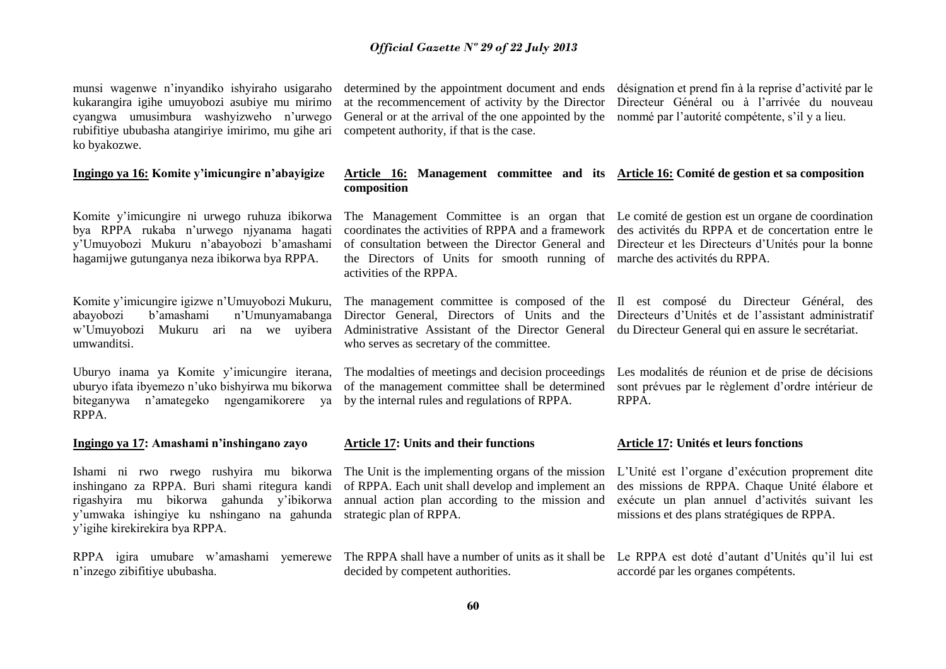munsi wagenwe n'inyandiko ishyiraho usigaraho kukarangira igihe umuyobozi asubiye mu mirimo cyangwa umusimbura washyizweho n'urwego rubifitiye ububasha atangiriye imirimo, mu gihe ari ko byakozwe.

#### **Ingingo ya 16: Komite y'imicungire n'abayigize**

Komite y'imicungire ni urwego ruhuza ibikorwa bya RPPA rukaba n'urwego njyanama hagati y'Umuyobozi Mukuru n'abayobozi b'amashami hagamijwe gutunganya neza ibikorwa bya RPPA.

Komite y'imicungire igizwe n'Umuyobozi Mukuru, abayobozi b'amashami n'Umunyamabanga w'Umuyobozi Mukuru ari na we uyibera Administrative Assistant of the Director General du Directeur General qui en assure le secrétariat. umwanditsi.

Uburyo inama ya Komite y'imicungire iterana, uburyo ifata ibyemezo n'uko bishyirwa mu bikorwa biteganywa n'amategeko ngengamikorere ya by the internal rules and regulations of RPPA. RPPA.

**Ingingo ya 17: Amashami n'inshingano zayo**

Ishami ni rwo rwego rushyira mu bikorwa inshingano za RPPA. Buri shami ritegura kandi rigashyira mu bikorwa gahunda y'ibikorwa y'umwaka ishingiye ku nshingano na gahunda y'igihe kirekirekira bya RPPA.

n'inzego zibifitiye ububasha.

determined by the appointment document and ends at the recommencement of activity by the Director General or at the arrival of the one appointed by the competent authority, if that is the case.

désignation et prend fin à la reprise d'activité par le Directeur Général ou à l'arrivée du nouveau nommé par l'autorité compétente, s'il y a lieu.

#### **Article 16: Management committee and its Article 16: Comité de gestion et sa composition composition**

of consultation between the Director General and the Directors of Units for smooth running of marche des activités du RPPA. activities of the RPPA.

The Management Committee is an organ that Le comité de gestion est un organe de coordination coordinates the activities of RPPA and a framework des activités du RPPA et de concertation entre le Directeur et les Directeurs d'Unités pour la bonne

The management committee is composed of the Il est composé du Directeur Général, des Director General, Directors of Units and the who serves as secretary of the committee.

The modalties of meetings and decision proceedings of the management committee shall be determined

#### **Article 17: Units and their functions**

The Unit is the implementing organs of the mission of RPPA. Each unit shall develop and implement an annual action plan according to the mission and strategic plan of RPPA.

decided by competent authorities.

#### Les modalités de réunion et de prise de décisions sont prévues par le règlement d'ordre intérieur de RPPA.

Directeurs d'Unités et de l'assistant administratif

#### **Article 17: Unités et leurs fonctions**

L'Unité est l'organe d'exécution proprement dite des missions de RPPA. Chaque Unité élabore et exécute un plan annuel d'activités suivant les missions et des plans stratégiques de RPPA.

RPPA igira umubare w'amashami yemerewe The RPPA shall have a number of units as it shall be Le RPPA est doté d'autant d'Unités qu'il lui est accordé par les organes compétents.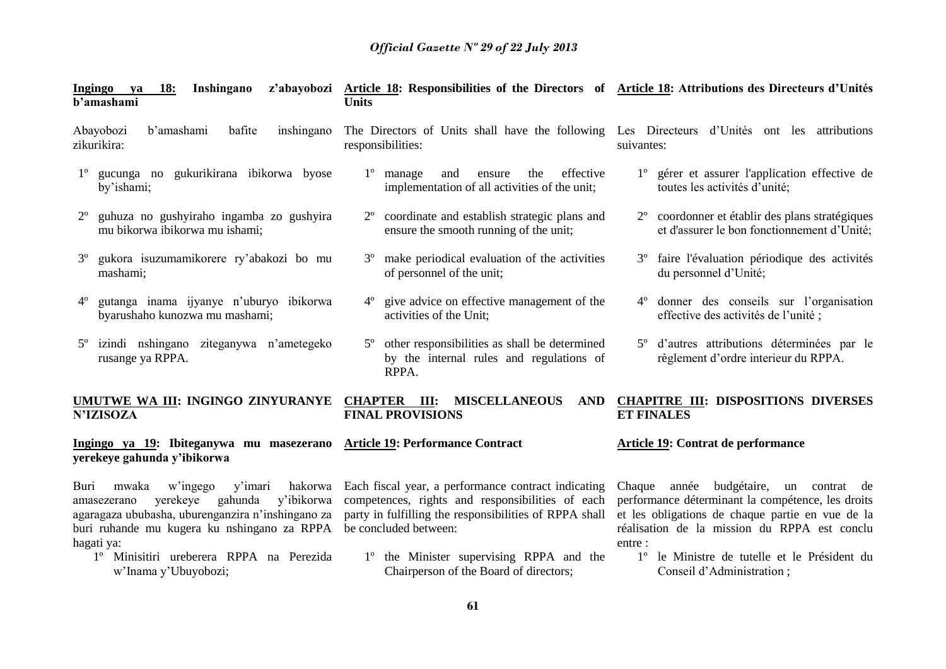| <b>Ingingo</b><br><b>18:</b><br>Inshingano<br>va<br>b'amashami                                                                                                                                                                                                    | z'abayobozi Article 18: Responsibilities of the Directors of Article 18: Attributions des Directeurs d'Unités<br><b>Units</b>                                                                                                          |                                                                                                                                                                                                                                                               |
|-------------------------------------------------------------------------------------------------------------------------------------------------------------------------------------------------------------------------------------------------------------------|----------------------------------------------------------------------------------------------------------------------------------------------------------------------------------------------------------------------------------------|---------------------------------------------------------------------------------------------------------------------------------------------------------------------------------------------------------------------------------------------------------------|
| b'amashami<br>Abayobozi<br>bafite<br>inshingano<br>zikurikira:                                                                                                                                                                                                    | The Directors of Units shall have the following Les Directeurs d'Unités ont les attributions<br>responsibilities:                                                                                                                      | suivantes:                                                                                                                                                                                                                                                    |
| gucunga no gukurikirana ibikorwa byose<br>$1^{\circ}$<br>by'ishami;                                                                                                                                                                                               | effective<br>$1^{\circ}$ manage<br>and<br>the<br>ensure<br>implementation of all activities of the unit;                                                                                                                               | 1° gérer et assurer l'application effective de<br>toutes les activités d'unité;                                                                                                                                                                               |
| guhuza no gushyiraho ingamba zo gushyira<br>$2^{\circ}$<br>mu bikorwa ibikorwa mu ishami;                                                                                                                                                                         | coordinate and establish strategic plans and<br>ensure the smooth running of the unit;                                                                                                                                                 | 2 <sup>°</sup> coordonner et établir des plans stratégiques<br>et d'assurer le bon fonctionnement d'Unité;                                                                                                                                                    |
| gukora isuzumamikorere ry'abakozi bo mu<br>$3^{\circ}$<br>mashami;                                                                                                                                                                                                | make periodical evaluation of the activities<br>$3^{\circ}$<br>of personnel of the unit;                                                                                                                                               | 3 <sup>°</sup> faire l'évaluation périodique des activités<br>du personnel d'Unité;                                                                                                                                                                           |
| gutanga inama ijyanye n'uburyo ibikorwa<br>$4^{\circ}$<br>byarushaho kunozwa mu mashami;                                                                                                                                                                          | give advice on effective management of the<br>activities of the Unit;                                                                                                                                                                  | donner des conseils sur l'organisation<br>effective des activités de l'unité ;                                                                                                                                                                                |
| izindi nshingano ziteganywa n'ametegeko<br>$5^{\circ}$<br>rusange ya RPPA.                                                                                                                                                                                        | other responsibilities as shall be determined<br>$5^\circ$<br>by the internal rules and regulations of<br>RPPA.                                                                                                                        | 5 <sup>°</sup> d'autres attributions déterminées par le<br>règlement d'ordre interieur du RPPA.                                                                                                                                                               |
| UMUTWE WA III: INGINGO ZINYURANYE CHAPTER III:<br><b>N'IZISOZA</b>                                                                                                                                                                                                | <b>MISCELLANEOUS</b><br>AND<br><b>FINAL PROVISIONS</b>                                                                                                                                                                                 | <b>CHAPITRE III: DISPOSITIONS DIVERSES</b><br><b>ET FINALES</b>                                                                                                                                                                                               |
| Ingingo ya 19: Ibiteganywa mu masezerano Article 19: Performance Contract<br>yerekeye gahunda y'ibikorwa                                                                                                                                                          |                                                                                                                                                                                                                                        | Article 19: Contrat de performance                                                                                                                                                                                                                            |
| hakorwa<br>w'ingego<br>y'imari<br>Buri<br>mwaka<br>yerekeye<br>gahunda<br>y'ibikorwa<br>amasezerano<br>agaragaza ububasha, uburenganzira n'inshingano za<br>buri ruhande mu kugera ku nshingano za RPPA<br>hagati ya:<br>1º Minisitiri ureberera RPPA na Perezida | Each fiscal year, a performance contract indicating<br>competences, rights and responsibilities of each<br>party in fulfilling the responsibilities of RPPA shall<br>be concluded between:<br>1° the Minister supervising RPPA and the | Chaque année budgétaire,<br>un contrat de<br>performance déterminant la compétence, les droits<br>et les obligations de chaque partie en vue de la<br>réalisation de la mission du RPPA est conclu<br>entre :<br>1º le Ministre de tutelle et le Président du |

1º Minisitiri ureberera RPPA na Perezida w'Inama y'Ubuyobozi;

**61**

Chairperson of the Board of directors;

Conseil d'Administration ;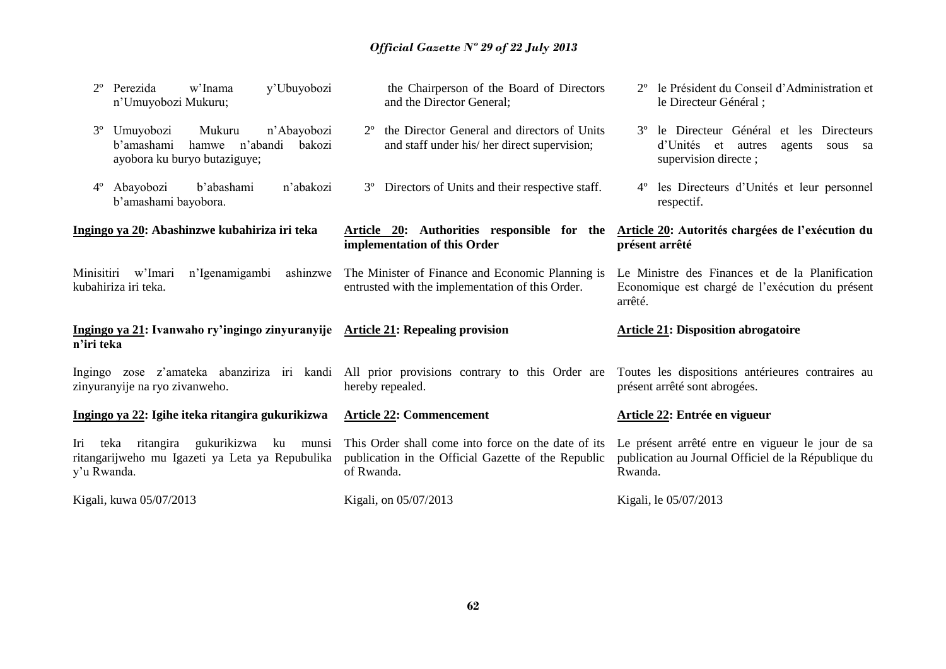| y'Ubuyobozi<br>w'Inama<br>Perezida<br>n'Umuyobozi Mukuru;                                                                   | the Chairperson of the Board of Directors<br>and the Director General;                                                   | le Président du Conseil d'Administration et<br>le Directeur Général ;                                                          |
|-----------------------------------------------------------------------------------------------------------------------------|--------------------------------------------------------------------------------------------------------------------------|--------------------------------------------------------------------------------------------------------------------------------|
| $3^{\circ}$<br>Umuyobozi<br>Mukuru<br>n'Abayobozi<br>b'amashami<br>hamwe n'abandi<br>bakozi<br>ayobora ku buryo butaziguye; | the Director General and directors of Units<br>and staff under his/ her direct supervision;                              | le Directeur Général et les<br>$3^{\circ}$<br>Directeurs<br>d'Unités et<br>autres<br>agents<br>sous sa<br>supervision directe; |
| b'abashami<br>$4^{\circ}$<br>Abayobozi<br>n'abakozi<br>b'amashami bayobora.                                                 | Directors of Units and their respective staff.<br>$3^{\circ}$                                                            | les Directeurs d'Unités et leur personnel<br>$4^{\circ}$<br>respectif.                                                         |
| Ingingo ya 20: Abashinzwe kubahiriza iri teka                                                                               | Article 20: Authorities responsible for the<br>implementation of this Order                                              | Article 20: Autorités chargées de l'exécution du<br>présent arrêté                                                             |
| Minisitiri w'Imari<br>n'Igenamigambi<br>ashinzwe<br>kubahiriza iri teka.                                                    | The Minister of Finance and Economic Planning is<br>entrusted with the implementation of this Order.                     | Le Ministre des Finances et de la Planification<br>Economique est chargé de l'exécution du présent<br>arrêté.                  |
| Ingingo ya 21: Ivanwaho ry'ingingo zinyuranyije Article 21: Repealing provision<br>n'iri teka                               |                                                                                                                          | <b>Article 21: Disposition abrogatoire</b>                                                                                     |
| zinyuranyije na ryo zivanweho.                                                                                              | Ingingo zose z'amateka abanziriza iri kandi All prior provisions contrary to this Order are<br>hereby repealed.          | Toutes les dispositions antérieures contraires au<br>présent arrêté sont abrogées.                                             |
|                                                                                                                             |                                                                                                                          |                                                                                                                                |
| Ingingo ya 22: Igihe iteka ritangira gukurikizwa                                                                            | <b>Article 22: Commencement</b>                                                                                          | Article 22: Entrée en vigueur                                                                                                  |
| gukurikizwa<br>ritangira<br>ku<br>teka<br>munsi<br>Iri<br>ritangarijweho mu Igazeti ya Leta ya Repubulika<br>y'u Rwanda.    | This Order shall come into force on the date of its<br>publication in the Official Gazette of the Republic<br>of Rwanda. | Le présent arrêté entre en vigueur le jour de sa<br>publication au Journal Officiel de la République du<br>Rwanda.             |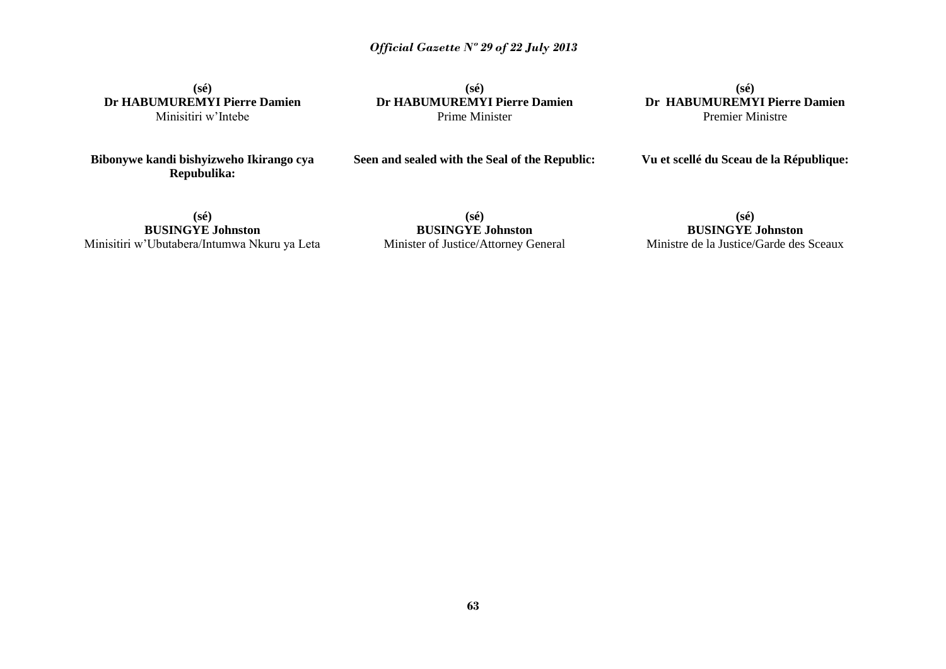**(sé) Dr HABUMUREMYI Pierre Damien** Minisitiri w'Intebe

**Bibonywe kandi bishyizweho Ikirango cya Repubulika:**

**(sé) Dr HABUMUREMYI Pierre Damien** Prime Minister

**Seen and sealed with the Seal of the Republic:**

**(sé) Dr HABUMUREMYI Pierre Damien** Premier Ministre

#### **Vu et scellé du Sceau de la République:**

**(sé) BUSINGYE Johnston** Minisitiri w'Ubutabera/Intumwa Nkuru ya Leta

**(sé) BUSINGYE Johnston** Minister of Justice/Attorney General

**(sé) BUSINGYE Johnston** Ministre de la Justice/Garde des Sceaux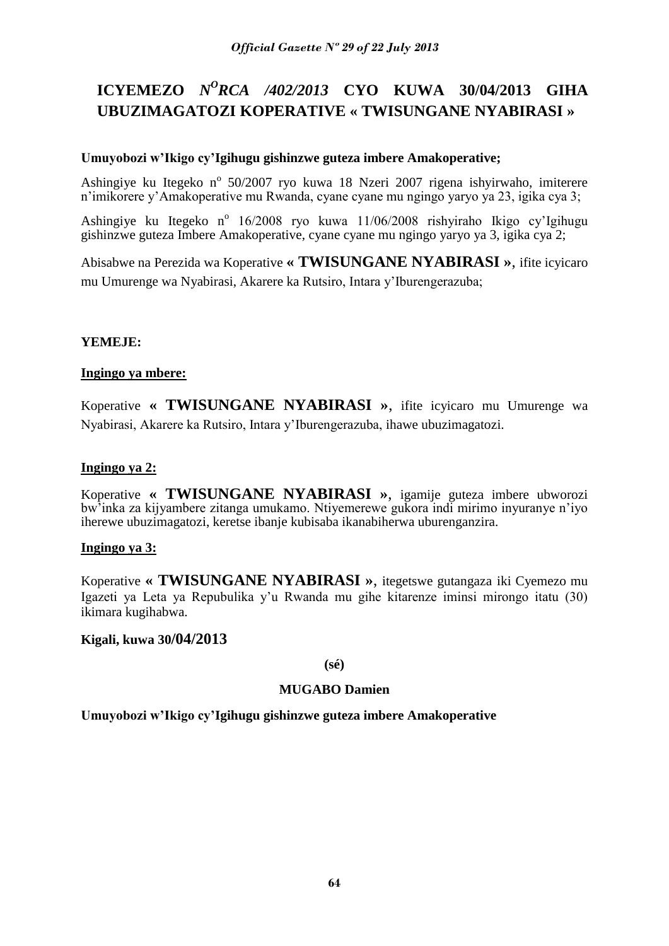## **ICYEMEZO** *N<sup>O</sup>RCA /402/2013* **CYO KUWA 30/04/2013 GIHA UBUZIMAGATOZI KOPERATIVE « TWISUNGANE NYABIRASI »**

### **Umuyobozi w'Ikigo cy'Igihugu gishinzwe guteza imbere Amakoperative;**

Ashingiye ku Itegeko nº 50/2007 ryo kuwa 18 Nzeri 2007 rigena ishyirwaho, imiterere n'imikorere y'Amakoperative mu Rwanda, cyane cyane mu ngingo yaryo ya 23, igika cya 3;

Ashingiye ku Itegeko nº 16/2008 ryo kuwa 11/06/2008 rishyiraho Ikigo cy'Igihugu gishinzwe guteza Imbere Amakoperative, cyane cyane mu ngingo yaryo ya 3, igika cya 2;

Abisabwe na Perezida wa Koperative **« TWISUNGANE NYABIRASI »**, ifite icyicaro mu Umurenge wa Nyabirasi, Akarere ka Rutsiro, Intara y'Iburengerazuba;

### **YEMEJE:**

### **Ingingo ya mbere:**

Koperative **« TWISUNGANE NYABIRASI »**, ifite icyicaro mu Umurenge wa Nyabirasi, Akarere ka Rutsiro, Intara y'Iburengerazuba, ihawe ubuzimagatozi.

### **Ingingo ya 2:**

Koperative **« TWISUNGANE NYABIRASI »**, igamije guteza imbere ubworozi bw'inka za kijyambere zitanga umukamo. Ntiyemerewe gukora indi mirimo inyuranye n'iyo iherewe ubuzimagatozi, keretse ibanje kubisaba ikanabiherwa uburenganzira.

### **Ingingo ya 3:**

Koperative **« TWISUNGANE NYABIRASI »**, itegetswe gutangaza iki Cyemezo mu Igazeti ya Leta ya Repubulika y'u Rwanda mu gihe kitarenze iminsi mirongo itatu (30) ikimara kugihabwa.

### **Kigali, kuwa 30/04/2013**

### **(sé)**

### **MUGABO Damien**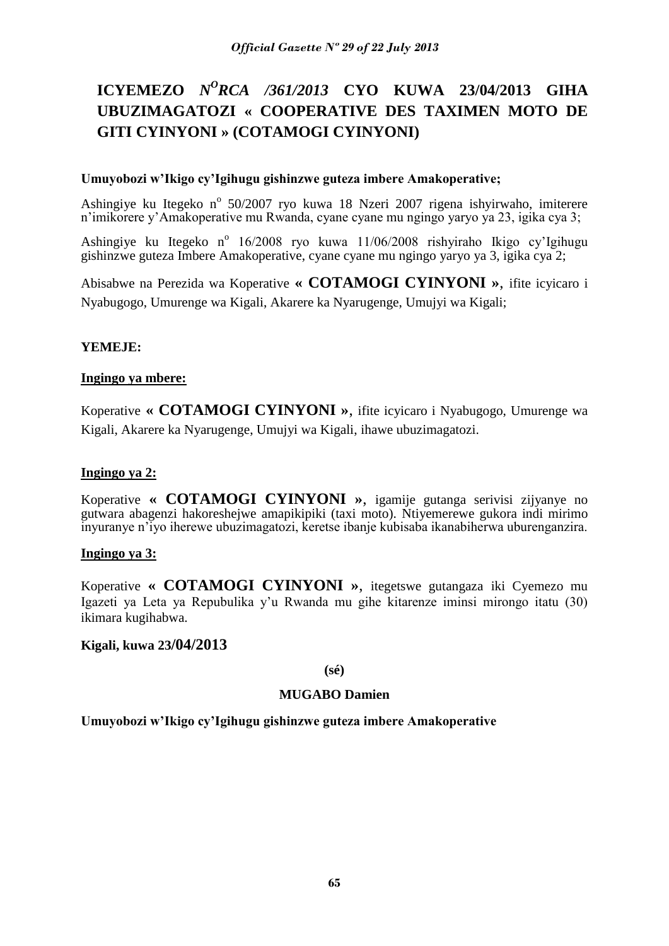## **ICYEMEZO** *N<sup>O</sup>RCA /361/2013* **CYO KUWA 23/04/2013 GIHA UBUZIMAGATOZI « COOPERATIVE DES TAXIMEN MOTO DE GITI CYINYONI » (COTAMOGI CYINYONI)**

### **Umuyobozi w'Ikigo cy'Igihugu gishinzwe guteza imbere Amakoperative;**

Ashingiye ku Itegeko nº 50/2007 ryo kuwa 18 Nzeri 2007 rigena ishyirwaho, imiterere n'imikorere y'Amakoperative mu Rwanda, cyane cyane mu ngingo yaryo ya 23, igika cya 3;

Ashingiye ku Itegeko nº 16/2008 ryo kuwa 11/06/2008 rishyiraho Ikigo cy'Igihugu gishinzwe guteza Imbere Amakoperative, cyane cyane mu ngingo yaryo ya 3, igika cya 2;

Abisabwe na Perezida wa Koperative **« COTAMOGI CYINYONI »**, ifite icyicaro i Nyabugogo, Umurenge wa Kigali, Akarere ka Nyarugenge, Umujyi wa Kigali;

### **YEMEJE:**

### **Ingingo ya mbere:**

Koperative **« COTAMOGI CYINYONI »**, ifite icyicaro i Nyabugogo, Umurenge wa Kigali, Akarere ka Nyarugenge, Umujyi wa Kigali, ihawe ubuzimagatozi.

### **Ingingo ya 2:**

Koperative **« COTAMOGI CYINYONI »**, igamije gutanga serivisi zijyanye no gutwara abagenzi hakoreshejwe amapikipiki (taxi moto). Ntiyemerewe gukora indi mirimo inyuranye n'iyo iherewe ubuzimagatozi, keretse ibanje kubisaba ikanabiherwa uburenganzira.

### **Ingingo ya 3:**

Koperative **« COTAMOGI CYINYONI »**, itegetswe gutangaza iki Cyemezo mu Igazeti ya Leta ya Repubulika y'u Rwanda mu gihe kitarenze iminsi mirongo itatu (30) ikimara kugihabwa.

### **Kigali, kuwa 23/04/2013**

### **(sé)**

### **MUGABO Damien**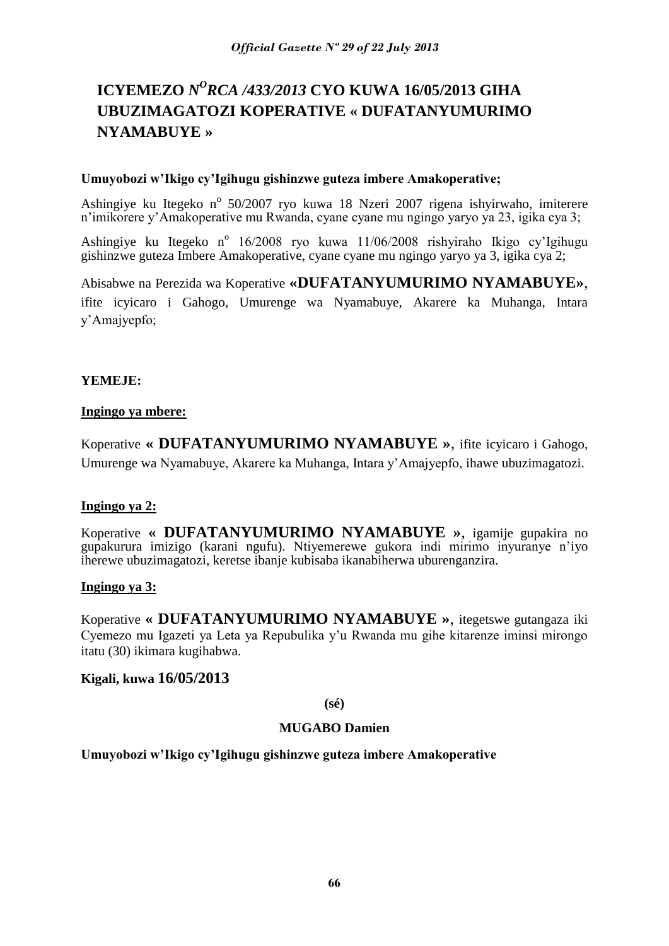## **ICYEMEZO** *N<sup>O</sup>RCA /433/2013* **CYO KUWA 16/05/2013 GIHA UBUZIMAGATOZI KOPERATIVE « DUFATANYUMURIMO NYAMABUYE »**

#### **Umuyobozi w'Ikigo cy'Igihugu gishinzwe guteza imbere Amakoperative;**

Ashingiye ku Itegeko nº 50/2007 ryo kuwa 18 Nzeri 2007 rigena ishyirwaho, imiterere n'imikorere y'Amakoperative mu Rwanda, cyane cyane mu ngingo yaryo ya 23, igika cya 3;

Ashingiye ku Itegeko nº 16/2008 ryo kuwa 11/06/2008 rishyiraho Ikigo cy'Igihugu gishinzwe guteza Imbere Amakoperative, cyane cyane mu ngingo yaryo ya 3, igika cya 2;

Abisabwe na Perezida wa Koperative **«DUFATANYUMURIMO NYAMABUYE»**, ifite icyicaro i Gahogo, Umurenge wa Nyamabuye, Akarere ka Muhanga, Intara y'Amajyepfo;

### **YEMEJE:**

### **Ingingo ya mbere:**

Koperative **« DUFATANYUMURIMO NYAMABUYE »**, ifite icyicaro i Gahogo, Umurenge wa Nyamabuye, Akarere ka Muhanga, Intara y'Amajyepfo, ihawe ubuzimagatozi.

### **Ingingo ya 2:**

Koperative **« DUFATANYUMURIMO NYAMABUYE »**, igamije gupakira no gupakurura imizigo (karani ngufu). Ntiyemerewe gukora indi mirimo inyuranye n'iyo iherewe ubuzimagatozi, keretse ibanje kubisaba ikanabiherwa uburenganzira.

#### **Ingingo ya 3:**

Koperative **« DUFATANYUMURIMO NYAMABUYE »**, itegetswe gutangaza iki Cyemezo mu Igazeti ya Leta ya Repubulika y'u Rwanda mu gihe kitarenze iminsi mirongo itatu (30) ikimara kugihabwa.

### **Kigali, kuwa 16/05/2013**

**(sé)**

### **MUGABO Damien**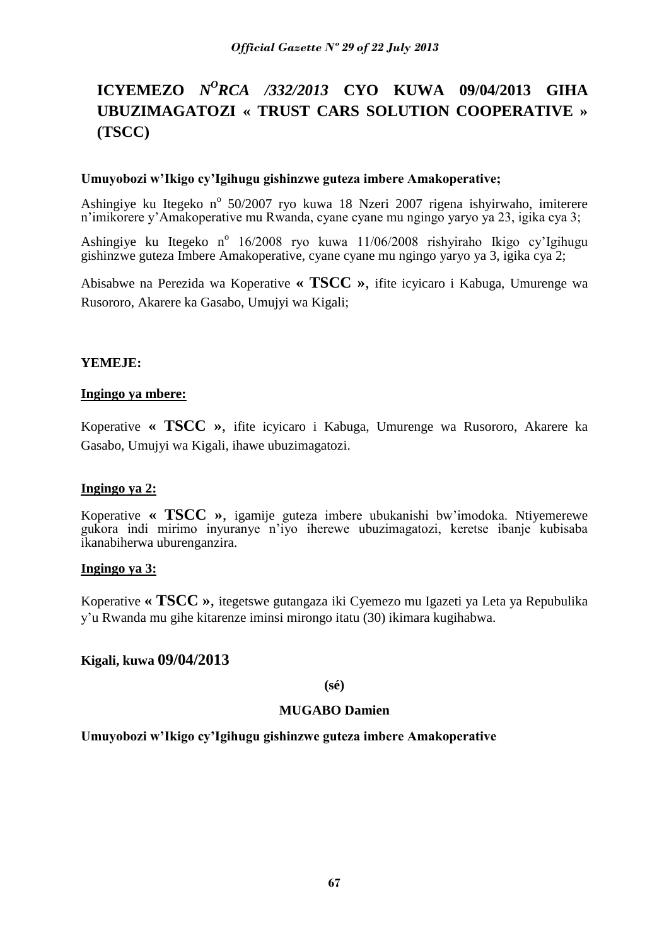## **ICYEMEZO** *N<sup>O</sup>RCA /332/2013* **CYO KUWA 09/04/2013 GIHA UBUZIMAGATOZI « TRUST CARS SOLUTION COOPERATIVE » (TSCC)**

#### **Umuyobozi w'Ikigo cy'Igihugu gishinzwe guteza imbere Amakoperative;**

Ashingiye ku Itegeko nº 50/2007 ryo kuwa 18 Nzeri 2007 rigena ishyirwaho, imiterere n'imikorere y'Amakoperative mu Rwanda, cyane cyane mu ngingo yaryo ya 23, igika cya 3;

Ashingiye ku Itegeko nº 16/2008 ryo kuwa 11/06/2008 rishyiraho Ikigo cy'Igihugu gishinzwe guteza Imbere Amakoperative, cyane cyane mu ngingo yaryo ya 3, igika cya 2;

Abisabwe na Perezida wa Koperative **« TSCC »**, ifite icyicaro i Kabuga, Umurenge wa Rusororo, Akarere ka Gasabo, Umujyi wa Kigali;

#### **YEMEJE:**

#### **Ingingo ya mbere:**

Koperative **« TSCC »**, ifite icyicaro i Kabuga, Umurenge wa Rusororo, Akarere ka Gasabo, Umujyi wa Kigali, ihawe ubuzimagatozi.

### **Ingingo ya 2:**

Koperative **« TSCC »**, igamije guteza imbere ubukanishi bw'imodoka. Ntiyemerewe gukora indi mirimo inyuranye n'iyo iherewe ubuzimagatozi, keretse ibanje kubisaba ikanabiherwa uburenganzira.

### **Ingingo ya 3:**

Koperative **« TSCC »**, itegetswe gutangaza iki Cyemezo mu Igazeti ya Leta ya Repubulika y'u Rwanda mu gihe kitarenze iminsi mirongo itatu (30) ikimara kugihabwa.

### **Kigali, kuwa 09/04/2013**

**(sé)**

### **MUGABO Damien**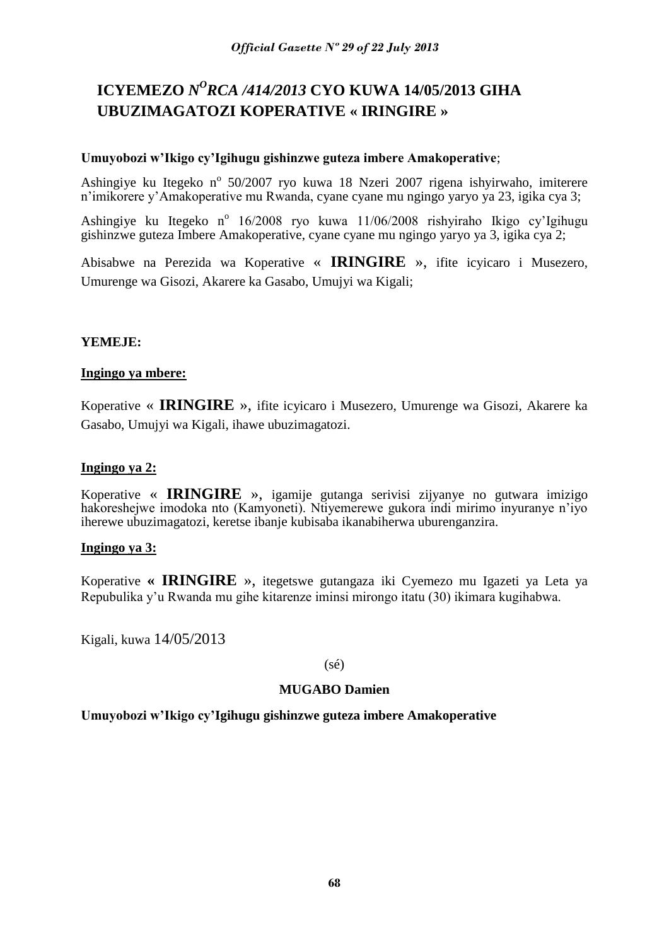## **ICYEMEZO** *N <sup>O</sup>RCA /414/2013* **CYO KUWA 14/05/2013 GIHA UBUZIMAGATOZI KOPERATIVE « IRINGIRE »**

### **Umuyobozi w'Ikigo cy'Igihugu gishinzwe guteza imbere Amakoperative**;

Ashingiye ku Itegeko nº 50/2007 ryo kuwa 18 Nzeri 2007 rigena ishyirwaho, imiterere n'imikorere y'Amakoperative mu Rwanda, cyane cyane mu ngingo yaryo ya 23, igika cya 3;

Ashingiye ku Itegeko nº 16/2008 ryo kuwa 11/06/2008 rishyiraho Ikigo cy'Igihugu gishinzwe guteza Imbere Amakoperative, cyane cyane mu ngingo yaryo ya 3, igika cya 2;

Abisabwe na Perezida wa Koperative « **IRINGIRE** », ifite icyicaro i Musezero, Umurenge wa Gisozi, Akarere ka Gasabo, Umujyi wa Kigali;

### **YEMEJE:**

### **Ingingo ya mbere:**

Koperative « **IRINGIRE** », ifite icyicaro i Musezero, Umurenge wa Gisozi, Akarere ka Gasabo, Umujyi wa Kigali, ihawe ubuzimagatozi.

### **Ingingo ya 2:**

Koperative « **IRINGIRE** », igamije gutanga serivisi zijyanye no gutwara imizigo hakoreshejwe imodoka nto (Kamyoneti). Ntiyemerewe gukora indi mirimo inyuranye n'iyo iherewe ubuzimagatozi, keretse ibanje kubisaba ikanabiherwa uburenganzira.

### **Ingingo ya 3:**

Koperative **« IRINGIRE** », itegetswe gutangaza iki Cyemezo mu Igazeti ya Leta ya Repubulika y'u Rwanda mu gihe kitarenze iminsi mirongo itatu (30) ikimara kugihabwa.

Kigali, kuwa 14/05/2013

#### (sé)

### **MUGABO Damien**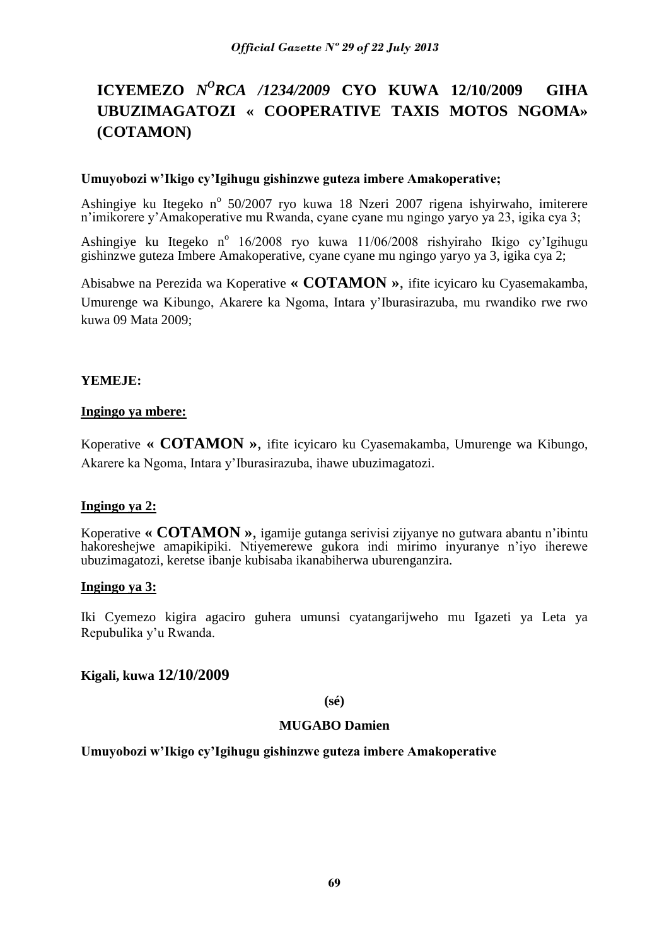## **ICYEMEZO** *N<sup>O</sup>RCA /1234/2009* **CYO KUWA 12/10/2009 GIHA UBUZIMAGATOZI « COOPERATIVE TAXIS MOTOS NGOMA» (COTAMON)**

#### **Umuyobozi w'Ikigo cy'Igihugu gishinzwe guteza imbere Amakoperative;**

Ashingiye ku Itegeko nº 50/2007 ryo kuwa 18 Nzeri 2007 rigena ishyirwaho, imiterere n'imikorere y'Amakoperative mu Rwanda, cyane cyane mu ngingo yaryo ya 23, igika cya 3;

Ashingiye ku Itegeko nº 16/2008 ryo kuwa 11/06/2008 rishyiraho Ikigo cy'Igihugu gishinzwe guteza Imbere Amakoperative, cyane cyane mu ngingo yaryo ya 3, igika cya 2;

Abisabwe na Perezida wa Koperative **« COTAMON »**, ifite icyicaro ku Cyasemakamba, Umurenge wa Kibungo, Akarere ka Ngoma, Intara y'Iburasirazuba, mu rwandiko rwe rwo kuwa 09 Mata 2009;

### **YEMEJE:**

### **Ingingo ya mbere:**

Koperative **« COTAMON »**, ifite icyicaro ku Cyasemakamba, Umurenge wa Kibungo, Akarere ka Ngoma, Intara y'Iburasirazuba, ihawe ubuzimagatozi.

### **Ingingo ya 2:**

Koperative **« COTAMON »**, igamije gutanga serivisi zijyanye no gutwara abantu n'ibintu hakoreshejwe amapikipiki. Ntiyemerewe gukora indi mirimo inyuranye n'iyo iherewe ubuzimagatozi, keretse ibanje kubisaba ikanabiherwa uburenganzira.

#### **Ingingo ya 3:**

Iki Cyemezo kigira agaciro guhera umunsi cyatangarijweho mu Igazeti ya Leta ya Repubulika y'u Rwanda.

### **Kigali, kuwa 12/10/2009**

**(sé)**

#### **MUGABO Damien**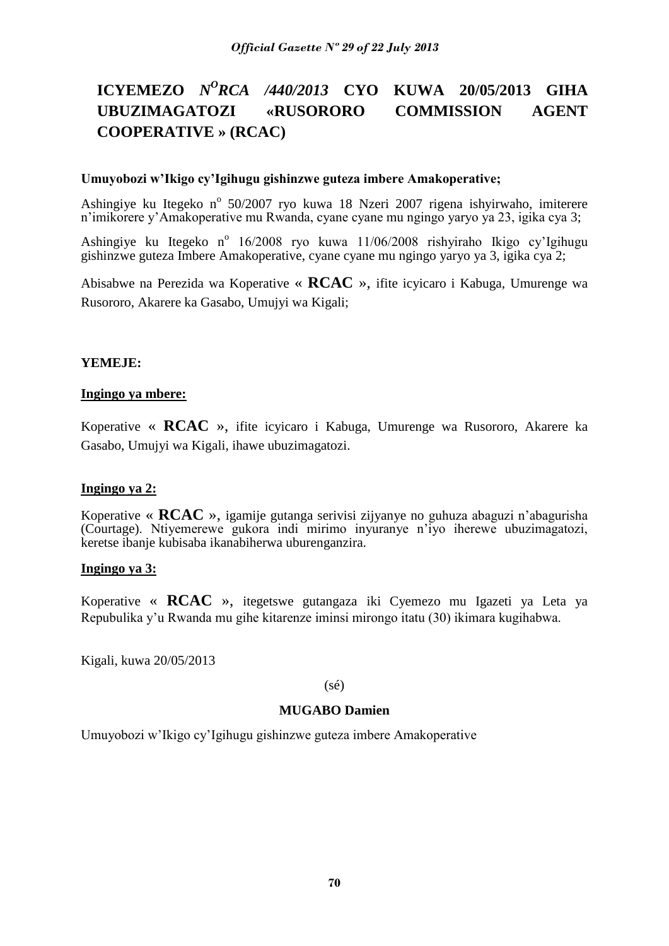## **ICYEMEZO** *N<sup>O</sup>RCA /440/2013* **CYO KUWA 20/05/2013 GIHA UBUZIMAGATOZI «RUSORORO COMMISSION AGENT COOPERATIVE » (RCAC)**

### **Umuyobozi w'Ikigo cy'Igihugu gishinzwe guteza imbere Amakoperative;**

Ashingiye ku Itegeko nº 50/2007 ryo kuwa 18 Nzeri 2007 rigena ishyirwaho, imiterere n'imikorere y'Amakoperative mu Rwanda, cyane cyane mu ngingo yaryo ya 23, igika cya 3;

Ashingiye ku Itegeko nº 16/2008 ryo kuwa 11/06/2008 rishyiraho Ikigo cy'Igihugu gishinzwe guteza Imbere Amakoperative, cyane cyane mu ngingo yaryo ya 3, igika cya 2;

Abisabwe na Perezida wa Koperative « **RCAC** », ifite icyicaro i Kabuga, Umurenge wa Rusororo, Akarere ka Gasabo, Umujyi wa Kigali;

#### **YEMEJE:**

#### **Ingingo ya mbere:**

Koperative « **RCAC** », ifite icyicaro i Kabuga, Umurenge wa Rusororo, Akarere ka Gasabo, Umujyi wa Kigali, ihawe ubuzimagatozi.

#### **Ingingo ya 2:**

Koperative « **RCAC** », igamije gutanga serivisi zijyanye no guhuza abaguzi n'abagurisha (Courtage). Ntiyemerewe gukora indi mirimo inyuranye n'iyo iherewe ubuzimagatozi, keretse ibanje kubisaba ikanabiherwa uburenganzira.

#### **Ingingo ya 3:**

Koperative « **RCAC** », itegetswe gutangaza iki Cyemezo mu Igazeti ya Leta ya Repubulika y'u Rwanda mu gihe kitarenze iminsi mirongo itatu (30) ikimara kugihabwa.

Kigali, kuwa 20/05/2013

(sé)

#### **MUGABO Damien**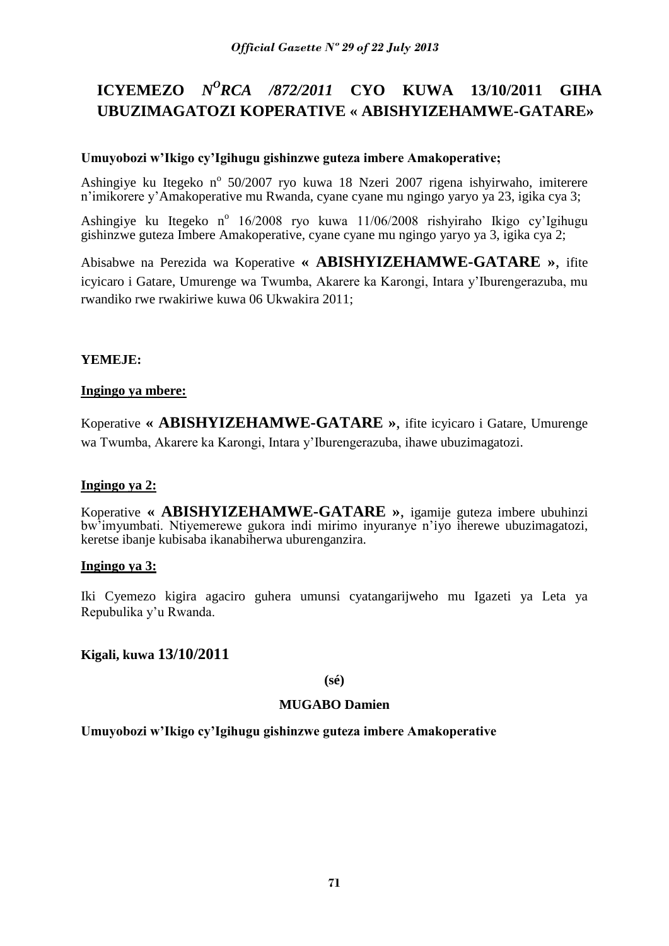## **ICYEMEZO** *N<sup>O</sup>RCA /872/2011* **CYO KUWA 13/10/2011 GIHA UBUZIMAGATOZI KOPERATIVE « ABISHYIZEHAMWE-GATARE»**

### **Umuyobozi w'Ikigo cy'Igihugu gishinzwe guteza imbere Amakoperative;**

Ashingiye ku Itegeko nº 50/2007 ryo kuwa 18 Nzeri 2007 rigena ishyirwaho, imiterere n'imikorere y'Amakoperative mu Rwanda, cyane cyane mu ngingo yaryo ya 23, igika cya 3;

Ashingiye ku Itegeko nº 16/2008 ryo kuwa 11/06/2008 rishyiraho Ikigo cy'Igihugu gishinzwe guteza Imbere Amakoperative, cyane cyane mu ngingo yaryo ya 3, igika cya 2;

Abisabwe na Perezida wa Koperative **« ABISHYIZEHAMWE-GATARE »**, ifite icyicaro i Gatare, Umurenge wa Twumba, Akarere ka Karongi, Intara y'Iburengerazuba, mu rwandiko rwe rwakiriwe kuwa 06 Ukwakira 2011;

### **YEMEJE:**

### **Ingingo ya mbere:**

Koperative **« ABISHYIZEHAMWE-GATARE »**, ifite icyicaro i Gatare, Umurenge wa Twumba, Akarere ka Karongi, Intara y'Iburengerazuba, ihawe ubuzimagatozi.

### **Ingingo ya 2:**

Koperative **« ABISHYIZEHAMWE-GATARE »**, igamije guteza imbere ubuhinzi bw'imyumbati. Ntiyemerewe gukora indi mirimo inyuranye n'iyo iherewe ubuzimagatozi, keretse ibanje kubisaba ikanabiherwa uburenganzira.

### **Ingingo ya 3:**

Iki Cyemezo kigira agaciro guhera umunsi cyatangarijweho mu Igazeti ya Leta ya Repubulika y'u Rwanda.

## **Kigali, kuwa 13/10/2011**

**(sé)**

### **MUGABO Damien**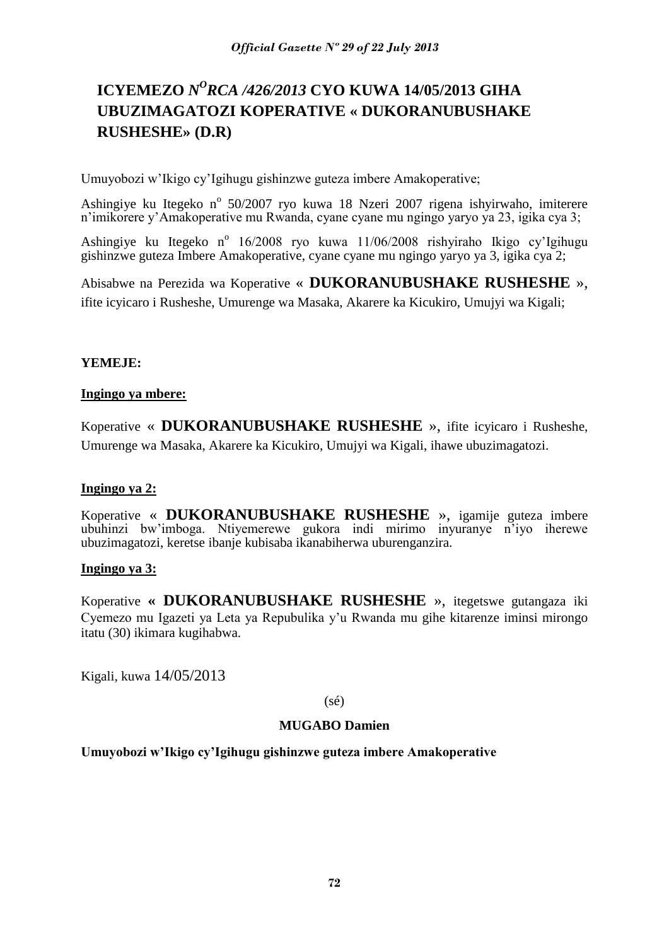## **ICYEMEZO** *N <sup>O</sup>RCA /426/2013* **CYO KUWA 14/05/2013 GIHA UBUZIMAGATOZI KOPERATIVE « DUKORANUBUSHAKE RUSHESHE» (D.R)**

Umuyobozi w'Ikigo cy'Igihugu gishinzwe guteza imbere Amakoperative;

Ashingiye ku Itegeko nº 50/2007 ryo kuwa 18 Nzeri 2007 rigena ishyirwaho, imiterere n'imikorere y'Amakoperative mu Rwanda, cyane cyane mu ngingo yaryo ya 23, igika cya 3;

Ashingiye ku Itegeko nº 16/2008 ryo kuwa 11/06/2008 rishyiraho Ikigo cy'Igihugu gishinzwe guteza Imbere Amakoperative, cyane cyane mu ngingo yaryo ya 3, igika cya 2;

Abisabwe na Perezida wa Koperative « **DUKORANUBUSHAKE RUSHESHE** », ifite icyicaro i Rusheshe, Umurenge wa Masaka, Akarere ka Kicukiro, Umujyi wa Kigali;

### **YEMEJE:**

### **Ingingo ya mbere:**

Koperative « **DUKORANUBUSHAKE RUSHESHE** », ifite icyicaro i Rusheshe, Umurenge wa Masaka, Akarere ka Kicukiro, Umujyi wa Kigali, ihawe ubuzimagatozi.

## **Ingingo ya 2:**

Koperative « **DUKORANUBUSHAKE RUSHESHE** », igamije guteza imbere ubuhinzi bw'imboga. Ntiyemerewe gukora indi mirimo inyuranye n'iyo iherewe ubuzimagatozi, keretse ibanje kubisaba ikanabiherwa uburenganzira.

### **Ingingo ya 3:**

Koperative **« DUKORANUBUSHAKE RUSHESHE** », itegetswe gutangaza iki Cyemezo mu Igazeti ya Leta ya Repubulika y'u Rwanda mu gihe kitarenze iminsi mirongo itatu (30) ikimara kugihabwa.

Kigali, kuwa 14/05/2013

### (sé)

## **MUGABO Damien**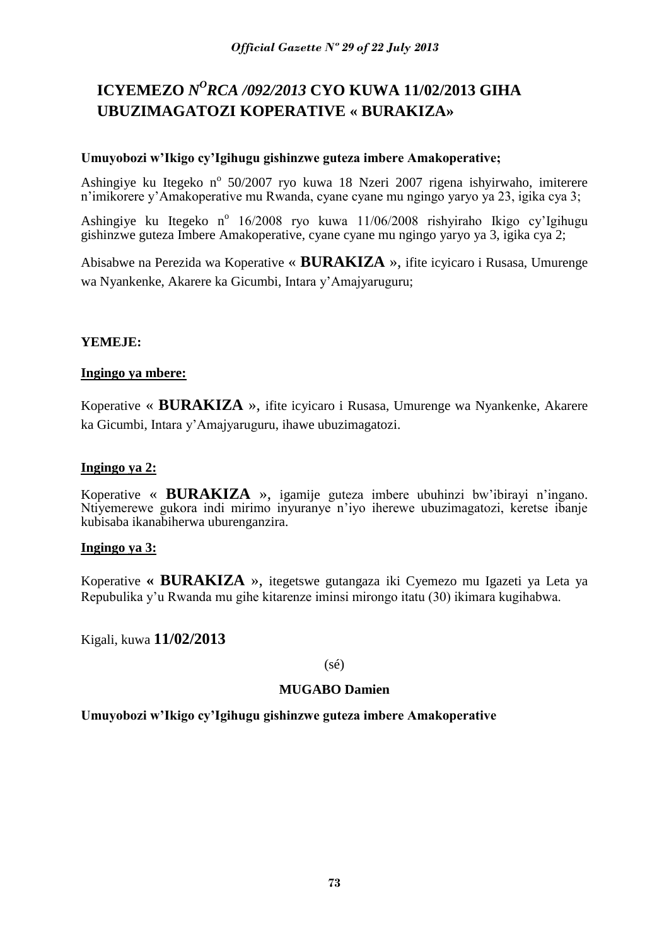# **ICYEMEZO** *N<sup>O</sup>RCA /092/2013* CYO KUWA 11/02/2013 GIHA **UBUZIMAGATOZI KOPERATIVE « BURAKIZA»**

## **Umuyobozi w'Ikigo cy'Igihugu gishinzwe guteza imbere Amakoperative;**

Ashingiye ku Itegeko nº 50/2007 ryo kuwa 18 Nzeri 2007 rigena ishyirwaho, imiterere n'imikorere y'Amakoperative mu Rwanda, cyane cyane mu ngingo yaryo ya 23, igika cya 3;

Ashingiye ku Itegeko nº 16/2008 ryo kuwa 11/06/2008 rishyiraho Ikigo cy'Igihugu gishinzwe guteza Imbere Amakoperative, cyane cyane mu ngingo yaryo ya 3, igika cya 2;

Abisabwe na Perezida wa Koperative « **BURAKIZA** », ifite icyicaro i Rusasa, Umurenge wa Nyankenke, Akarere ka Gicumbi, Intara y'Amajyaruguru;

# **YEMEJE:**

## **Ingingo ya mbere:**

Koperative « **BURAKIZA** », ifite icyicaro i Rusasa, Umurenge wa Nyankenke, Akarere ka Gicumbi, Intara y'Amajyaruguru, ihawe ubuzimagatozi.

## **Ingingo ya 2:**

Koperative « **BURAKIZA** », igamije guteza imbere ubuhinzi bw'ibirayi n'ingano. Ntiyemerewe gukora indi mirimo inyuranye n'iyo iherewe ubuzimagatozi, keretse ibanje kubisaba ikanabiherwa uburenganzira.

## **Ingingo ya 3:**

Koperative **« BURAKIZA** », itegetswe gutangaza iki Cyemezo mu Igazeti ya Leta ya Repubulika y'u Rwanda mu gihe kitarenze iminsi mirongo itatu (30) ikimara kugihabwa.

Kigali, kuwa **11/02/2013**

(sé)

# **MUGABO Damien**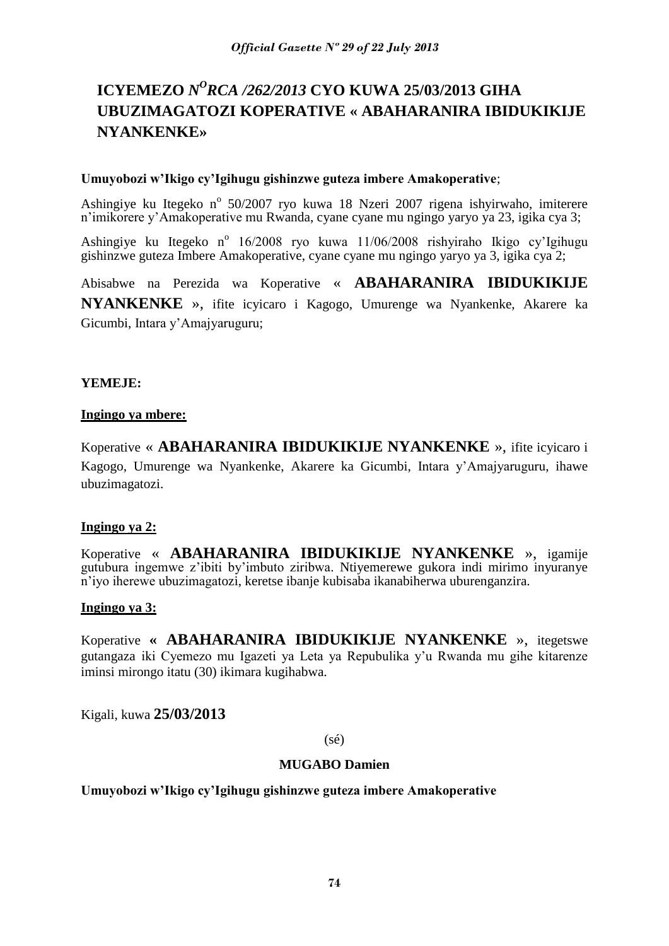# **ICYEMEZO** *N <sup>O</sup>RCA /262/2013* **CYO KUWA 25/03/2013 GIHA UBUZIMAGATOZI KOPERATIVE « ABAHARANIRA IBIDUKIKIJE NYANKENKE»**

## **Umuyobozi w'Ikigo cy'Igihugu gishinzwe guteza imbere Amakoperative**;

Ashingiye ku Itegeko nº 50/2007 ryo kuwa 18 Nzeri 2007 rigena ishyirwaho, imiterere n'imikorere y'Amakoperative mu Rwanda, cyane cyane mu ngingo yaryo ya 23, igika cya 3;

Ashingiye ku Itegeko nº 16/2008 ryo kuwa 11/06/2008 rishyiraho Ikigo cy'Igihugu gishinzwe guteza Imbere Amakoperative, cyane cyane mu ngingo yaryo ya 3, igika cya 2;

Abisabwe na Perezida wa Koperative « **ABAHARANIRA IBIDUKIKIJE NYANKENKE** », ifite icyicaro i Kagogo, Umurenge wa Nyankenke, Akarere ka Gicumbi, Intara y'Amajyaruguru;

## **YEMEJE:**

## **Ingingo ya mbere:**

Koperative « **ABAHARANIRA IBIDUKIKIJE NYANKENKE** », ifite icyicaro i Kagogo, Umurenge wa Nyankenke, Akarere ka Gicumbi, Intara y'Amajyaruguru, ihawe ubuzimagatozi.

## **Ingingo ya 2:**

Koperative « **ABAHARANIRA IBIDUKIKIJE NYANKENKE** », igamije gutubura ingemwe z'ibiti by'imbuto ziribwa. Ntiyemerewe gukora indi mirimo inyuranye n'iyo iherewe ubuzimagatozi, keretse ibanje kubisaba ikanabiherwa uburenganzira.

## **Ingingo ya 3:**

Koperative **« ABAHARANIRA IBIDUKIKIJE NYANKENKE** », itegetswe gutangaza iki Cyemezo mu Igazeti ya Leta ya Repubulika y'u Rwanda mu gihe kitarenze iminsi mirongo itatu (30) ikimara kugihabwa.

Kigali, kuwa **25/03/2013**

(sé)

#### **MUGABO Damien**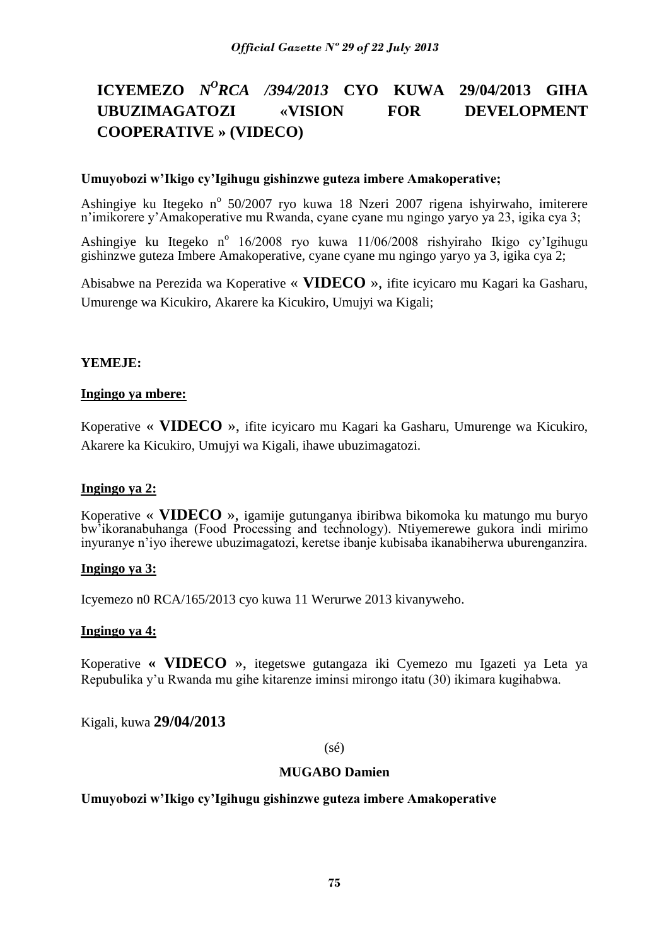# **ICYEMEZO** *N<sup>O</sup>RCA /394/2013* **CYO KUWA 29/04/2013 GIHA UBUZIMAGATOZI «VISION FOR DEVELOPMENT COOPERATIVE » (VIDECO)**

## **Umuyobozi w'Ikigo cy'Igihugu gishinzwe guteza imbere Amakoperative;**

Ashingiye ku Itegeko nº 50/2007 ryo kuwa 18 Nzeri 2007 rigena ishyirwaho, imiterere n'imikorere y'Amakoperative mu Rwanda, cyane cyane mu ngingo yaryo ya 23, igika cya 3;

Ashingiye ku Itegeko nº 16/2008 ryo kuwa 11/06/2008 rishyiraho Ikigo cy'Igihugu gishinzwe guteza Imbere Amakoperative, cyane cyane mu ngingo yaryo ya 3, igika cya 2;

Abisabwe na Perezida wa Koperative « **VIDECO** », ifite icyicaro mu Kagari ka Gasharu, Umurenge wa Kicukiro, Akarere ka Kicukiro, Umujyi wa Kigali;

#### **YEMEJE:**

#### **Ingingo ya mbere:**

Koperative « **VIDECO** », ifite icyicaro mu Kagari ka Gasharu, Umurenge wa Kicukiro, Akarere ka Kicukiro, Umujyi wa Kigali, ihawe ubuzimagatozi.

## **Ingingo ya 2:**

Koperative « **VIDECO** », igamije gutunganya ibiribwa bikomoka ku matungo mu buryo bw'ikoranabuhanga (Food Processing and technology). Ntiyemerewe gukora indi mirimo inyuranye n'iyo iherewe ubuzimagatozi, keretse ibanje kubisaba ikanabiherwa uburenganzira.

## **Ingingo ya 3:**

Icyemezo n0 RCA/165/2013 cyo kuwa 11 Werurwe 2013 kivanyweho.

## **Ingingo ya 4:**

Koperative **« VIDECO** », itegetswe gutangaza iki Cyemezo mu Igazeti ya Leta ya Repubulika y'u Rwanda mu gihe kitarenze iminsi mirongo itatu (30) ikimara kugihabwa.

Kigali, kuwa **29/04/2013**

#### (sé)

## **MUGABO Damien**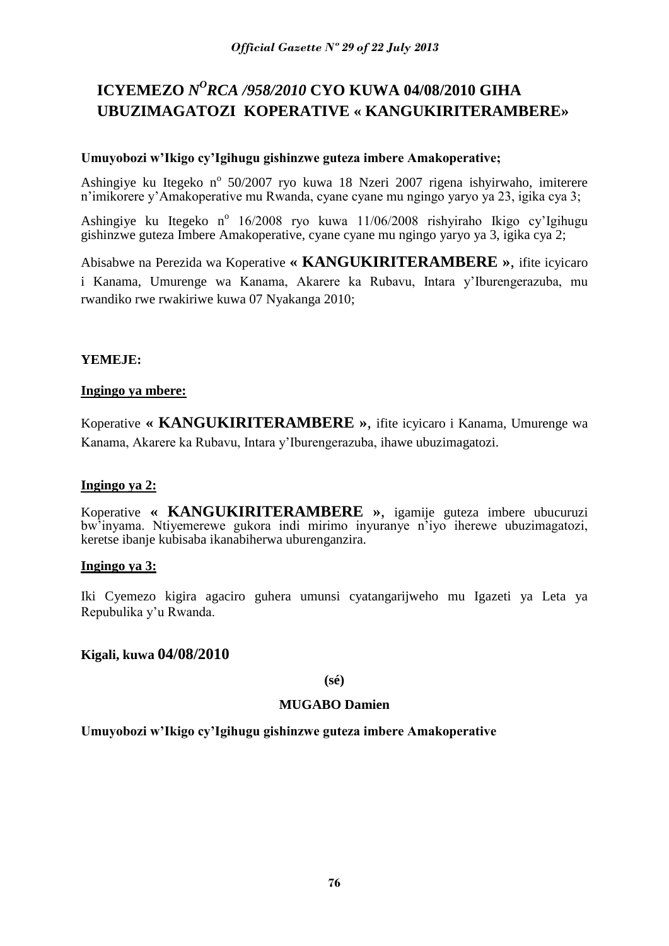# **ICYEMEZO** *N <sup>O</sup>RCA /958/2010* **CYO KUWA 04/08/2010 GIHA UBUZIMAGATOZI KOPERATIVE « KANGUKIRITERAMBERE»**

## **Umuyobozi w'Ikigo cy'Igihugu gishinzwe guteza imbere Amakoperative;**

Ashingiye ku Itegeko nº 50/2007 ryo kuwa 18 Nzeri 2007 rigena ishyirwaho, imiterere n'imikorere y'Amakoperative mu Rwanda, cyane cyane mu ngingo yaryo ya 23, igika cya 3;

Ashingiye ku Itegeko nº 16/2008 ryo kuwa 11/06/2008 rishyiraho Ikigo cy'Igihugu gishinzwe guteza Imbere Amakoperative, cyane cyane mu ngingo yaryo ya 3, igika cya 2;

Abisabwe na Perezida wa Koperative **« KANGUKIRITERAMBERE »**, ifite icyicaro i Kanama, Umurenge wa Kanama, Akarere ka Rubavu, Intara y'Iburengerazuba, mu rwandiko rwe rwakiriwe kuwa 07 Nyakanga 2010;

# **YEMEJE:**

## **Ingingo ya mbere:**

Koperative **« KANGUKIRITERAMBERE »**, ifite icyicaro i Kanama, Umurenge wa Kanama, Akarere ka Rubavu, Intara y'Iburengerazuba, ihawe ubuzimagatozi.

## **Ingingo ya 2:**

Koperative **« KANGUKIRITERAMBERE »**, igamije guteza imbere ubucuruzi bw'inyama. Ntiyemerewe gukora indi mirimo inyuranye n'iyo iherewe ubuzimagatozi, keretse ibanje kubisaba ikanabiherwa uburenganzira.

## **Ingingo ya 3:**

Iki Cyemezo kigira agaciro guhera umunsi cyatangarijweho mu Igazeti ya Leta ya Repubulika y'u Rwanda.

## **Kigali, kuwa 04/08/2010**

**(sé)**

## **MUGABO Damien**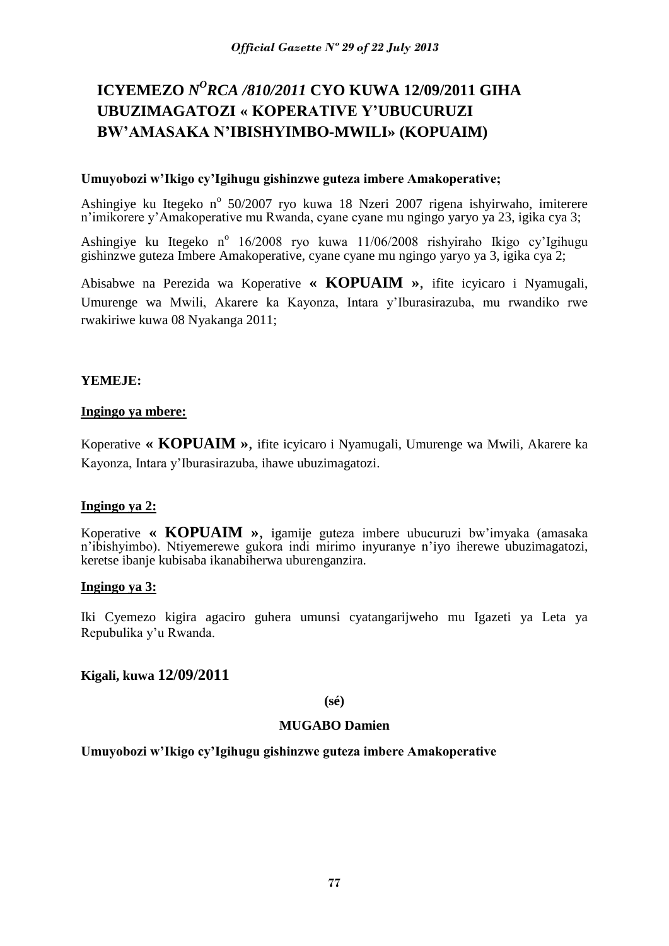# **ICYEMEZO** *N<sup>O</sup>RCA /810/2011* **CYO KUWA 12/09/2011 GIHA UBUZIMAGATOZI « KOPERATIVE Y'UBUCURUZI BW'AMASAKA N'IBISHYIMBO-MWILI» (KOPUAIM)**

## **Umuyobozi w'Ikigo cy'Igihugu gishinzwe guteza imbere Amakoperative;**

Ashingiye ku Itegeko nº 50/2007 ryo kuwa 18 Nzeri 2007 rigena ishyirwaho, imiterere n'imikorere y'Amakoperative mu Rwanda, cyane cyane mu ngingo yaryo ya 23, igika cya 3;

Ashingiye ku Itegeko nº 16/2008 ryo kuwa 11/06/2008 rishyiraho Ikigo cy'Igihugu gishinzwe guteza Imbere Amakoperative, cyane cyane mu ngingo yaryo ya 3, igika cya 2;

Abisabwe na Perezida wa Koperative **« KOPUAIM »**, ifite icyicaro i Nyamugali, Umurenge wa Mwili, Akarere ka Kayonza, Intara y'Iburasirazuba, mu rwandiko rwe rwakiriwe kuwa 08 Nyakanga 2011;

# **YEMEJE:**

## **Ingingo ya mbere:**

Koperative **« KOPUAIM »**, ifite icyicaro i Nyamugali, Umurenge wa Mwili, Akarere ka Kayonza, Intara y'Iburasirazuba, ihawe ubuzimagatozi.

## **Ingingo ya 2:**

Koperative **« KOPUAIM »**, igamije guteza imbere ubucuruzi bw'imyaka (amasaka n'ibishyimbo). Ntiyemerewe gukora indi mirimo inyuranye n'iyo iherewe ubuzimagatozi, keretse ibanje kubisaba ikanabiherwa uburenganzira.

#### **Ingingo ya 3:**

Iki Cyemezo kigira agaciro guhera umunsi cyatangarijweho mu Igazeti ya Leta ya Repubulika y'u Rwanda.

## **Kigali, kuwa 12/09/2011**

**(sé)**

## **MUGABO Damien**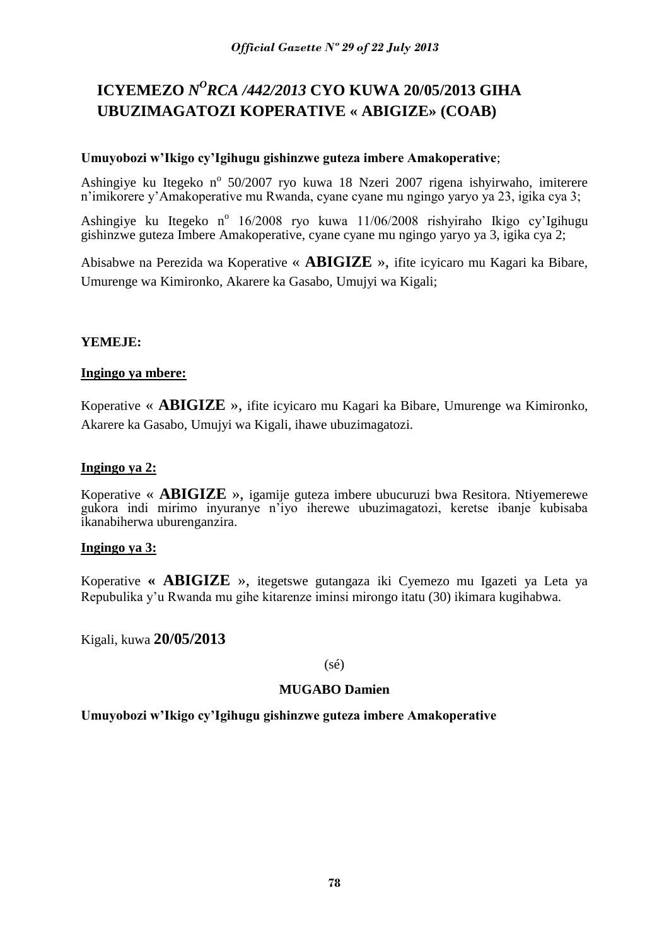# **ICYEMEZO** *N<sup>O</sup>RCA /442/2013* CYO KUWA 20/05/2013 GIHA **UBUZIMAGATOZI KOPERATIVE « ABIGIZE» (COAB)**

## **Umuyobozi w'Ikigo cy'Igihugu gishinzwe guteza imbere Amakoperative**;

Ashingiye ku Itegeko nº 50/2007 ryo kuwa 18 Nzeri 2007 rigena ishyirwaho, imiterere n'imikorere y'Amakoperative mu Rwanda, cyane cyane mu ngingo yaryo ya 23, igika cya 3;

Ashingiye ku Itegeko nº 16/2008 ryo kuwa 11/06/2008 rishyiraho Ikigo cy'Igihugu gishinzwe guteza Imbere Amakoperative, cyane cyane mu ngingo yaryo ya 3, igika cya 2;

Abisabwe na Perezida wa Koperative « **ABIGIZE** », ifite icyicaro mu Kagari ka Bibare, Umurenge wa Kimironko, Akarere ka Gasabo, Umujyi wa Kigali;

# **YEMEJE:**

## **Ingingo ya mbere:**

Koperative « **ABIGIZE** », ifite icyicaro mu Kagari ka Bibare, Umurenge wa Kimironko, Akarere ka Gasabo, Umujyi wa Kigali, ihawe ubuzimagatozi.

## **Ingingo ya 2:**

Koperative « **ABIGIZE** », igamije guteza imbere ubucuruzi bwa Resitora. Ntiyemerewe gukora indi mirimo inyuranye n'iyo iherewe ubuzimagatozi, keretse ibanje kubisaba ikanabiherwa uburenganzira.

## **Ingingo ya 3:**

Koperative **« ABIGIZE** », itegetswe gutangaza iki Cyemezo mu Igazeti ya Leta ya Repubulika y'u Rwanda mu gihe kitarenze iminsi mirongo itatu (30) ikimara kugihabwa.

Kigali, kuwa **20/05/2013**

(sé)

# **MUGABO Damien**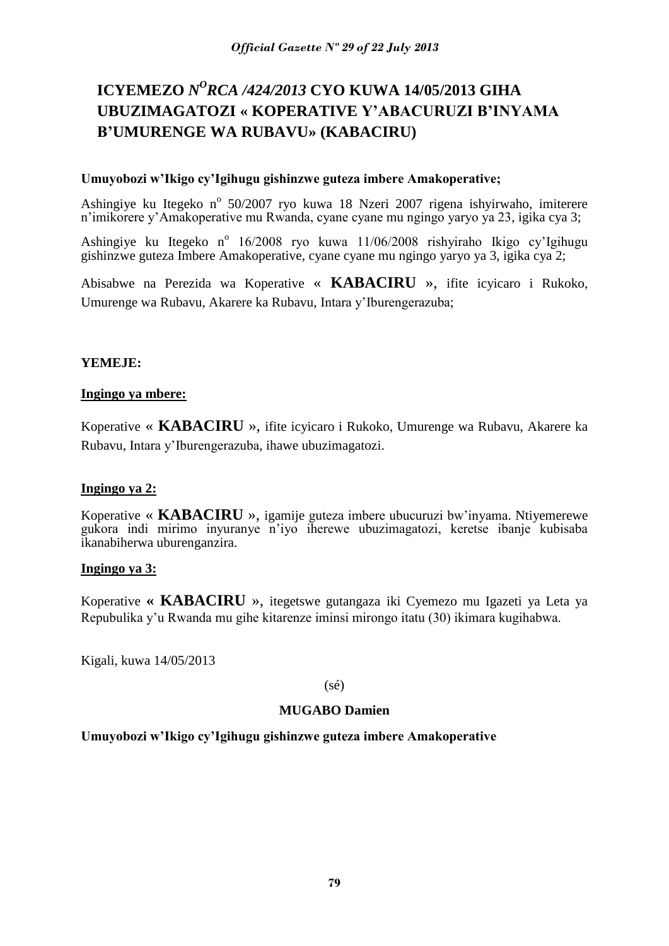# **ICYEMEZO** *N <sup>O</sup>RCA /424/2013* **CYO KUWA 14/05/2013 GIHA UBUZIMAGATOZI « KOPERATIVE Y'ABACURUZI B'INYAMA B'UMURENGE WA RUBAVU» (KABACIRU)**

## **Umuyobozi w'Ikigo cy'Igihugu gishinzwe guteza imbere Amakoperative;**

Ashingiye ku Itegeko nº 50/2007 ryo kuwa 18 Nzeri 2007 rigena ishyirwaho, imiterere n'imikorere y'Amakoperative mu Rwanda, cyane cyane mu ngingo yaryo ya 23, igika cya 3;

Ashingiye ku Itegeko nº 16/2008 ryo kuwa 11/06/2008 rishyiraho Ikigo cy'Igihugu gishinzwe guteza Imbere Amakoperative, cyane cyane mu ngingo yaryo ya 3, igika cya 2;

Abisabwe na Perezida wa Koperative « **KABACIRU** », ifite icyicaro i Rukoko, Umurenge wa Rubavu, Akarere ka Rubavu, Intara y'Iburengerazuba;

#### **YEMEJE:**

#### **Ingingo ya mbere:**

Koperative « **KABACIRU** », ifite icyicaro i Rukoko, Umurenge wa Rubavu, Akarere ka Rubavu, Intara y'Iburengerazuba, ihawe ubuzimagatozi.

## **Ingingo ya 2:**

Koperative « **KABACIRU** », igamije guteza imbere ubucuruzi bw'inyama. Ntiyemerewe gukora indi mirimo inyuranye n'iyo iherewe ubuzimagatozi, keretse ibanje kubisaba ikanabiherwa uburenganzira.

#### **Ingingo ya 3:**

Koperative **« KABACIRU** », itegetswe gutangaza iki Cyemezo mu Igazeti ya Leta ya Repubulika y'u Rwanda mu gihe kitarenze iminsi mirongo itatu (30) ikimara kugihabwa.

Kigali, kuwa 14/05/2013

(sé)

#### **MUGABO Damien**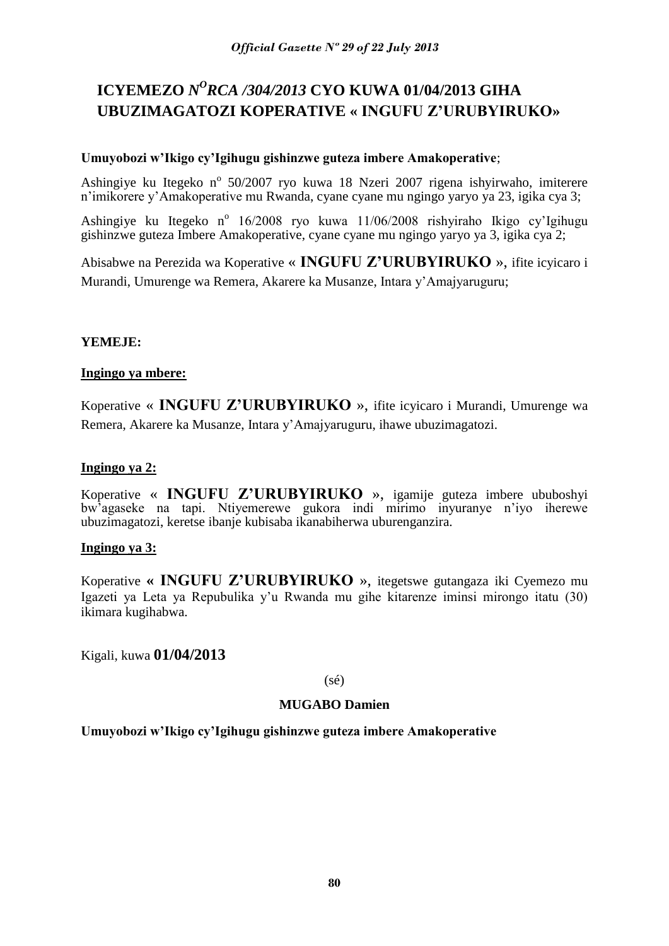# **ICYEMEZO** *N <sup>O</sup>RCA /304/2013* **CYO KUWA 01/04/2013 GIHA UBUZIMAGATOZI KOPERATIVE « INGUFU Z'URUBYIRUKO»**

## **Umuyobozi w'Ikigo cy'Igihugu gishinzwe guteza imbere Amakoperative**;

Ashingiye ku Itegeko nº 50/2007 ryo kuwa 18 Nzeri 2007 rigena ishyirwaho, imiterere n'imikorere y'Amakoperative mu Rwanda, cyane cyane mu ngingo yaryo ya 23, igika cya 3;

Ashingiye ku Itegeko nº 16/2008 ryo kuwa 11/06/2008 rishyiraho Ikigo cy'Igihugu gishinzwe guteza Imbere Amakoperative, cyane cyane mu ngingo yaryo ya 3, igika cya 2;

Abisabwe na Perezida wa Koperative « **INGUFU Z'URUBYIRUKO** », ifite icyicaro i Murandi, Umurenge wa Remera, Akarere ka Musanze, Intara y'Amajyaruguru;

# **YEMEJE:**

## **Ingingo ya mbere:**

Koperative « **INGUFU Z'URUBYIRUKO** », ifite icyicaro i Murandi, Umurenge wa Remera, Akarere ka Musanze, Intara y'Amajyaruguru, ihawe ubuzimagatozi.

#### **Ingingo ya 2:**

Koperative « **INGUFU Z'URUBYIRUKO** », igamije guteza imbere ububoshyi bw'agaseke na tapi. Ntiyemerewe gukora indi mirimo inyuranye n'iyo iherewe ubuzimagatozi, keretse ibanje kubisaba ikanabiherwa uburenganzira.

## **Ingingo ya 3:**

Koperative **« INGUFU Z'URUBYIRUKO** », itegetswe gutangaza iki Cyemezo mu Igazeti ya Leta ya Repubulika y'u Rwanda mu gihe kitarenze iminsi mirongo itatu (30) ikimara kugihabwa.

Kigali, kuwa **01/04/2013**

(sé)

## **MUGABO Damien**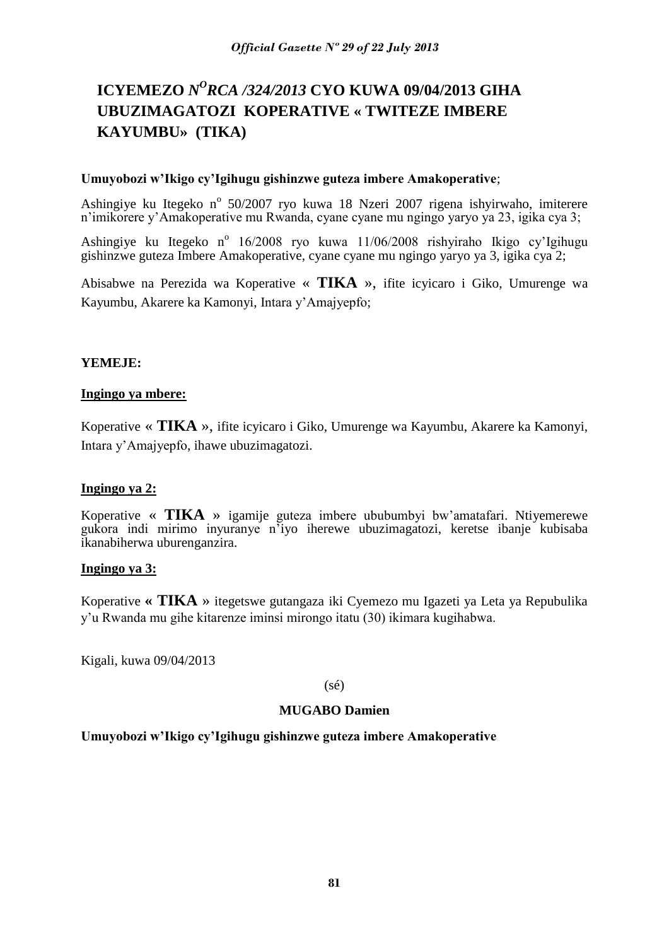# **ICYEMEZO** *N <sup>O</sup>RCA /324/2013* **CYO KUWA 09/04/2013 GIHA UBUZIMAGATOZI KOPERATIVE « TWITEZE IMBERE KAYUMBU» (TIKA)**

#### **Umuyobozi w'Ikigo cy'Igihugu gishinzwe guteza imbere Amakoperative**;

Ashingiye ku Itegeko nº 50/2007 ryo kuwa 18 Nzeri 2007 rigena ishyirwaho, imiterere n'imikorere y'Amakoperative mu Rwanda, cyane cyane mu ngingo yaryo ya 23, igika cya 3;

Ashingiye ku Itegeko nº 16/2008 ryo kuwa 11/06/2008 rishyiraho Ikigo cy'Igihugu gishinzwe guteza Imbere Amakoperative, cyane cyane mu ngingo yaryo ya 3, igika cya 2;

Abisabwe na Perezida wa Koperative « **TIKA** », ifite icyicaro i Giko, Umurenge wa Kayumbu, Akarere ka Kamonyi, Intara y'Amajyepfo;

## **YEMEJE:**

#### **Ingingo ya mbere:**

Koperative « **TIKA** », ifite icyicaro i Giko, Umurenge wa Kayumbu, Akarere ka Kamonyi, Intara y'Amajyepfo, ihawe ubuzimagatozi.

## **Ingingo ya 2:**

Koperative « **TIKA** » igamije guteza imbere ububumbyi bw'amatafari. Ntiyemerewe gukora indi mirimo inyuranye n'iyo iherewe ubuzimagatozi, keretse ibanje kubisaba ikanabiherwa uburenganzira.

## **Ingingo ya 3:**

Koperative **« TIKA** » itegetswe gutangaza iki Cyemezo mu Igazeti ya Leta ya Repubulika y'u Rwanda mu gihe kitarenze iminsi mirongo itatu (30) ikimara kugihabwa.

Kigali, kuwa 09/04/2013

(sé)

#### **MUGABO Damien**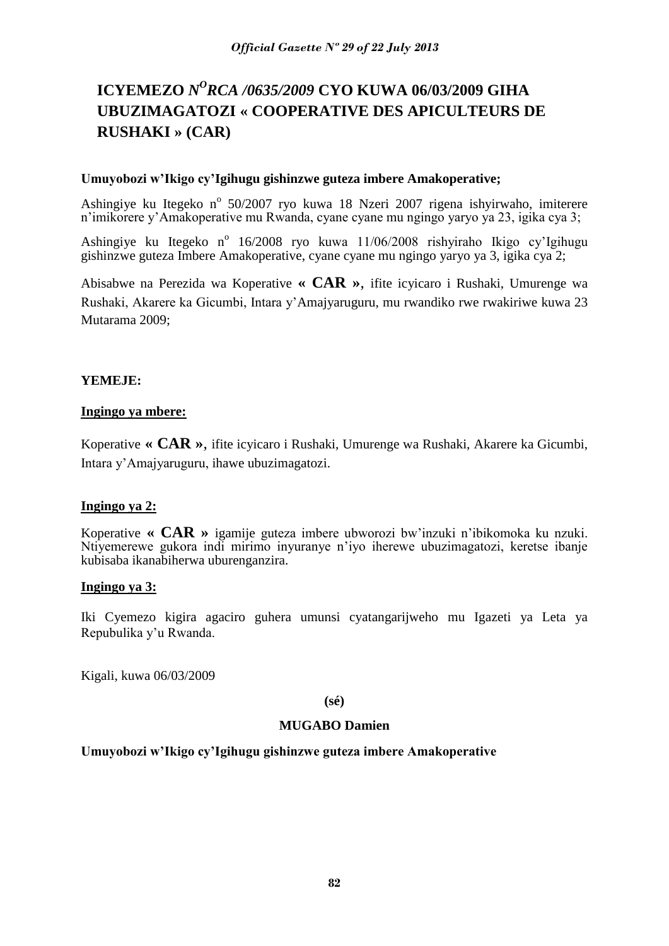# **ICYEMEZO** *N <sup>O</sup>RCA /0635/2009* **CYO KUWA 06/03/2009 GIHA UBUZIMAGATOZI « COOPERATIVE DES APICULTEURS DE RUSHAKI » (CAR)**

#### **Umuyobozi w'Ikigo cy'Igihugu gishinzwe guteza imbere Amakoperative;**

Ashingiye ku Itegeko nº 50/2007 ryo kuwa 18 Nzeri 2007 rigena ishyirwaho, imiterere n'imikorere y'Amakoperative mu Rwanda, cyane cyane mu ngingo yaryo ya 23, igika cya 3;

Ashingiye ku Itegeko nº 16/2008 ryo kuwa 11/06/2008 rishyiraho Ikigo cy'Igihugu gishinzwe guteza Imbere Amakoperative, cyane cyane mu ngingo yaryo ya 3, igika cya 2;

Abisabwe na Perezida wa Koperative **« CAR »**, ifite icyicaro i Rushaki, Umurenge wa Rushaki, Akarere ka Gicumbi, Intara y'Amajyaruguru, mu rwandiko rwe rwakiriwe kuwa 23 Mutarama 2009;

## **YEMEJE:**

# **Ingingo ya mbere:**

Koperative **« CAR »**, ifite icyicaro i Rushaki, Umurenge wa Rushaki, Akarere ka Gicumbi, Intara y'Amajyaruguru, ihawe ubuzimagatozi.

## **Ingingo ya 2:**

Koperative **« CAR »** igamije guteza imbere ubworozi bw'inzuki n'ibikomoka ku nzuki. Ntiyemerewe gukora indi mirimo inyuranye n'iyo iherewe ubuzimagatozi, keretse ibanje kubisaba ikanabiherwa uburenganzira.

#### **Ingingo ya 3:**

Iki Cyemezo kigira agaciro guhera umunsi cyatangarijweho mu Igazeti ya Leta ya Repubulika y'u Rwanda.

Kigali, kuwa 06/03/2009

**(sé)**

#### **MUGABO Damien**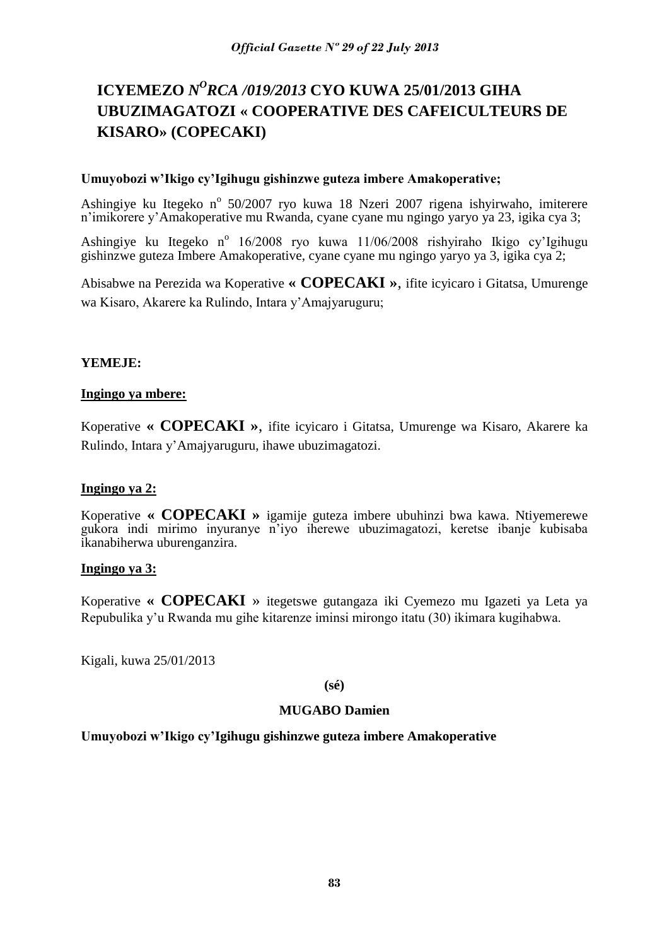# **ICYEMEZO** *N<sup>O</sup>RCA /019/2013* CYO KUWA 25/01/2013 GIHA **UBUZIMAGATOZI « COOPERATIVE DES CAFEICULTEURS DE KISARO» (COPECAKI)**

## **Umuyobozi w'Ikigo cy'Igihugu gishinzwe guteza imbere Amakoperative;**

Ashingiye ku Itegeko nº 50/2007 ryo kuwa 18 Nzeri 2007 rigena ishyirwaho, imiterere n'imikorere y'Amakoperative mu Rwanda, cyane cyane mu ngingo yaryo ya 23, igika cya 3;

Ashingiye ku Itegeko nº 16/2008 ryo kuwa 11/06/2008 rishyiraho Ikigo cy'Igihugu gishinzwe guteza Imbere Amakoperative, cyane cyane mu ngingo yaryo ya 3, igika cya 2;

Abisabwe na Perezida wa Koperative **« COPECAKI »**, ifite icyicaro i Gitatsa, Umurenge wa Kisaro, Akarere ka Rulindo, Intara y'Amajyaruguru;

## **YEMEJE:**

#### **Ingingo ya mbere:**

Koperative **« COPECAKI »**, ifite icyicaro i Gitatsa, Umurenge wa Kisaro, Akarere ka Rulindo, Intara y'Amajyaruguru, ihawe ubuzimagatozi.

## **Ingingo ya 2:**

Koperative **« COPECAKI »** igamije guteza imbere ubuhinzi bwa kawa. Ntiyemerewe gukora indi mirimo inyuranye n'iyo iherewe ubuzimagatozi, keretse ibanje kubisaba ikanabiherwa uburenganzira.

## **Ingingo ya 3:**

Koperative **« COPECAKI** » itegetswe gutangaza iki Cyemezo mu Igazeti ya Leta ya Repubulika y'u Rwanda mu gihe kitarenze iminsi mirongo itatu (30) ikimara kugihabwa.

Kigali, kuwa 25/01/2013

**(sé)**

#### **MUGABO Damien**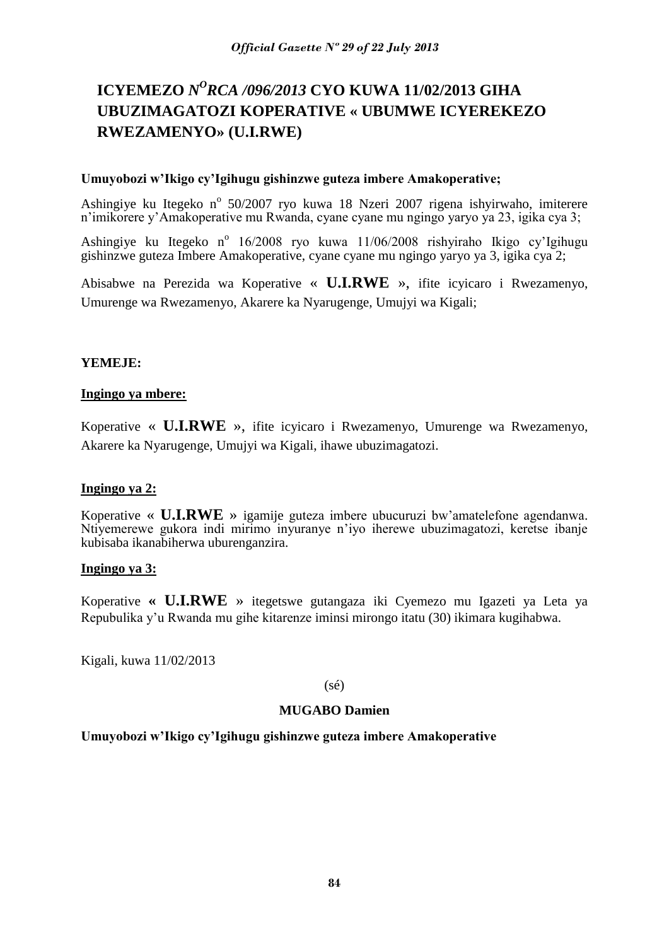# **ICYEMEZO** *N<sup>O</sup>RCA /096/2013* CYO KUWA 11/02/2013 GIHA **UBUZIMAGATOZI KOPERATIVE « UBUMWE ICYEREKEZO RWEZAMENYO» (U.I.RWE)**

## **Umuyobozi w'Ikigo cy'Igihugu gishinzwe guteza imbere Amakoperative;**

Ashingiye ku Itegeko nº 50/2007 ryo kuwa 18 Nzeri 2007 rigena ishyirwaho, imiterere n'imikorere y'Amakoperative mu Rwanda, cyane cyane mu ngingo yaryo ya 23, igika cya 3;

Ashingiye ku Itegeko nº 16/2008 ryo kuwa 11/06/2008 rishyiraho Ikigo cy'Igihugu gishinzwe guteza Imbere Amakoperative, cyane cyane mu ngingo yaryo ya 3, igika cya 2;

Abisabwe na Perezida wa Koperative « **U.I.RWE** », ifite icyicaro i Rwezamenyo, Umurenge wa Rwezamenyo, Akarere ka Nyarugenge, Umujyi wa Kigali;

#### **YEMEJE:**

#### **Ingingo ya mbere:**

Koperative « **U.I.RWE** », ifite icyicaro i Rwezamenyo, Umurenge wa Rwezamenyo, Akarere ka Nyarugenge, Umujyi wa Kigali, ihawe ubuzimagatozi.

## **Ingingo ya 2:**

Koperative « **U.I.RWE** » igamije guteza imbere ubucuruzi bw'amatelefone agendanwa. Ntiyemerewe gukora indi mirimo inyuranye n'iyo iherewe ubuzimagatozi, keretse ibanje kubisaba ikanabiherwa uburenganzira.

## **Ingingo ya 3:**

Koperative **« U.I.RWE** » itegetswe gutangaza iki Cyemezo mu Igazeti ya Leta ya Repubulika y'u Rwanda mu gihe kitarenze iminsi mirongo itatu (30) ikimara kugihabwa.

Kigali, kuwa 11/02/2013

(sé)

#### **MUGABO Damien**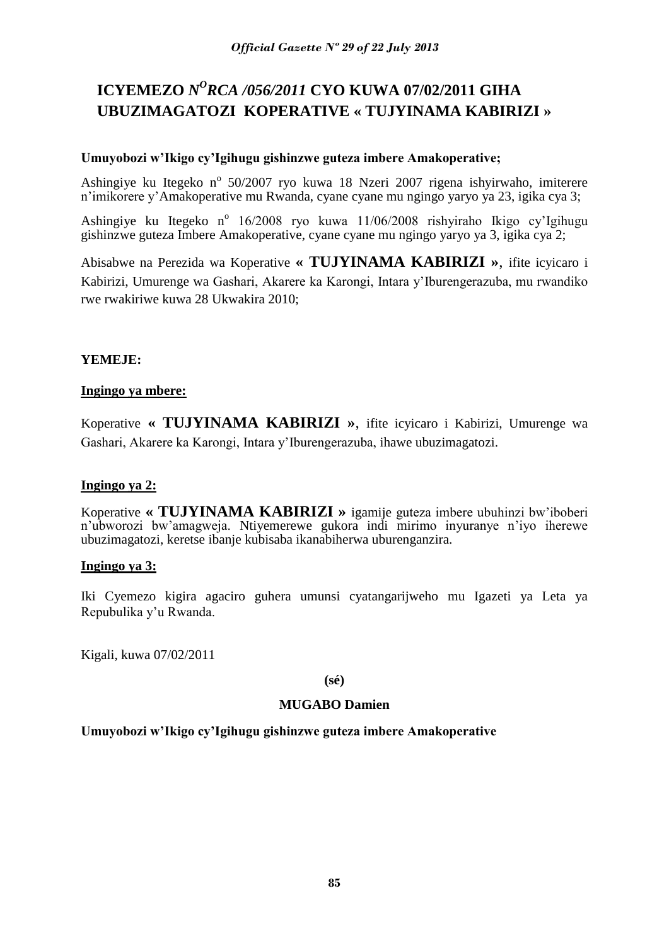# **ICYEMEZO** *N<sup>O</sup>RCA /056/2011* **CYO KUWA 07/02/2011 GIHA UBUZIMAGATOZI KOPERATIVE « TUJYINAMA KABIRIZI »**

## **Umuyobozi w'Ikigo cy'Igihugu gishinzwe guteza imbere Amakoperative;**

Ashingiye ku Itegeko nº 50/2007 ryo kuwa 18 Nzeri 2007 rigena ishyirwaho, imiterere n'imikorere y'Amakoperative mu Rwanda, cyane cyane mu ngingo yaryo ya 23, igika cya 3;

Ashingiye ku Itegeko nº 16/2008 ryo kuwa 11/06/2008 rishyiraho Ikigo cy'Igihugu gishinzwe guteza Imbere Amakoperative, cyane cyane mu ngingo yaryo ya 3, igika cya 2;

Abisabwe na Perezida wa Koperative **« TUJYINAMA KABIRIZI »**, ifite icyicaro i Kabirizi, Umurenge wa Gashari, Akarere ka Karongi, Intara y'Iburengerazuba, mu rwandiko rwe rwakiriwe kuwa 28 Ukwakira 2010;

# **YEMEJE:**

## **Ingingo ya mbere:**

Koperative **« TUJYINAMA KABIRIZI »**, ifite icyicaro i Kabirizi, Umurenge wa Gashari, Akarere ka Karongi, Intara y'Iburengerazuba, ihawe ubuzimagatozi.

## **Ingingo ya 2:**

Koperative **« TUJYINAMA KABIRIZI »** igamije guteza imbere ubuhinzi bw'iboberi n'ubworozi bw'amagweja. Ntiyemerewe gukora indi mirimo inyuranye n'iyo iherewe ubuzimagatozi, keretse ibanje kubisaba ikanabiherwa uburenganzira.

## **Ingingo ya 3:**

Iki Cyemezo kigira agaciro guhera umunsi cyatangarijweho mu Igazeti ya Leta ya Repubulika y'u Rwanda.

Kigali, kuwa 07/02/2011

**(sé)**

## **MUGABO Damien**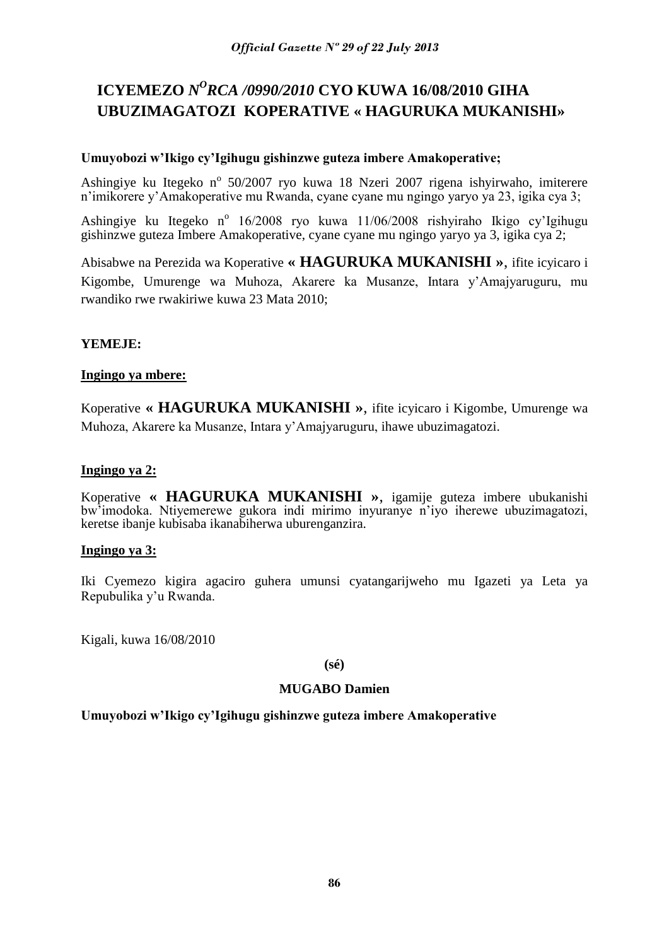# **ICYEMEZO** *N <sup>O</sup>RCA /0990/2010* **CYO KUWA 16/08/2010 GIHA UBUZIMAGATOZI KOPERATIVE « HAGURUKA MUKANISHI»**

## **Umuyobozi w'Ikigo cy'Igihugu gishinzwe guteza imbere Amakoperative;**

Ashingiye ku Itegeko nº 50/2007 ryo kuwa 18 Nzeri 2007 rigena ishyirwaho, imiterere n'imikorere y'Amakoperative mu Rwanda, cyane cyane mu ngingo yaryo ya 23, igika cya 3;

Ashingiye ku Itegeko nº 16/2008 ryo kuwa 11/06/2008 rishyiraho Ikigo cy'Igihugu gishinzwe guteza Imbere Amakoperative, cyane cyane mu ngingo yaryo ya 3, igika cya 2;

Abisabwe na Perezida wa Koperative **« HAGURUKA MUKANISHI »**, ifite icyicaro i Kigombe, Umurenge wa Muhoza, Akarere ka Musanze, Intara y'Amajyaruguru, mu rwandiko rwe rwakiriwe kuwa 23 Mata 2010;

# **YEMEJE:**

## **Ingingo ya mbere:**

Koperative **« HAGURUKA MUKANISHI »**, ifite icyicaro i Kigombe, Umurenge wa Muhoza, Akarere ka Musanze, Intara y'Amajyaruguru, ihawe ubuzimagatozi.

# **Ingingo ya 2:**

Koperative **« HAGURUKA MUKANISHI »**, igamije guteza imbere ubukanishi bw'imodoka. Ntiyemerewe gukora indi mirimo inyuranye n'iyo iherewe ubuzimagatozi, keretse ibanje kubisaba ikanabiherwa uburenganzira.

## **Ingingo ya 3:**

Iki Cyemezo kigira agaciro guhera umunsi cyatangarijweho mu Igazeti ya Leta ya Repubulika y'u Rwanda.

Kigali, kuwa 16/08/2010

**(sé)**

## **MUGABO Damien**